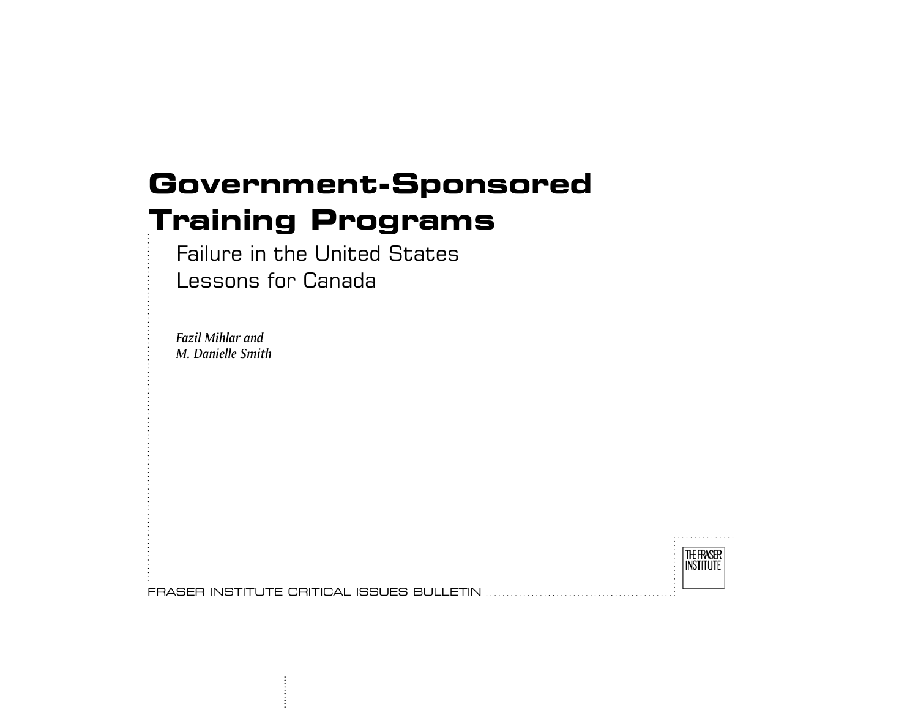# Government-Sponsored Training Programs

Failure in the United StatesLessons for Canada

*Fazil Mihlar and M. Danielle Smith*

FRASER INSTITUTE CRITICAL ISSUES BULLETIN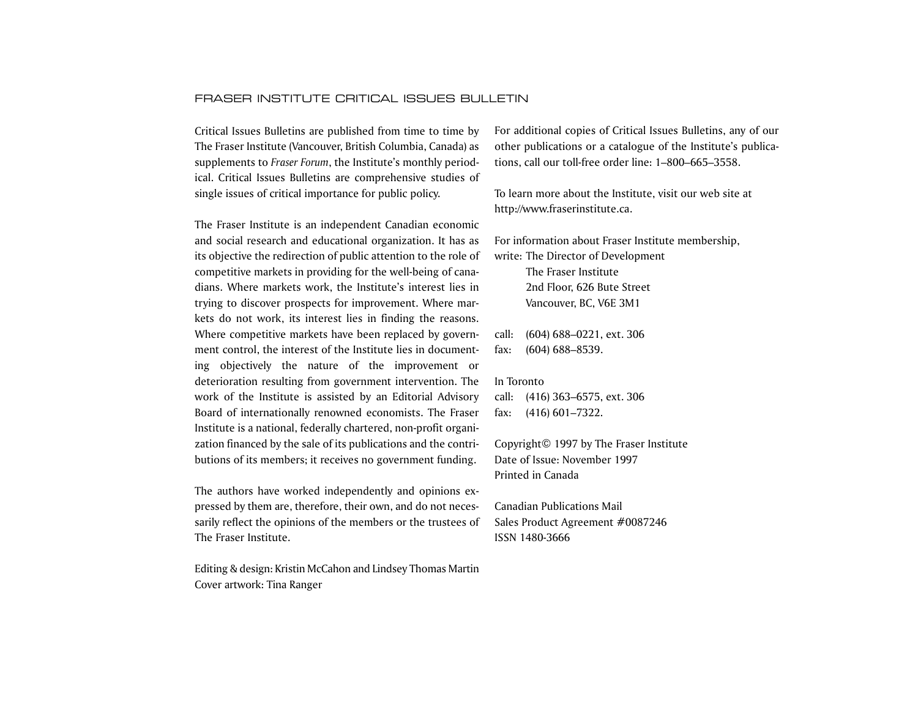### FRASER INSTITUTE CRITICAL ISSUES BULLETIN

Critical Issues Bulletins are published from time to time by The Fraser Institute (Vancouver, British Columbia, Canada) as supplements to *Fraser Forum*, the Institute's monthly periodical. Critical Issues Bulletins are comprehensive studies of single issues of critical importance for public policy.

The Fraser Institute is an independent Canadian economic and social research and educational organization. It has as its objective the redirection of public attention to the role of competitive markets in providing for the well-being of canadians. Where markets work, the Institute's interest lies in trying to discover prospects for improvement. Where markets do not work, its interest lies in finding the reasons. Where competitive markets have been replaced by government control, the interest of the Institute lies in documenting objectively the nature of the improvement or deterioration resulting from government intervention. The work of the Institute is assisted by an Editorial Advisory Board of internationally renowned economists. The Fraser Institute is a national, federally chartered, non-profit organization financed by the sale of its publications and the contributions of its members; it receives no government funding.

The authors have worked independently and opinions expressed by them are, therefore, their own, and do not necessarily reflect the opinions of the members or the trustees of The Fraser Institute.

Editing & design: Kristin McCahon and Lindsey Thomas Martin Cover artwork: Tina Ranger

For additional copies of Critical Issues Bulletins, any of our other publications or a catalogue of the Institute's publications, call our toll-free order line: 1–800–665–3558.

To learn more about the Institute, visit our web site at http://www.fraserinstitute.ca.

For information about Fraser Institute membership, write: The Director of Development

> The Fraser Institute2nd Floor, 626 Bute Street Vancouver, BC, V6E 3M1

call: (604) 688–0221, ext. 306 fax: (604) 688–8539.

#### In Toronto

call: (416) 363–6575, ext. 306 fax: (416) 601–7322.

Copyright© 1997 by The Fraser Institute Date of Issue: November 1997Printed in Canada

Canadian Publications Mail Sales Product Agreement #0087246 ISSN 1480-3666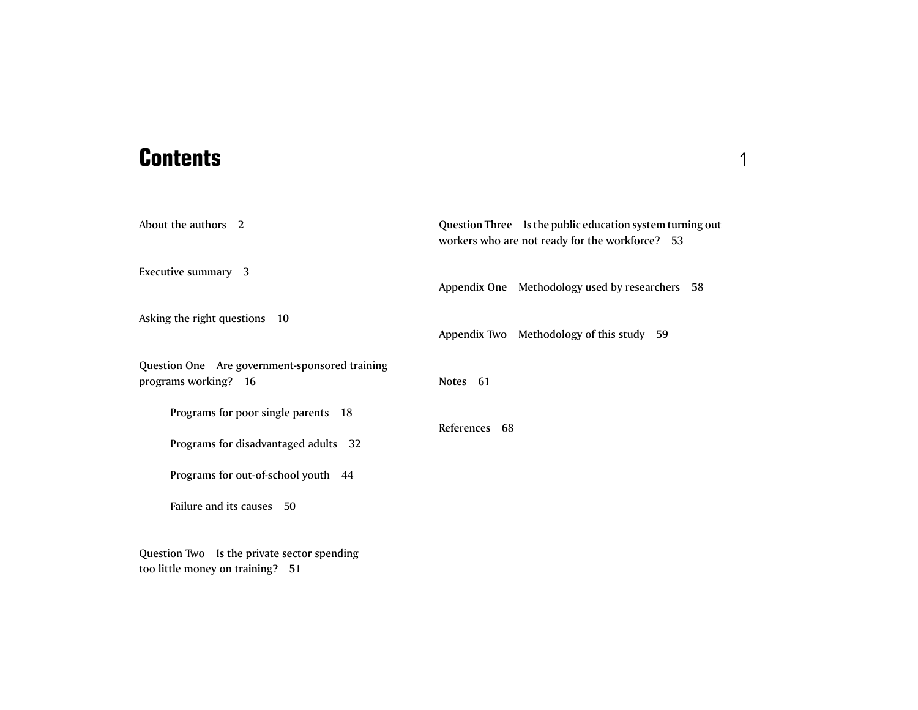### **Contents** $\mathsf S$  . The state of  $\mathsf I$

| About the authors 2                                                             | Question Three Is the public education system turning out<br>workers who are not ready for the workforce? 53 |
|---------------------------------------------------------------------------------|--------------------------------------------------------------------------------------------------------------|
| Executive summary 3                                                             | Appendix One Methodology used by researchers 58                                                              |
| Asking the right questions 10                                                   | Appendix Two Methodology of this study 59                                                                    |
| Question One Are government-sponsored training<br>programs working? 16          | Notes 61                                                                                                     |
| Programs for poor single parents 18                                             | References 68                                                                                                |
| Programs for disadvantaged adults 32                                            |                                                                                                              |
| Programs for out-of-school youth 44                                             |                                                                                                              |
| Failure and its causes 50                                                       |                                                                                                              |
| Question Two Is the private sector spending<br>too little money on training? 51 |                                                                                                              |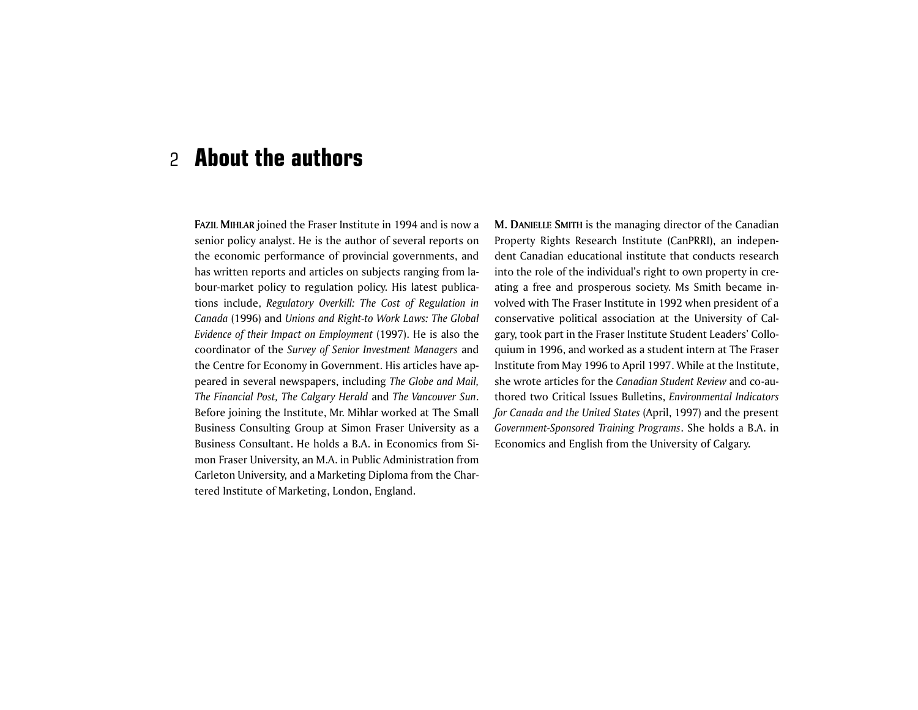# 2 **About the authors**

**FAZIL MIHLAR** joined the Fraser Institute in 1994 and is now a senior policy analyst. He is the author of several reports on the economic performance of provincial governments, and has written reports and articles on subjects ranging from labour-market policy to regulation policy. His latest publications include, *Regulatory Overkill: The Cost of Regulation in Canada* (1996) and *Unions and Right-to Work Laws: The Global Evidence of their Impact on Employment* (1997). He is also the coordinator of the *Survey of Senior Investment Managers* and the Centre for Economy in Government. His articles have appeared in several newspapers, including *The Globe and Mail, The Financial Post, The Calgary Herald* and *The Vancouver Sun*. Before joining the Institute, Mr. Mihlar worked at The Small Business Consulting Group at Simon Fraser University as a Business Consultant. He holds a B.A. in Economics from Simon Fraser University, an M.A. in Public Administration from Carleton University, and a Marketing Diploma from the Chartered Institute of Marketing, London, England.

**M. DANIELLE SMITH** is the managing director of the Canadian Property Rights Research Institute (CanPRRI), an independent Canadian educational institute that conducts researchinto the role of the individual's right to own property in creating a free and prosperous society. Ms Smith became involved with The Fraser Institute in 1992 when president of a conservative political association at the University of Calgary, took part in the Fraser Institute Student Leaders' Colloquium in 1996, and worked as a student intern at The Fraser Institute from May 1996 to April 1997. While at the Institute, she wrote articles for the *Canadian Student Review* and co-authored two Critical Issues Bulletins, *Environmental Indicators for Canada and the United States* (April, 1997) and the present *Government-Sponsored Training Programs*. She holds a B.A. in Economics and English from the University of Calgary.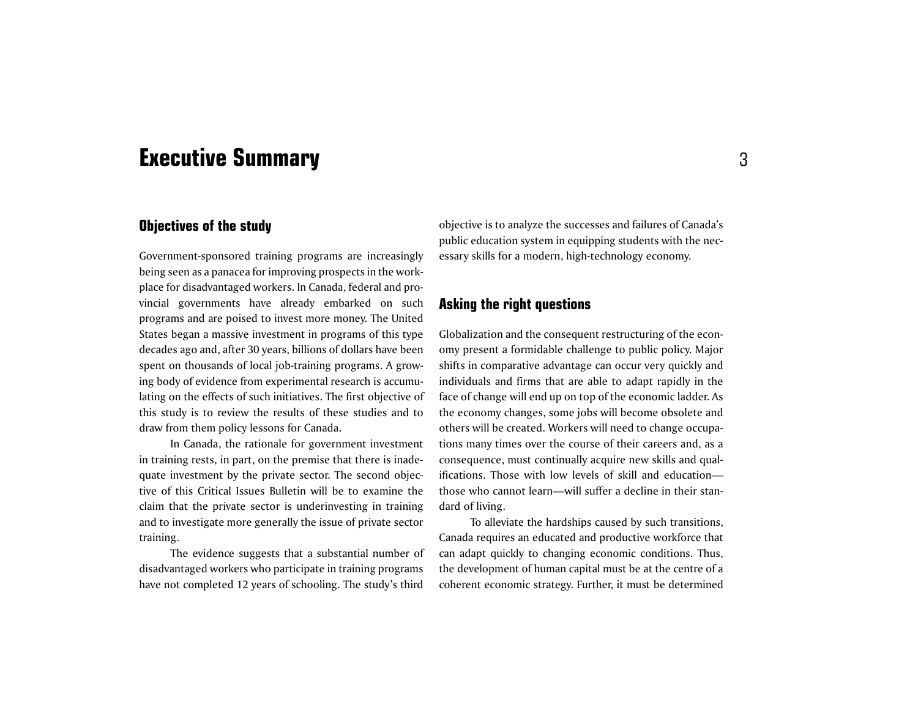# **Executive Summary** <sup>3</sup>

### **Objectives of the study**

Government-sponsored training programs are increasingly being seen as a panacea for improving prospects in the workplace for disadvantaged workers. In Canada, federal and provincial governments have already embarked on such programs and are poised to invest more money. The United States began a massive investment in programs of this type decades ago and, after 30 years, billions of dollars have been spent on thousands of local job-training programs. A growing body of evidence from experimental research is accumulating on the effects of such initiatives. The first objective of this study is to review the results of these studies and to draw from them policy lessons for Canada.

In Canada, the rationale for government investment in training rests, in part, on the premise that there is inadequate investment by the private sector. The second objective of this Critical Issues Bulletin will be to examine theclaim that the private sector is underinvesting in training and to investigate more generally the issue of private sector training.

The evidence suggests that a substantial number of disadvantaged workers who participate in training programs have not completed 12 years of schooling. The study's third

objective is to analyze the successes and failures of Canada's public education system in equipping students with the necessary skills for a modern, high-technology economy.

### **Asking the right questions**

Globalization and the consequent restructuring of the economy present a formidable challenge to public policy. Major shifts in comparative advantage can occur very quickly and individuals and firms that are able to adapt rapidly in the face of change will end up on top of the economic ladder. As the economy changes, some jobs will become obsolete and others will be created. Workers will need to change occupations many times over the course of their careers and, as a consequence, must continually acquire new skills and qualifications. Those with low levels of skill and educationthose who cannot learn—will suffer a decline in their standard of living.

To alleviate the hardships caused by such transitions, Canada requires an educated and productive workforce that can adapt quickly to changing economic conditions. Thus, the development of human capital must be at the centre of a coherent economic strategy. Further, it must be determined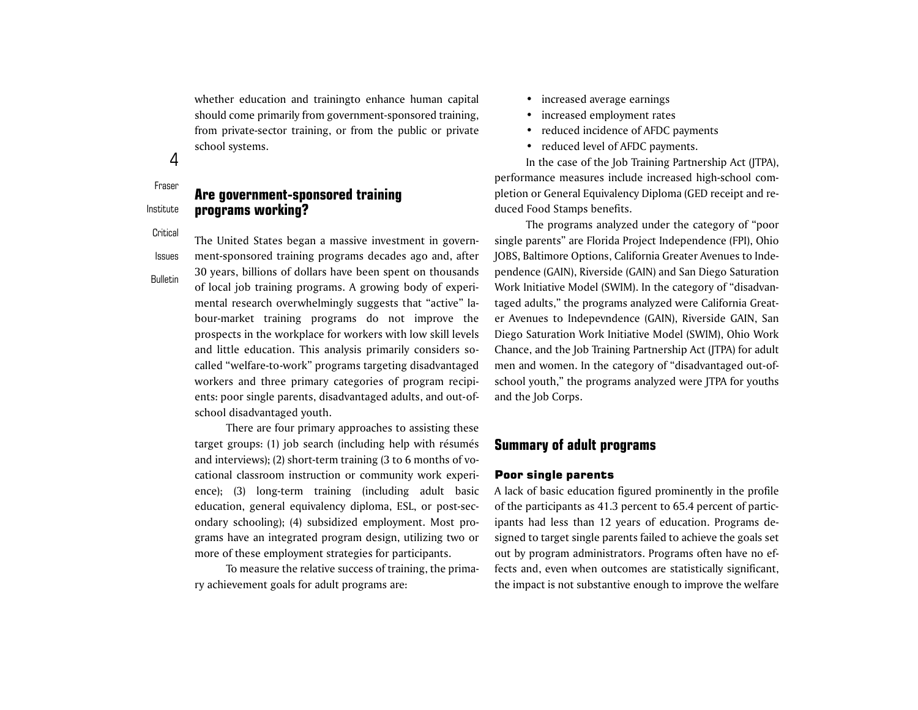whether education and trainingto enhance human capital should come primarily from government-sponsored training, from private-sector training, or from the public or private school systems.

### 4

### **Are government-sponsored training programs working?**

Critical

Institute

Fraser

Issues

**Bulletin** 

The United States began a massive investment in government-sponsored training programs decades ago and, after 30 years, billions of dollars have been spent on thousands of local job training programs. A growing body of experimental research overwhelmingly suggests that "active" labour-market training programs do not improve the prospects in the workplace for workers with low skill levels and little education. This analysis primarily considers socalled "welfare-to-work" programs targeting disadvantaged workers and three primary categories of program recipients: poor single parents, disadvantaged adults, and out-ofschool disadvantaged youth.

There are four primary approaches to assisting these target groups: (1) job search (including help with résumés and interviews); (2) short-term training (3 to 6 months of vocational classroom instruction or community work experience); (3) long-term training (including adult basic education, general equivalency diploma, ESL, or post-secondary schooling); (4) subsidized employment. Most programs have an integrated program design, utilizing two or more of these employment strategies for participants.

To measure the relative success of training, the primary achievement goals for adult programs are:

- increased average earnings
- increased employment rates
- reduced incidence of AFDC payments
- reduced level of AFDC payments.

In the case of the Job Training Partnership Act (JTPA), performance measures include increased high-school completion or General Equivalency Diploma (GED receipt and reduced Food Stamps benefits.

The programs analyzed under the category of "poor single parents" are Florida Project Independence (FPI), Ohio JOBS, Baltimore Options, California Greater Avenues to Independence (GAIN), Riverside (GAIN) and San Diego Saturation Work Initiative Model (SWIM). In the category of "disadvantaged adults," the programs analyzed were California Greater Avenues to Indepevndence (GAIN), Riverside GAIN, San Diego Saturation Work Initiative Model (SWIM), Ohio Work Chance, and the Job Training Partnership Act (JTPA) for adult men and women. In the category of "disadvantaged out-ofschool youth," the programs analyzed were JTPA for youths and the Job Corps.

### **Summary of adult programs**

#### Poor single parents

A lack of basic education figured prominently in the profile of the participants as 41.3 percent to 65.4 percent of participants had less than 12 years of education. Programs designed to target single parents failed to achieve the goals set out by program administrators. Programs often have no effects and, even when outcomes are statistically significant, the impact is not substantive enough to improve the welfare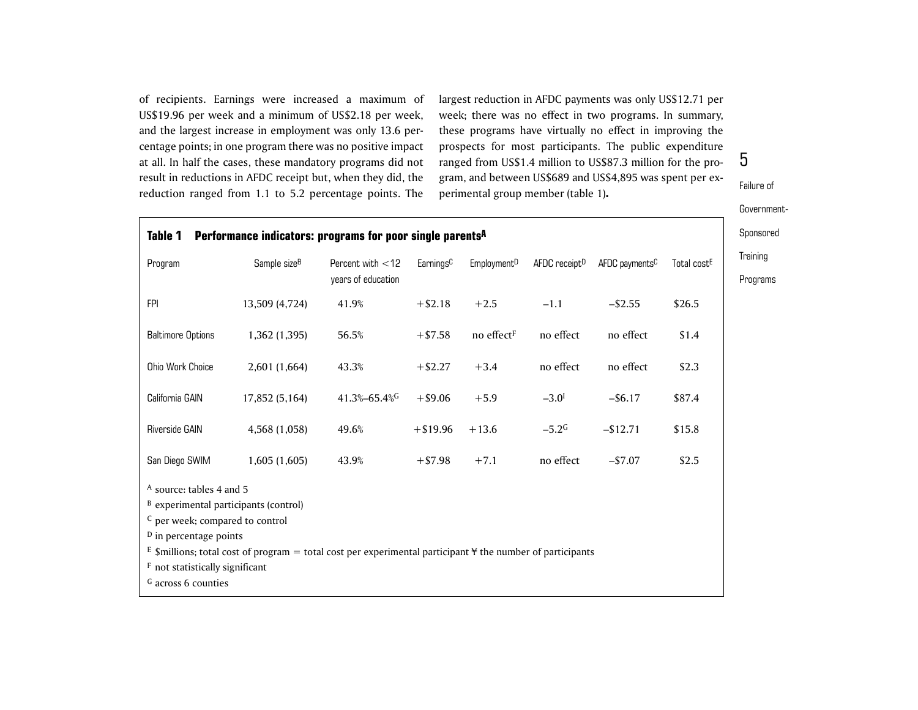of recipients. Earnings were increased a maximum of US\$19.96 per week and a minimum of US\$2.18 per week, and the largest increase in employment was only 13.6 percentage points; in one program there was no positive impact at all. In half the cases, these mandatory programs did not result in reductions in AFDC receipt but, when they did, the reduction ranged from 1.1 to 5.2 percentage points. The

**Table 1 Performance indicators: programs for poor single parentsA**

largest reduction in AFDC payments was only US\$12.71 per week; there was no effect in two programs. In summary, these programs have virtually no effect in improving the prospects for most participants. The public expenditure ranged from US\$1.4 million to US\$87.3 million for the program, and between US\$689 and US\$4,895 was spent per experimental group member (table 1)**.**

Government-Sponsored **Training** 

Programs

Failure of

5

| Program                                                                                                                  | Sample size <sup>B</sup> | Percent with $<$ 12<br>years of education | Earnings <sup>C</sup> | Employment <sup>D</sup> | AFDC receipt <sup>D</sup> | AFDC payments <sup>C</sup> | Total cost <sup>E</sup> |  |  |
|--------------------------------------------------------------------------------------------------------------------------|--------------------------|-------------------------------------------|-----------------------|-------------------------|---------------------------|----------------------------|-------------------------|--|--|
| <b>FPI</b>                                                                                                               | 13,509 (4,724)           | 41.9%                                     | $+ $2.18$             | $+2.5$                  | $-1.1$                    | $-$ \$2.55                 | \$26.5                  |  |  |
| <b>Baltimore Options</b>                                                                                                 | 1,362 (1,395)            | 56.5%                                     | $+ $7.58$             | no effect <sup>F</sup>  | no effect                 | no effect                  | \$1.4                   |  |  |
| Ohio Work Choice                                                                                                         | 2,601 (1,664)            | 43.3%                                     | $+$ \$2.27            | $+3.4$                  | no effect                 | no effect                  | \$2.3                   |  |  |
| California GAIN                                                                                                          | 17,852 (5,164)           | 41.3%-65.4%                               | $+$ \$9.06            | $+5.9$                  | $-3.0I$                   | $-$ \$6.17                 | \$87.4                  |  |  |
| Riverside GAIN                                                                                                           | 4,568 (1,058)            | 49.6%                                     | $+ $19.96$            | $+13.6$                 | $-5.2G$                   | $-$12.71$                  | \$15.8                  |  |  |
| San Diego SWIM                                                                                                           | 1,605 (1,605)            | 43.9%                                     | $+ $7.98$             | $+7.1$                  | no effect                 | $-$ \$7.07                 | \$2.5                   |  |  |
| $A$ source: tables 4 and 5                                                                                               |                          |                                           |                       |                         |                           |                            |                         |  |  |
| $B$ experimental participants (control)                                                                                  |                          |                                           |                       |                         |                           |                            |                         |  |  |
| <sup>C</sup> per week; compared to control                                                                               |                          |                                           |                       |                         |                           |                            |                         |  |  |
| <sup>D</sup> in percentage points                                                                                        |                          |                                           |                       |                         |                           |                            |                         |  |  |
| $E$ \$millions; total cost of program = total cost per experimental participant $\frac{1}{2}$ the number of participants |                          |                                           |                       |                         |                           |                            |                         |  |  |
|                                                                                                                          |                          |                                           |                       |                         |                           |                            |                         |  |  |

F not statistically significant

<sup>G</sup> across 6 counties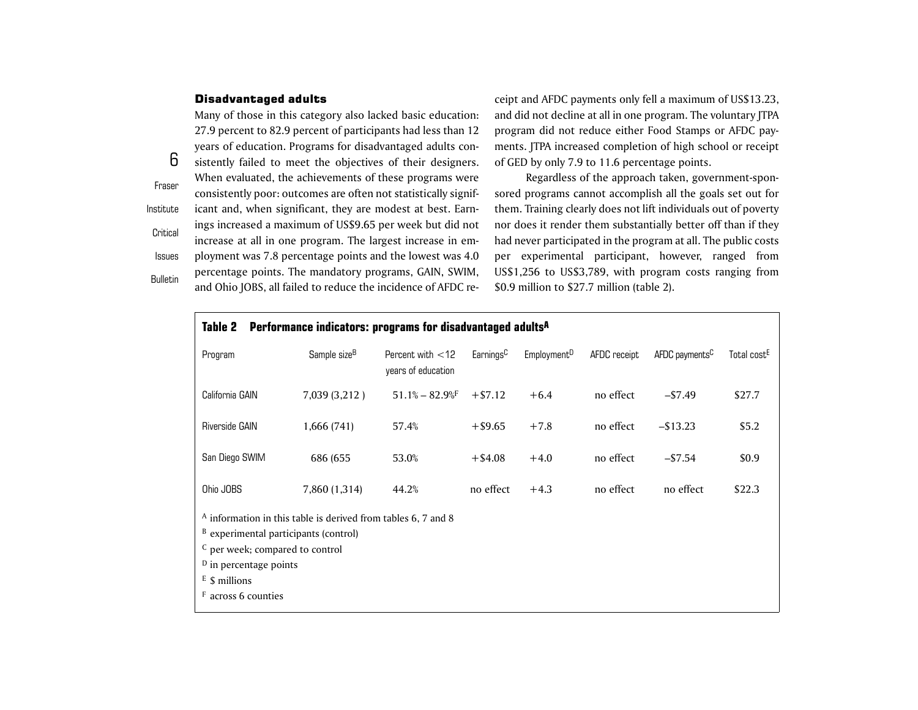### Disadvantaged adults

6FraserInstituteCritical Issues**Bulletin** Many of those in this category also lacked basic education: 27.9 percent to 82.9 percent of participants had less than 12 years of education. Programs for disadvantaged adults consistently failed to meet the objectives of their designers. When evaluated, the achievements of these programs were consistently poor: outcomes are often not statistically significant and, when significant, they are modest at best. Earnings increased a maximum of US\$9.65 per week but did not increase at all in one program. The largest increase in employment was 7.8 percentage points and the lowest was 4.0 percentage points. The mandatory programs, GAIN, SWIM, and Ohio JOBS, all failed to reduce the incidence of AFDC receipt and AFDC payments only fell a maximum of US\$13.23, and did not decline at all in one program. The voluntary JTPA program did not reduce either Food Stamps or AFDC pay ments. JTPA increased completion of high school or receipt of GED by only 7.9 to 11.6 percentage points.

Regardless of the approach taken, government-spon sored programs cannot accomplish all the goals set out for them. Training clearly does not lift individuals out of poverty nor does it render them substantially better off than if they had never participated in the program at all. The public costs per experimental participant, however, ranged from US\$1,256 to US\$3,789, with program costs ranging from \$0.9 million to \$27.7 million (table 2).

| Performance indicators: programs for disadvantaged adults <sup>A</sup><br>Table 2 |                          |                                           |                       |                         |              |                            |                         |  |
|-----------------------------------------------------------------------------------|--------------------------|-------------------------------------------|-----------------------|-------------------------|--------------|----------------------------|-------------------------|--|
| Program                                                                           | Sample size <sup>B</sup> | Percent with $<$ 12<br>years of education | Earnings <sup>C</sup> | Employment <sup>D</sup> | AFDC receipt | AFDC payments <sup>C</sup> | Total cost <sup>E</sup> |  |
| California GAIN                                                                   | 7,039 (3,212)            | $51.1\% - 82.9\%$                         | $+ $7.12$             | $+6.4$                  | no effect    | $-57.49$                   | \$27.7                  |  |
| <b>Riverside GAIN</b>                                                             | 1,666 (741)              | 57.4%                                     | $+$ \$9.65            | $+7.8$                  | no effect    | $-$ \$13.23                | \$5.2                   |  |
| San Diego SWIM                                                                    | 686 (655                 | 53.0%                                     | $+ $4.08$             | $+4.0$                  | no effect    | $-57.54$                   | \$0.9                   |  |
| Ohio JOBS                                                                         | 7,860 (1,314)            | 44.2%                                     | no effect             | $+4.3$                  | no effect    | no effect                  | \$22.3                  |  |
| <sup>A</sup> information in this table is derived from tables 6, 7 and 8          |                          |                                           |                       |                         |              |                            |                         |  |
| $B$ experimental participants (control)                                           |                          |                                           |                       |                         |              |                            |                         |  |
| <sup>C</sup> per week; compared to control                                        |                          |                                           |                       |                         |              |                            |                         |  |
| <sup>D</sup> in percentage points                                                 |                          |                                           |                       |                         |              |                            |                         |  |
| $E$ \$ millions                                                                   |                          |                                           |                       |                         |              |                            |                         |  |
| F across 6 counties                                                               |                          |                                           |                       |                         |              |                            |                         |  |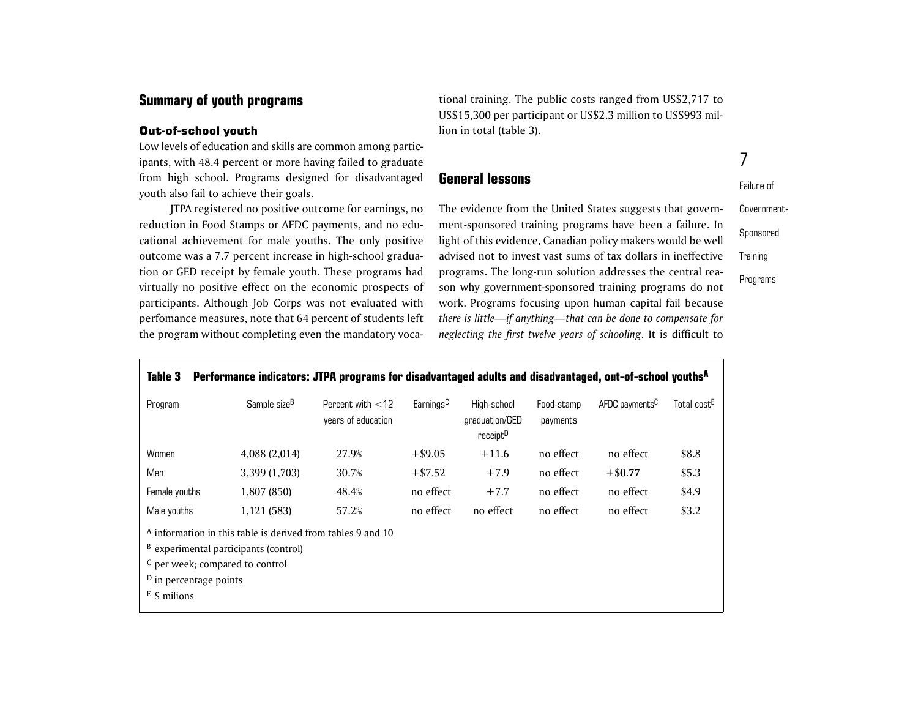### **Summary of youth programs**

### Out-of-school youth

Low levels of education and skills are common among participants, with 48.4 percent or more having failed to graduate from high school. Programs designed for disadvantaged youth also fail to achieve their goals.

JTPA registered no positive outcome for earnings, no reduction in Food Stamps or AFDC payments, and no educational achievement for male youths. The only positive outcome was a 7.7 percent increase in high-school graduation or GED receipt by female youth. These programs had virtually no positive effect on the economic prospects of participants. Although Job Corps was not evaluated with perfomance measures, note that 64 percent of students left the program without completing even the mandatory vocational training. The public costs ranged from US\$2,717 to US\$15,300 per participant or US\$2.3 million to US\$993 mil lion in total (table 3).

### **General lessons**

The evidence from the United States suggests that govern ment-sponsored training programs have been a failure. In light of this evidence, Canadian policy makers would be well advised not to invest vast sums of tax dollars in ineffectiveprograms. The long-run solution addresses the central rea son why government-sponsored training programs do not work. Programs focusing upon human capital fail because *there is little—if anything—that can be done to compensate for neglecting the first twelve years of schooling*. It is difficult to

# 7

| Table 3<br>Performance indicators: JTPA programs for disadvantaged adults and disadvantaged, out-of-school youths <sup>A</sup>                                                                                                  |                          |                                           |                       |                                                       |                        |                            |                         |  |
|---------------------------------------------------------------------------------------------------------------------------------------------------------------------------------------------------------------------------------|--------------------------|-------------------------------------------|-----------------------|-------------------------------------------------------|------------------------|----------------------------|-------------------------|--|
| Program                                                                                                                                                                                                                         | Sample size <sup>B</sup> | Percent with $<$ 12<br>years of education | Earnings <sup>C</sup> | High-school<br>graduation/GED<br>receipt <sup>D</sup> | Food-stamp<br>payments | AFDC payments <sup>C</sup> | Total cost <sup>E</sup> |  |
| Women                                                                                                                                                                                                                           | 4,088 (2,014)            | 27.9%                                     | $+$ \$9.05            | $+11.6$                                               | no effect              | no effect                  | \$8.8                   |  |
| Men                                                                                                                                                                                                                             | 3,399 (1,703)            | 30.7%                                     | $+ $7.52$             | $+7.9$                                                | no effect              | $+ $0.77$                  | \$5.3                   |  |
| Female youths                                                                                                                                                                                                                   | 1,807 (850)              | 48.4%                                     | no effect             | $+7.7$                                                | no effect              | no effect                  | \$4.9                   |  |
| Male youths                                                                                                                                                                                                                     | 1,121 (583)              | 57.2%                                     | no effect             | no effect                                             | no effect              | no effect                  | \$3.2                   |  |
| <sup>A</sup> information in this table is derived from tables 9 and 10<br><sup>B</sup> experimental participants (control)<br><sup>C</sup> per week; compared to control<br><sup>D</sup> in percentage points<br>$E$ \$ milions |                          |                                           |                       |                                                       |                        |                            |                         |  |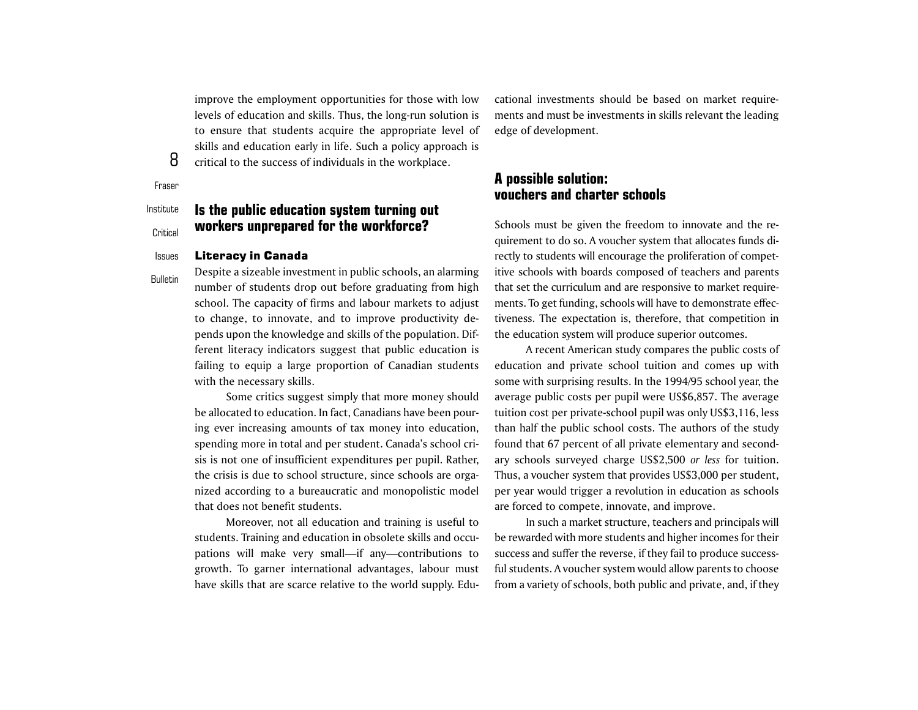improve the employment opportunities for those with low levels of education and skills. Thus, the long-run solution is to ensure that students acquire the appropriate level of skills and education early in life. Such a policy approach is critical to the success of individuals in the workplace.

Fraser

**Bulletin** 

8

#### InstituteCritical**Is the public education system turning out workers unprepared for the workforce?**

#### IssuesLiteracy in Canada

Despite a sizeable investment in public schools, an alarming number of students drop out before graduating from high school. The capacity of firms and labour markets to adjust to change, to innovate, and to improve productivity depends upon the knowledge and skills of the population. Different literacy indicators suggest that public education is failing to equip a large proportion of Canadian students with the necessary skills.

Some critics suggest simply that more money should be allocated to education. In fact, Canadians have been pouring ever increasing amounts of tax money into education, spending more in total and per student. Canada's school crisis is not one of insufficient expenditures per pupil. Rather, the crisis is due to school structure, since schools are organized according to a bureaucratic and monopolistic model that does not benefit students.

Moreover, not all education and training is useful to students. Training and education in obsolete skills and occupations will make very small—if any—contributions to growth. To garner international advantages, labour must have skills that are scarce relative to the world supply. Educational investments should be based on market require ments and must be investments in skills relevant the leading edge of development.

# **A possible solution: vouchers and charter schools**

Schools must be given the freedom to innovate and the re quirement to do so. A voucher system that allocates funds di rectly to students will encourage the proliferation of compet itive schools with boards composed of teachers and parents that set the curriculum and are responsive to market require ments. To get funding, schools will have to demonstrate effec tiveness. The expectation is, therefore, that competition in the education system will produce superior outcomes.

A recent American study compares the public costs of education and private school tuition and comes up with some with surprising results. In the 1994/95 school year, the average public costs per pupil were US\$6,857. The average tuition cost per private-school pupil was only US\$3,116, less than half the public school costs. The authors of the study found that 67 percent of all private elementary and second ary schools surveyed charge US\$2,500 *or less* for tuition. Thus, a voucher system that provides US\$3,000 per student, per year would trigger a revolution in education as schools are forced to compete, innovate, and improve.

In such a market structure, teachers and principals will be rewarded with more students and higher incomes for their success and suffer the reverse, if they fail to produce success ful students. A voucher system would allow parents to choose from a variety of schools, both public and private, and, if they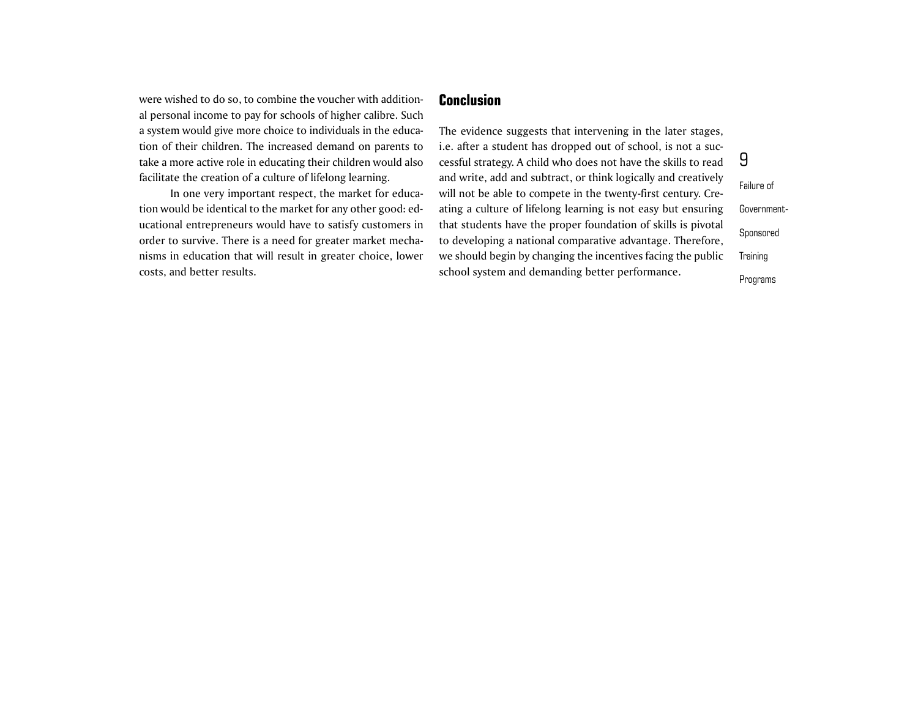were wished to do so, to combine the voucher with additional personal income to pay for schools of higher calibre. Such a system would give more choice to individuals in the education of their children. The increased demand on parents to take a more active role in educating their children would also facilitate the creation of a culture of lifelong learning.

In one very important respect, the market for education would be identical to the market for any other good: educational entrepreneurs would have to satisfy customers in order to survive. There is a need for greater market mechanisms in education that will result in greater choice, lower costs, and better results.

### **Conclusion**

The evidence suggests that intervening in the later stages, i.e. after a student has dropped out of school, is not a successful strategy. A child who does not have the skills to read and write, add and subtract, or think logically and creatively will not be able to compete in the twenty-first century. Creating a culture of lifelong learning is not easy but ensuring that students have the proper foundation of skills is pivotal to developing a national comparative advantage. Therefore, we should begin by changing the incentives facing the public school system and demanding better performance.

Failure of Government-Sponsored **Training** Programs

9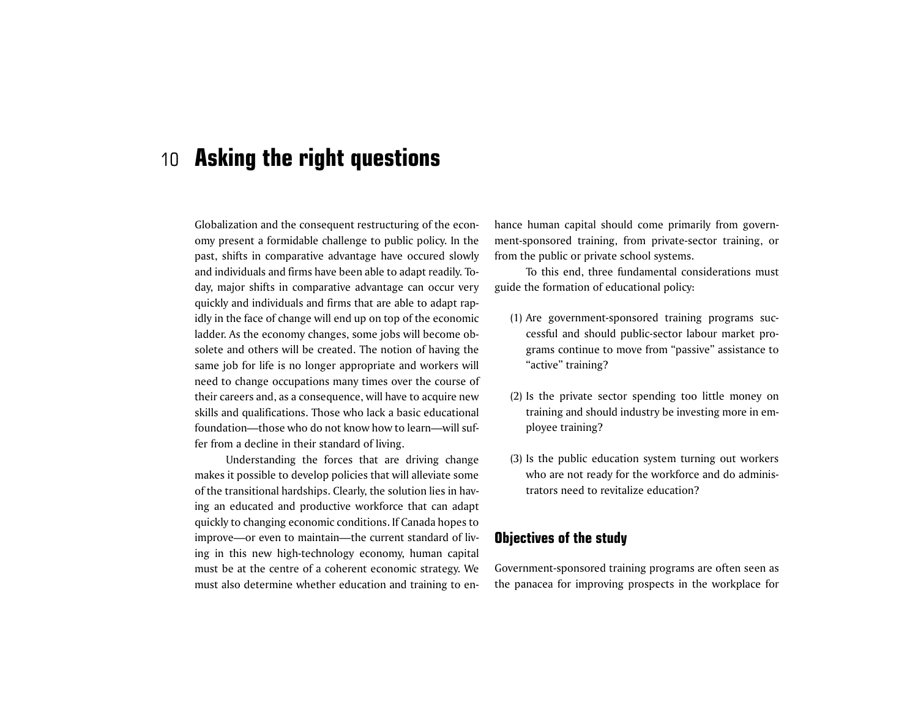# 10 **Asking the right questions**

Globalization and the consequent restructuring of the economy present a formidable challenge to public policy. In the past, shifts in comparative advantage have occured slowly and individuals and firms have been able to adapt readily. Today, major shifts in comparative advantage can occur very quickly and individuals and firms that are able to adapt rapidly in the face of change will end up on top of the economic ladder. As the economy changes, some jobs will become obsolete and others will be created. The notion of having the same job for life is no longer appropriate and workers will need to change occupations many times over the course of their careers and, as a consequence, will have to acquire new skills and qualifications. Those who lack a basic educational foundation—those who do not know how to learn—will suffer from a decline in their standard of living.

Understanding the forces that are driving change makes it possible to develop policies that will alleviate some of the transitional hardships. Clearly, the solution lies in having an educated and productive workforce that can adapt quickly to changing economic conditions. If Canada hopes to improve—or even to maintain—the current standard of living in this new high-technology economy, human capital must be at the centre of a coherent economic strategy. We must also determine whether education and training to enhance human capital should come primarily from govern ment-sponsored training, from private-sector training, or from the public or private school systems.

To this end, three fundamental considerations must guide the formation of educational policy:

- (1) Are government-sponsored training programs suc cessful and should public-sector labour market pro grams continue to move from "passive" assistance to "active" training?
- (2) Is the private sector spending too little money on training and should industry be investing more in em ployee training?
- (3) Is the public education system turning out workers who are not ready for the workforce and do adminis trators need to revitalize education?

### **Objectives of the study**

Government-sponsored training programs are often seen as the panacea for improving prospects in the workplace for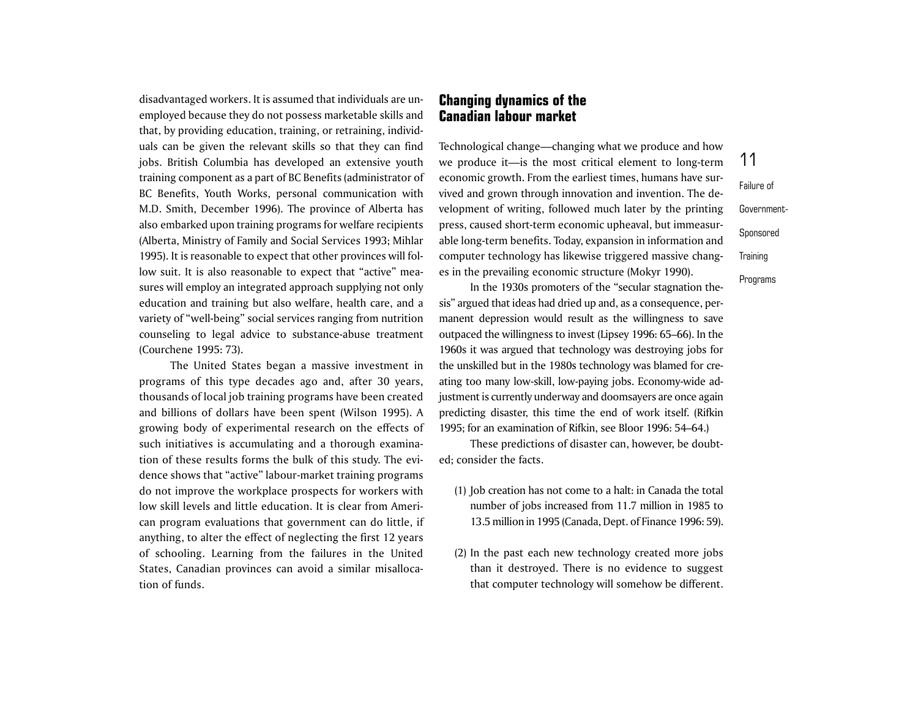disadvantaged workers. It is assumed that individuals are unemployed because they do not possess marketable skills and that, by providing education, training, or retraining, individuals can be given the relevant skills so that they can find jobs. British Columbia has developed an extensive youth training component as a part of BC Benefits (administrator of BC Benefits, Youth Works, personal communication with M.D. Smith, December 1996). The province of Alberta has also embarked upon training programs for welfare recipients (Alberta, Ministry of Family and Social Services 1993; Mihlar 1995). It is reasonable to expect that other provinces will follow suit. It is also reasonable to expect that "active" measures will employ an integrated approach supplying not only education and training but also welfare, health care, and a variety of "well-being" social services ranging from nutrition counseling to legal advice to substance-abuse treatment (Courchene 1995: 73).

The United States began a massive investment in programs of this type decades ago and, after 30 years, thousands of local job training programs have been created and billions of dollars have been spent (Wilson 1995). A growing body of experimental research on the effects of such initiatives is accumulating and a thorough examination of these results forms the bulk of this study. The evidence shows that "active" labour-market training programs do not improve the workplace prospects for workers with low skill levels and little education. It is clear from American program evaluations that government can do little, if anything, to alter the effect of neglecting the first 12 years of schooling. Learning from the failures in the United States, Canadian provinces can avoid a similar misallocation of funds.

### **Changing dynamics of the Canadian labour market**

Technological change—changing what we produce and how we produce it—is the most critical element to long-term economic growth. From the earliest times, humans have survived and grown through innovation and invention. The development of writing, followed much later by the printing press, caused short-term economic upheaval, but immeasurable long-term benefits. Today, expansion in information and computer technology has likewise triggered massive changes in the prevailing economic structure (Mokyr 1990).

In the 1930s promoters of the "secular stagnation thesis" argued that ideas had dried up and, as a consequence, permanent depression would result as the willingness to save outpaced the willingness to invest (Lipsey 1996: 65–66). In the 1960s it was argued that technology was destroying jobs for the unskilled but in the 1980s technology was blamed for creating too many low-skill, low-paying jobs. Economy-wide adjustment is currently underway and doomsayers are once again predicting disaster, this time the end of work itself. (Rifkin 1995; for an examination of Rifkin, see Bloor 1996: 54–64.)

These predictions of disaster can, however, be doubted; consider the facts.

- (1) Job creation has not come to a halt: in Canada the total number of jobs increased from 11.7 million in 1985 to 13.5 million in 1995 (Canada, Dept. of Finance 1996: 59).
- (2) In the past each new technology created more jobs than it destroyed. There is no evidence to suggest that computer technology will somehow be different.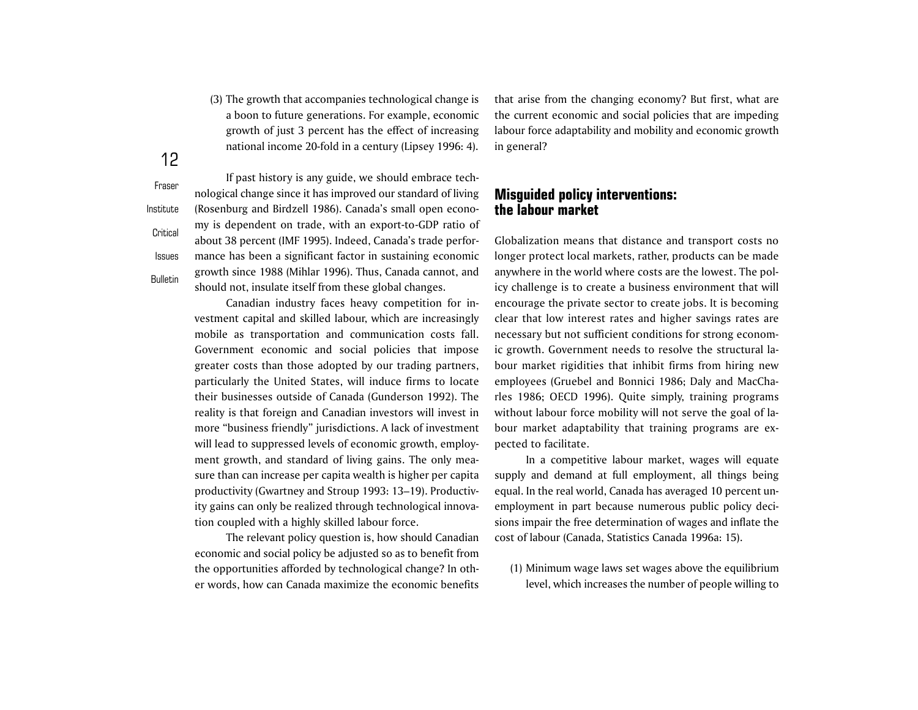(3) The growth that accompanies technological change is a boon to future generations. For example, economic growth of just 3 percent has the effect of increasing national income 20-fold in a century (Lipsey 1996: 4).

FraserInstituteCriticalIssues

**Bulletin** 

12

If past history is any guide, we should embrace technological change since it has improved our standard of living (Rosenburg and Birdzell 1986). Canada's small open economy is dependent on trade, with an export-to-GDP ratio of about 38 percent (IMF 1995). Indeed, Canada's trade performance has been a significant factor in sustaining economic growth since 1988 (Mihlar 1996). Thus, Canada cannot, and should not, insulate itself from these global changes.

Canadian industry faces heavy competition for investment capital and skilled labour, which are increasingly mobile as transportation and communication costs fall. Government economic and social policies that impose greater costs than those adopted by our trading partners, particularly the United States, will induce firms to locate their businesses outside of Canada (Gunderson 1992). The reality is that foreign and Canadian investors will invest in more "business friendly" jurisdictions. A lack of investment will lead to suppressed levels of economic growth, employment growth, and standard of living gains. The only measure than can increase per capita wealth is higher per capita productivity (Gwartney and Stroup 1993: 13–19). Productivity gains can only be realized through technological innovation coupled with a highly skilled labour force.

The relevant policy question is, how should Canadian economic and social policy be adjusted so as to benefit from the opportunities afforded by technological change? In other words, how can Canada maximize the economic benefits

that arise from the changing economy? But first, what are the current economic and social policies that are impeding labour force adaptability and mobility and economic growth in general?

### **Misguided policy interventions: the labour market**

Globalization means that distance and transport costs no longer protect local markets, rather, products can be made anywhere in the world where costs are the lowest. The policy challenge is to create a business environment that will encourage the private sector to create jobs. It is becoming clear that low interest rates and higher savings rates are necessary but not sufficient conditions for strong economic growth. Government needs to resolve the structural labour market rigidities that inhibit firms from hiring new employees (Gruebel and Bonnici 1986; Daly and MacCharles 1986; OECD 1996). Quite simply, training programs without labour force mobility will not serve the goal of labour market adaptability that training programs are expected to facilitate.

In a competitive labour market, wages will equate supply and demand at full employment, all things being equal. In the real world, Canada has averaged 10 percent unemployment in part because numerous public policy decisions impair the free determination of wages and inflate the cost of labour (Canada, Statistics Canada 1996a: 15).

(1) Minimum wage laws set wages above the equilibrium level, which increases the number of people willing to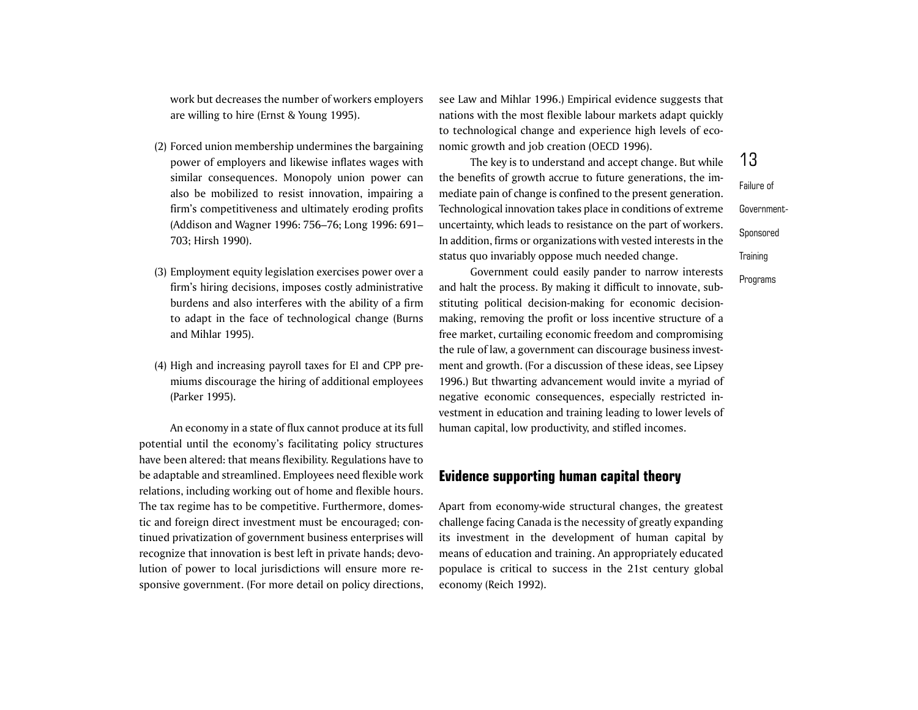work but decreases the number of workers employers are willing to hire (Ernst & Young 1995).

- (2) Forced union membership undermines the bargaining power of employers and likewise inflates wages with similar consequences. Monopoly union power can also be mobilized to resist innovation, impairing a firm's competitiveness and ultimately eroding profits (Addison and Wagner 1996: 756–76; Long 1996: 691– 703; Hirsh 1990).
- (3) Employment equity legislation exercises power over a firm's hiring decisions, imposes costly administrative burdens and also interferes with the ability of a firm to adapt in the face of technological change (Burns and Mihlar 1995).
- (4) High and increasing payroll taxes for EI and CPP premiums discourage the hiring of additional employees (Parker 1995).

An economy in a state of flux cannot produce at its full potential until the economy's facilitating policy structures have been altered: that means flexibility. Regulations have to be adaptable and streamlined. Employees need flexible work relations, including working out of home and flexible hours. The tax regime has to be competitive. Furthermore, domestic and foreign direct investment must be encouraged; continued privatization of government business enterprises will recognize that innovation is best left in private hands; devolution of power to local jurisdictions will ensure more responsive government. (For more detail on policy directions, see Law and Mihlar 1996.) Empirical evidence suggests that nations with the most flexible labour markets adapt quickly to technological change and experience high levels of economic growth and job creation (OECD 1996).

The key is to understand and accept change. But while the benefits of growth accrue to future generations, the immediate pain of change is confined to the present generation. Technological innovation takes place in conditions of extreme uncertainty, which leads to resistance on the part of workers. In addition, firms or organizations with vested interests in the status quo invariably oppose much needed change.

Government could easily pander to narrow interests and halt the process. By making it difficult to innovate, substituting political decision-making for economic decisionmaking, removing the profit or loss incentive structure of a free market, curtailing economic freedom and compromising the rule of law, a government can discourage business investment and growth. (For a discussion of these ideas, see Lipsey 1996.) But thwarting advancement would invite a myriad of negative economic consequences, especially restricted investment in education and training leading to lower levels of human capital, low productivity, and stifled incomes.

### **Evidence supporting human capital theory**

Apart from economy-wide structural changes, the greatest challenge facing Canada is the necessity of greatly expanding its investment in the development of human capital by means of education and training. An appropriately educated populace is critical to success in the 21st century global economy (Reich 1992).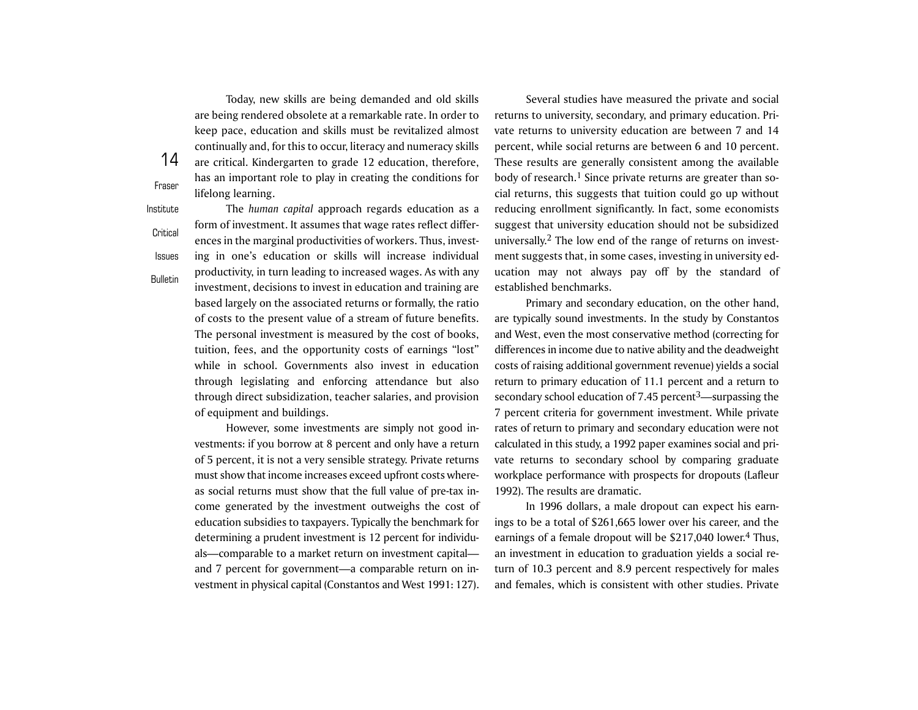Today, new skills are being demanded and old skills are being rendered obsolete at a remarkable rate. In order to keep pace, education and skills must be revitalized almost continually and, for this to occur, literacy and numeracy skills are critical. Kindergarten to grade 12 education, therefore, has an important role to play in creating the conditions for lifelong learning.

InstituteCritical

Issues

**Bulletin** 

14

Fraser

The *human capital* approach regards education as a form of investment. It assumes that wage rates reflect differences in the marginal productivities of workers. Thus, investing in one's education or skills will increase individual productivity, in turn leading to increased wages. As with any investment, decisions to invest in education and training are based largely on the associated returns or formally, the ratio of costs to the present value of a stream of future benefits. The personal investment is measured by the cost of books, tuition, fees, and the opportunity costs of earnings "lost" while in school. Governments also invest in education through legislating and enforcing attendance but also through direct subsidization, teacher salaries, and provision of equipment and buildings.

However, some investments are simply not good investments: if you borrow at 8 percent and only have a return of 5 percent, it is not a very sensible strategy. Private returns must show that income increases exceed upfront costs whereas social returns must show that the full value of pre-tax income generated by the investment outweighs the cost of education subsidies to taxpayers. Typically the benchmark for determining a prudent investment is 12 percent for individuals—comparable to a market return on investment capital and 7 percent for government—a comparable return on investment in physical capital (Constantos and West 1991: 127).

Several studies have measured the private and social returns to university, secondary, and primary education. Private returns to university education are between 7 and 14 percent, while social returns are between 6 and 10 percent. These results are generally consistent among the available body of research.<sup>1</sup> Since private returns are greater than social returns, this suggests that tuition could go up without reducing enrollment significantly. In fact, some economists suggest that university education should not be subsidized universally.2 The low end of the range of returns on investment suggests that, in some cases, investing in university education may not always pay off by the standard of established benchmarks.

Primary and secondary education, on the other hand, are typically sound investments. In the study by Constantos and West, even the most conservative method (correcting for differences in income due to native ability and the deadweight costs of raising additional government revenue) yields a social return to primary education of 11.1 percent and a return to secondary school education of  $7.45$  percent $3$ —surpassing the 7 percent criteria for government investment. While private rates of return to primary and secondary education were not calculated in this study, a 1992 paper examines social and private returns to secondary school by comparing graduate workplace performance with prospects for dropouts (Lafleur 1992). The results are dramatic.

In 1996 dollars, a male dropout can expect his earnings to be a total of \$261,665 lower over his career, and the earnings of a female dropout will be \$217,040 lower.<sup>4</sup> Thus, an investment in education to graduation yields a social return of 10.3 percent and 8.9 percent respectively for males and females, which is consistent with other studies. Private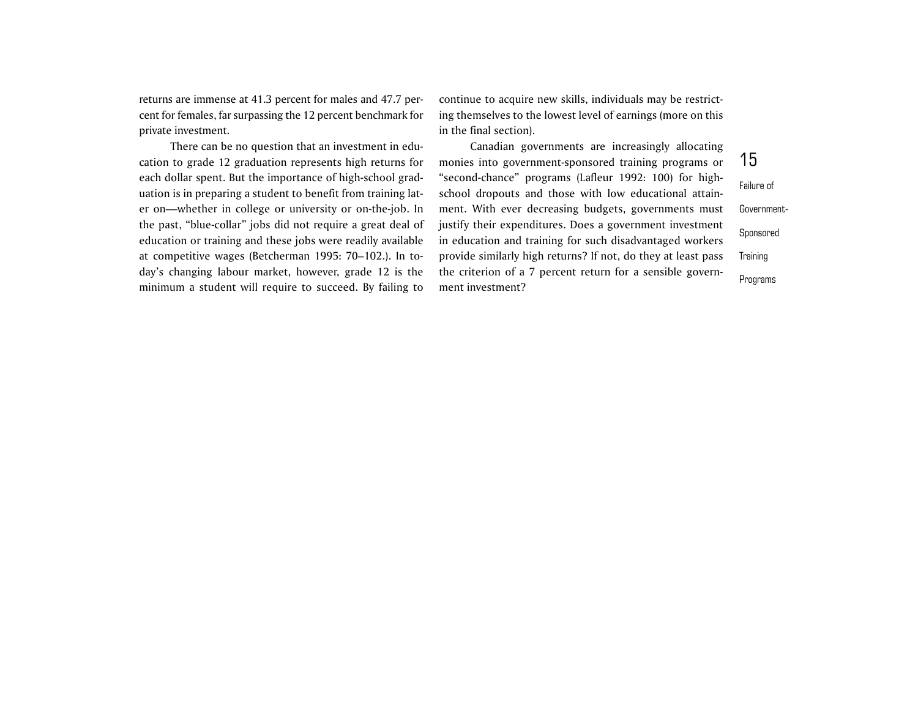returns are immense at 41.3 percent for males and 47.7 percent for females, far surpassing the 12 percent benchmark for private investment.

There can be no question that an investment in education to grade 12 graduation represents high returns for each dollar spent. But the importance of high-school graduation is in preparing a student to benefit from training later on—whether in college or university or on-the-job. In the past, "blue-collar" jobs did not require a great deal of education or training and these jobs were readily available at competitive wages (Betcherman 1995: 70–102.). In today's changing labour market, however, grade 12 is the minimum a student will require to succeed. By failing to continue to acquire new skills, individuals may be restricting themselves to the lowest level of earnings (more on this in the final section).

Canadian governments are increasingly allocating monies into government-sponsored training programs or "second-chance" programs (Lafleur 1992: 100) for highschool dropouts and those with low educational attainment. With ever decreasing budgets, governments must justify their expenditures. Does a government investment in education and training for such disadvantaged workers provide similarly high returns? If not, do they at least pass the criterion of a 7 percent return for a sensible government investment?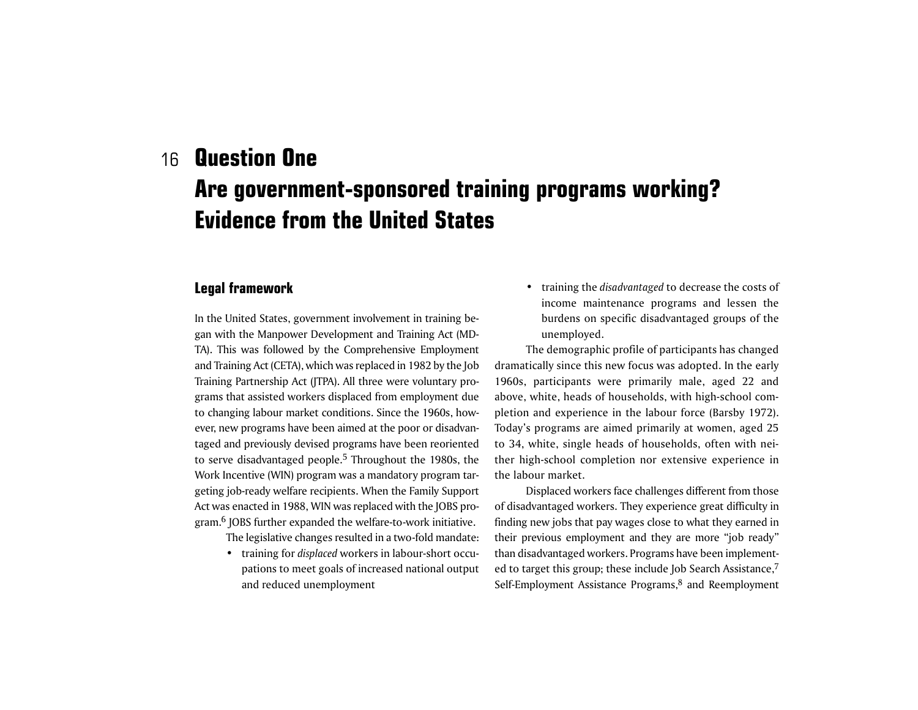# 16 **Question One Are government-sponsored training programs working? Evidence from the United States**

### **Legal framework**

In the United States, government involvement in training began with the Manpower Development and Training Act (MD-TA). This was followed by the Comprehensive Employment and Training Act (CETA), which was replaced in 1982 by the Job Training Partnership Act (JTPA). All three were voluntary programs that assisted workers displaced from employment due to changing labour market conditions. Since the 1960s, however, new programs have been aimed at the poor or disadvantaged and previously devised programs have been reoriented to serve disadvantaged people.5 Throughout the 1980s, the Work Incentive (WIN) program was a mandatory program targeting job-ready welfare recipients. When the Family Support Act was enacted in 1988, WIN was replaced with the JOBS program.6 JOBS further expanded the welfare-to-work initiative.

The legislative changes resulted in a two-fold mandate:

• training for *displaced* workers in labour-short occupations to meet goals of increased national output and reduced unemployment

• training the *disadvantaged* to decrease the costs of income maintenance programs and lessen the burdens on specific disadvantaged groups of the unemployed.

The demographic profile of participants has changed dramatically since this new focus was adopted. In the early 1960s, participants were primarily male, aged 22 and above, white, heads of households, with high-school completion and experience in the labour force (Barsby 1972). Today's programs are aimed primarily at women, aged 25 to 34, white, single heads of households, often with neither high-school completion nor extensive experience in the labour market.

Displaced workers face challenges different from those of disadvantaged workers. They experience great difficulty in finding new jobs that pay wages close to what they earned in their previous employment and they are more "job ready" than disadvantaged workers. Programs have been implemented to target this group; these include Job Search Assistance,<sup>7</sup> Self-Employment Assistance Programs,<sup>8</sup> and Reemployment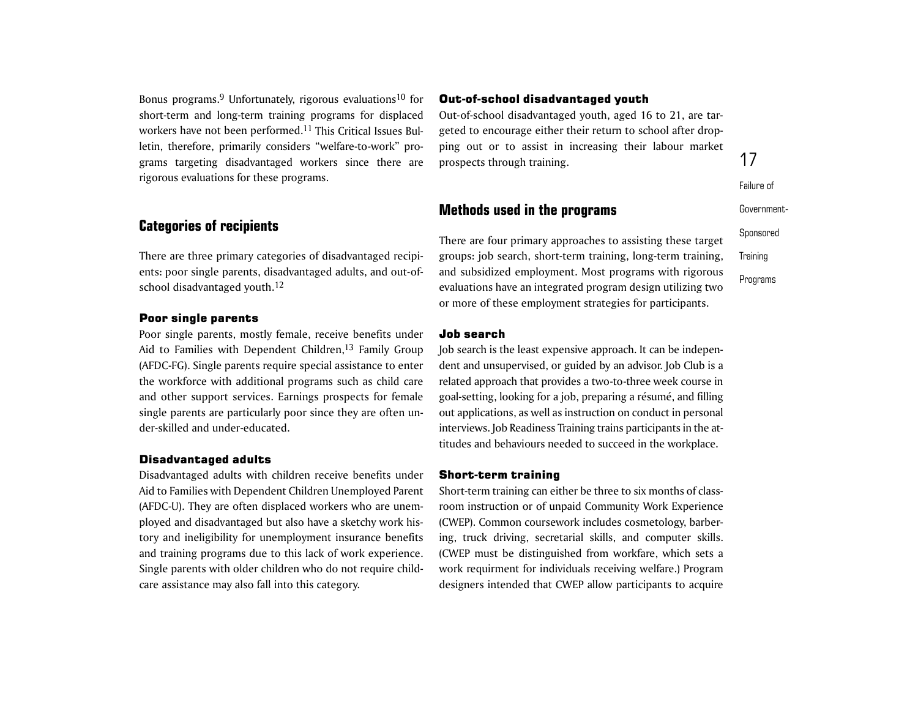Bonus programs.<sup>9</sup> Unfortunately, rigorous evaluations<sup>10</sup> for short-term and long-term training programs for displaced workers have not been performed.11 This Critical Issues Bulletin, therefore, primarily considers "welfare-to-work" programs targeting disadvantaged workers since there are rigorous evaluations for these programs.

### **Categories of recipients**

There are three primary categories of disadvantaged recipients: poor single parents, disadvantaged adults, and out-ofschool disadvantaged youth.<sup>12</sup>

### Poor single parents

Poor single parents, mostly female, receive benefits under Aid to Families with Dependent Children, $13$  Family Group (AFDC-FG). Single parents require special assistance to enter the workforce with additional programs such as child care and other support services. Earnings prospects for female single parents are particularly poor since they are often under-skilled and under-educated.

### Disadvantaged adults

Disadvantaged adults with children receive benefits under Aid to Families with Dependent Children Unemployed Parent (AFDC-U). They are often displaced workers who are unemployed and disadvantaged but also have a sketchy work history and ineligibility for unemployment insurance benefits and training programs due to this lack of work experience. Single parents with older children who do not require childcare assistance may also fall into this category.

### Out-of-school disadvantaged youth

**Methods used in the programs**

Out-of-school disadvantaged youth, aged 16 to 21, are targeted to encourage either their return to school after dropping out or to assist in increasing their labour market prospects through training.

Sponsored **Training** Programs

There are four primary approaches to assisting these target groups: job search, short-term training, long-term training, and subsidized employment. Most programs with rigorous evaluations have an integrated program design utilizing two or more of these employment strategies for participants.

### Job search

Job search is the least expensive approach. It can be independent and unsupervised, or guided by an advisor. Job Club is a related approach that provides a two-to-three week course in goal-setting, looking for a job, preparing a résumé, and filling out applications, as well as instruction on conduct in personal interviews. Job Readiness Training trains participants in the attitudes and behaviours needed to succeed in the workplace.

#### Short-term training

Short-term training can either be three to six months of classroom instruction or of unpaid Community Work Experience (CWEP). Common coursework includes cosmetology, barbering, truck driving, secretarial skills, and computer skills. (CWEP must be distinguished from workfare, which sets a work requirment for individuals receiving welfare.) Program designers intended that CWEP allow participants to acquire

17

Failure of

Government-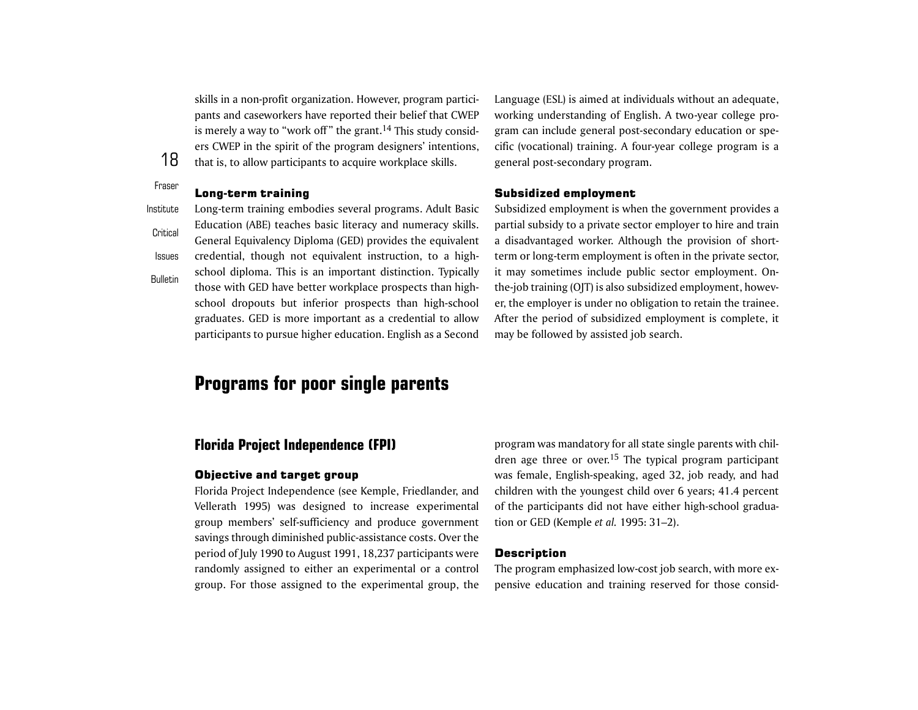skills in a non-profit organization. However, program participants and caseworkers have reported their belief that CWEP is merely a way to "work off" the grant.<sup>14</sup> This study considers CWEP in the spirit of the program designers' intentions, that is, to allow participants to acquire workplace skills.

Long-term training

InstituteCriticalIssues**Bulletin** Long-term training embodies several programs. Adult Basic Education (ABE) teaches basic literacy and numeracy skills. General Equivalency Diploma (GED) provides the equivalent credential, though not equivalent instruction, to a highschool diploma. This is an important distinction. Typically those with GED have better workplace prospects than highschool dropouts but inferior prospects than high-school graduates. GED is more important as a credential to allow participants to pursue higher education. English as a Second

**Programs for poor single parents**

### **Florida Project Independence (FPI)**

### Objective and target group

Florida Project Independence (see Kemple, Friedlander, and Vellerath 1995) was designed to increase experimental group members' self-sufficiency and produce government savings through diminished public-assistance costs. Over the period of July 1990 to August 1991, 18,237 participants were randomly assigned to either an experimental or a control group. For those assigned to the experimental group, the Language (ESL) is aimed at individuals without an adequate, working understanding of English. A two-year college program can include general post-secondary education or specific (vocational) training. A four-year college program is a general post-secondary program.

#### Subsidized employment

Subsidized employment is when the government provides a partial subsidy to a private sector employer to hire and train a disadvantaged worker. Although the provision of shortterm or long-term employment is often in the private sector, it may sometimes include public sector employment. Onthe-job training (OJT) is also subsidized employment, however, the employer is under no obligation to retain the trainee. After the period of subsidized employment is complete, it may be followed by assisted job search.

program was mandatory for all state single parents with children age three or over.15 The typical program participant was female, English-speaking, aged 32, job ready, and had children with the youngest child over 6 years; 41.4 percent of the participants did not have either high-school graduation or GED (Kemple *et al.* 1995: 31–2).

### **Description**

The program emphasized low-cost job search, with more expensive education and training reserved for those consid-

18

Fraser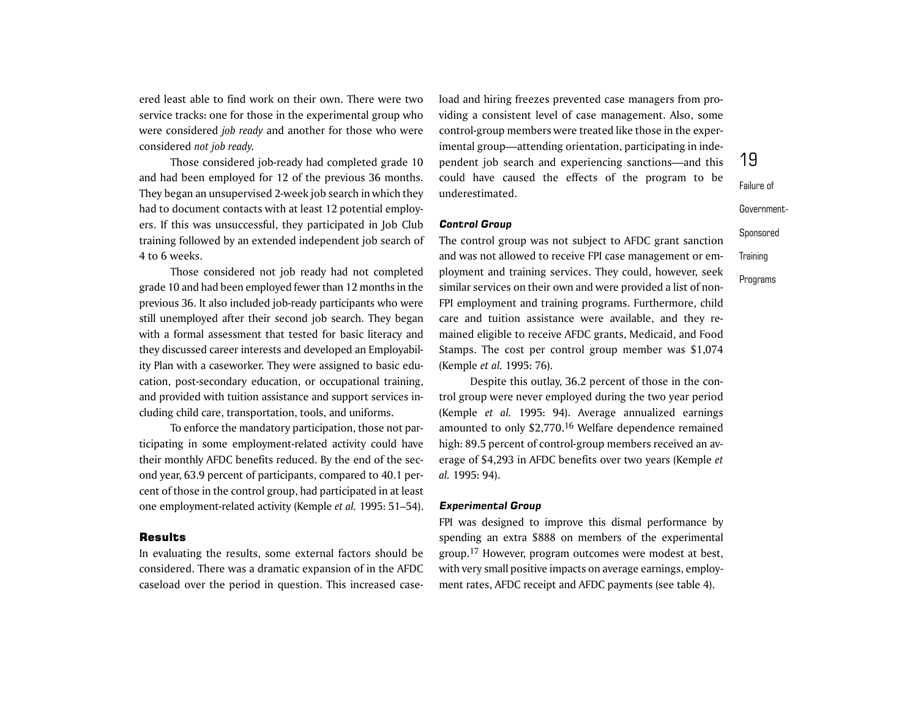ered least able to find work on their own. There were twoservice tracks: one for those in the experimental group who were considered *job ready* and another for those who were considered *not job ready*.

Those considered job-ready had completed grade 10 and had been employed for 12 of the previous 36 months. They began an unsupervised 2-week job search in which they had to document contacts with at least 12 potential employers. If this was unsuccessful, they participated in Job Club training followed by an extended independent job search of 4 to 6 weeks.

Those considered not job ready had not completed grade 10 and had been employed fewer than 12 months in the previous 36. It also included job-ready participants who were still unemployed after their second job search. They began with a formal assessment that tested for basic literacy and they discussed career interests and developed an Employability Plan with a caseworker. They were assigned to basic education, post-secondary education, or occupational training, and provided with tuition assistance and support services including child care, transportation, tools, and uniforms.

To enforce the mandatory participation, those not participating in some employment-related activity could have their monthly AFDC benefits reduced. By the end of the second year, 63.9 percent of participants, compared to 40.1 percent of those in the control group, had participated in at least one employment-related activity (Kemple *et al.* 1995: 51–54).

### **Results**

In evaluating the results, some external factors should be considered. There was a dramatic expansion of in the AFDC caseload over the period in question. This increased caseload and hiring freezes prevented case managers from pro viding a consistent level of case management. Also, some control-group members were treated like those in the exper imental group—attending orientation, participating in inde pendent job search and experiencing sanctions—and this could have caused the effects of the program to be underestimated.

#### *Control Group*

The control group was not subject to AFDC grant sanction and was not allowed to receive FPI case management or em ployment and training services. They could, however, seek similar services on their own and were provided a list of non- FPI employment and training programs. Furthermore, child care and tuition assistance were available, and they re mained eligible to receive AFDC grants, Medicaid, and Food Stamps. The cost per control group member was \$1,074 (Kemple *et al.* 1995: 76).

Despite this outlay, 36.2 percent of those in the con trol group were never employed during the two year period (Kemple *et al.* 1995: 94). Average annualized earnings amounted to only \$2,770.16 Welfare dependence remained high: 89.5 percent of control-group members received an av erage of \$4,293 in AFDC benefits over two years (Kemple *et al.* 1995: 94).

#### *Experimental Group*

FPI was designed to improve this dismal performance by spending an extra \$888 on members of the experimental group.17 However, program outcomes were modest at best, with very small positive impacts on average earnings, employ ment rates, AFDC receipt and AFDC payments (see table 4).

Failure of Government-Sponsored **Training** Programs

19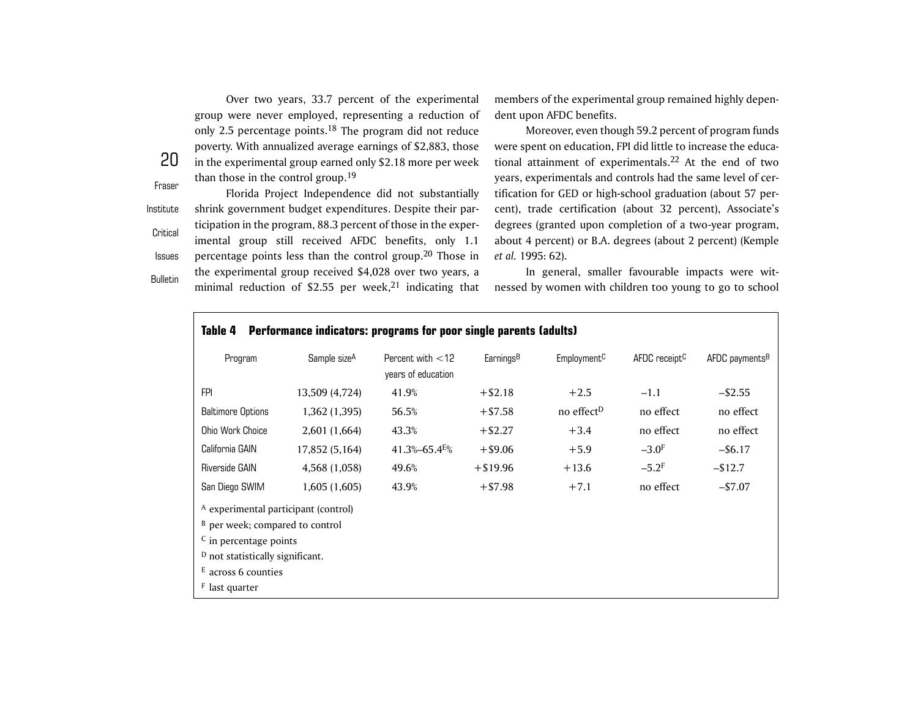Over two years, 33.7 percent of the experimental group were never employed, representing a reduction of only 2.5 percentage points.<sup>18</sup> The program did not reduce poverty. With annualized average earnings of \$2,883, those in the experimental group earned only \$2.18 more per week than those in the control group.<sup>19</sup>

Fraser

20

InstituteCriticalIssues**Bulletin** 

Florida Project Independence did not substantially shrink government budget expenditures. Despite their participation in the program, 88.3 percent of those in the experimental group still received AFDC benefits, only 1.1 percentage points less than the control group.20 Those in the experimental group received \$4,028 over two years, a minimal reduction of \$2.55 per week, $21$  indicating that

members of the experimental group remained highly dependent upon AFDC benefits.

Moreover, even though 59.2 percent of program funds were spent on education, FPI did little to increase the educational attainment of experimentals. $22$  At the end of two years, experimentals and controls had the same level of certification for GED or high-school graduation (about 57 percent), trade certification (about 32 percent), Associate's degrees (granted upon completion of a two-year program, about 4 percent) or B.A. degrees (about 2 percent) (Kemple *et al.* 1995: 62).

In general, smaller favourable impacts were witnessed by women with children too young to go to school

| Performance indicators: programs for poor single parents (adults)<br>Table 4 |                |                                           |                       |                         |                           |                            |  |  |
|------------------------------------------------------------------------------|----------------|-------------------------------------------|-----------------------|-------------------------|---------------------------|----------------------------|--|--|
| Program                                                                      | Sample sizeA   | Percent with $<$ 12<br>years of education | Earnings <sup>B</sup> | Employment <sup>C</sup> | AFDC receipt <sup>C</sup> | AFDC payments <sup>B</sup> |  |  |
| <b>FPI</b>                                                                   | 13,509 (4,724) | 41.9%                                     | $+ $2.18$             | $+2.5$                  | $-1.1$                    | $-$ \$2.55                 |  |  |
| <b>Baltimore Options</b>                                                     | 1,362 (1,395)  | 56.5%                                     | $+ $7.58$             | no effect <sup>D</sup>  | no effect                 | no effect                  |  |  |
| <b>Ohio Work Choice</b>                                                      | 2,601 (1,664)  | 43.3%                                     | $+$ \$2.27            | $+3.4$                  | no effect                 | no effect                  |  |  |
| California GAIN                                                              | 17,852 (5,164) | $41.3\text{%-65.4}^{\text{E}}\%$          | $+$ \$9.06            | $+5.9$                  | $-3.0F$                   | $-$ \$6.17                 |  |  |
| <b>Riverside GAIN</b>                                                        | 4,568 (1,058)  | 49.6%                                     | $+$ \$19.96           | $+13.6$                 | $-5.2$ <sup>F</sup>       | $-$ \$12.7                 |  |  |
| San Diego SWIM                                                               | 1,605 (1,605)  | 43.9%                                     | $+ $7.98$             | $+7.1$                  | no effect                 | $-$ \$7.07                 |  |  |
| A experimental participant (control)                                         |                |                                           |                       |                         |                           |                            |  |  |
| <sup>B</sup> per week; compared to control                                   |                |                                           |                       |                         |                           |                            |  |  |
| <sup>C</sup> in percentage points                                            |                |                                           |                       |                         |                           |                            |  |  |
| <sup>D</sup> not statistically significant.                                  |                |                                           |                       |                         |                           |                            |  |  |
| $E$ across 6 counties                                                        |                |                                           |                       |                         |                           |                            |  |  |
| <sup>F</sup> last quarter                                                    |                |                                           |                       |                         |                           |                            |  |  |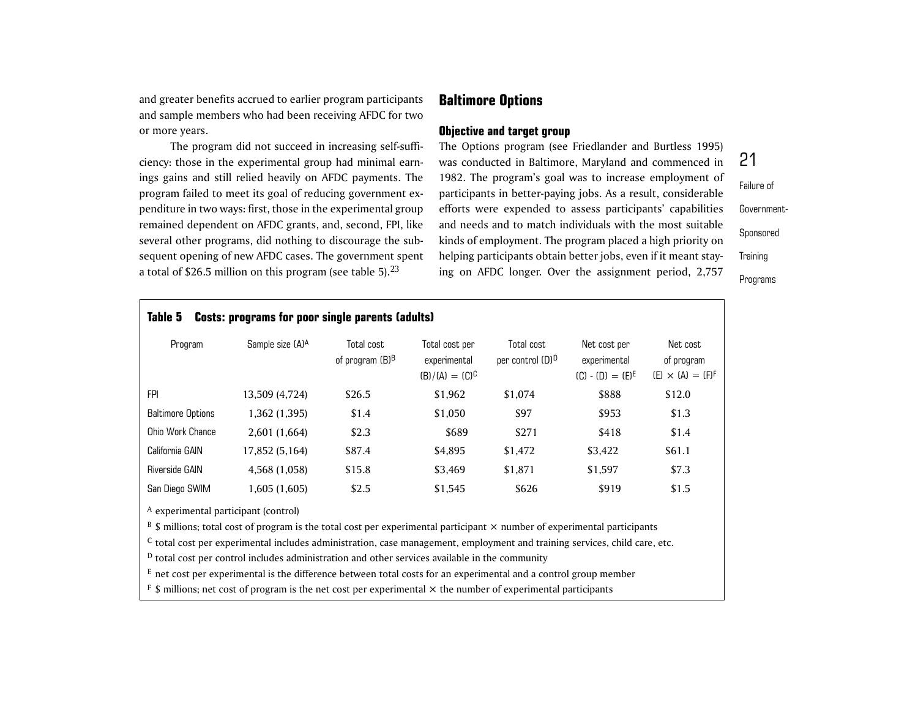and greater benefits accrued to earlier program participants and sample members who had been receiving AFDC for two or more years.

The program did not succeed in increasing self-sufficiency: those in the experimental group had minimal earnings gains and still relied heavily on AFDC payments. The program failed to meet its goal of reducing government expenditure in two ways: first, those in the experimental group remained dependent on AFDC grants, and, second, FPI, like several other programs, did nothing to discourage the subsequent opening of new AFDC cases. The government spent a total of \$26.5 million on this program (see table 5). $23$ 

### **Baltimore Options**

### **Objective and target group**

The Options program (see Friedlander and Burtless 1995) was conducted in Baltimore, Maryland and commenced in 1982. The program's goal was to increase employment of participants in better-paying jobs. As a result, considerable efforts were expended to assess participants' capabilities and needs and to match individuals with the most suitablekinds of employment. The program placed a high priority on helping participants obtain better jobs, even if it meant staying on AFDC longer. Over the assignment period, 2,757

| Failure of  |
|-------------|
| Government- |
| Sponsored   |
| Training    |
| Programs    |

 $21$ 

### **Table 5 Costs: programs for poor single parents (adults)**

| Program                  | Sample size (A) <sup>A</sup> | Total cost<br>of program (B) <sup>B</sup> | Total cost per<br>experimental<br>$(B)/(A) = (C)^C$ | Total cost<br>per control (D) <sup>D</sup> | Net cost per<br>experimental<br>$(C) - (D) = (E)^E$ | Net cost<br>of program<br>$(E) \times (A) = (F)^F$ |
|--------------------------|------------------------------|-------------------------------------------|-----------------------------------------------------|--------------------------------------------|-----------------------------------------------------|----------------------------------------------------|
| <b>FPI</b>               | 13,509 (4,724)               | \$26.5                                    | \$1,962                                             | \$1,074                                    | \$888                                               | \$12.0                                             |
| <b>Baltimore Options</b> | 1,362 (1,395)                | \$1.4                                     | \$1,050                                             | \$97                                       | \$953                                               | \$1.3                                              |
| Ohio Work Chance         | 2,601 (1,664)                | \$2.3                                     | \$689                                               | \$271                                      | \$418                                               | \$1.4                                              |
| California GAIN          | 17,852 (5,164)               | \$87.4                                    | \$4.895                                             | \$1,472                                    | \$3,422                                             | \$61.1                                             |
| <b>Riverside GAIN</b>    | 4,568 (1,058)                | \$15.8                                    | \$3,469                                             | \$1,871                                    | \$1,597                                             | \$7.3                                              |
| San Diego SWIM           | 1,605 (1,605)                | \$2.5                                     | \$1.545                                             | \$626                                      | \$919                                               | \$1.5                                              |

<sup>A</sup> experimental participant (control)

 $^{\rm B}$  \$ millions; total cost of program is the total cost per experimental participant  $\times$  number of experimental participants

 $^{\rm C}$  total cost per experimental includes administration, case management, employment and training services, child care, etc.

 $^{\text{\textregistered}}$  total cost per control includes administration and other services available in the community

 $^{\rm E}$  net cost per experimental is the difference between total costs for an experimental and a control group member

 $^{\rm F}$  \$ millions; net cost of program is the net cost per experimental  $\times$  the number of experimental participants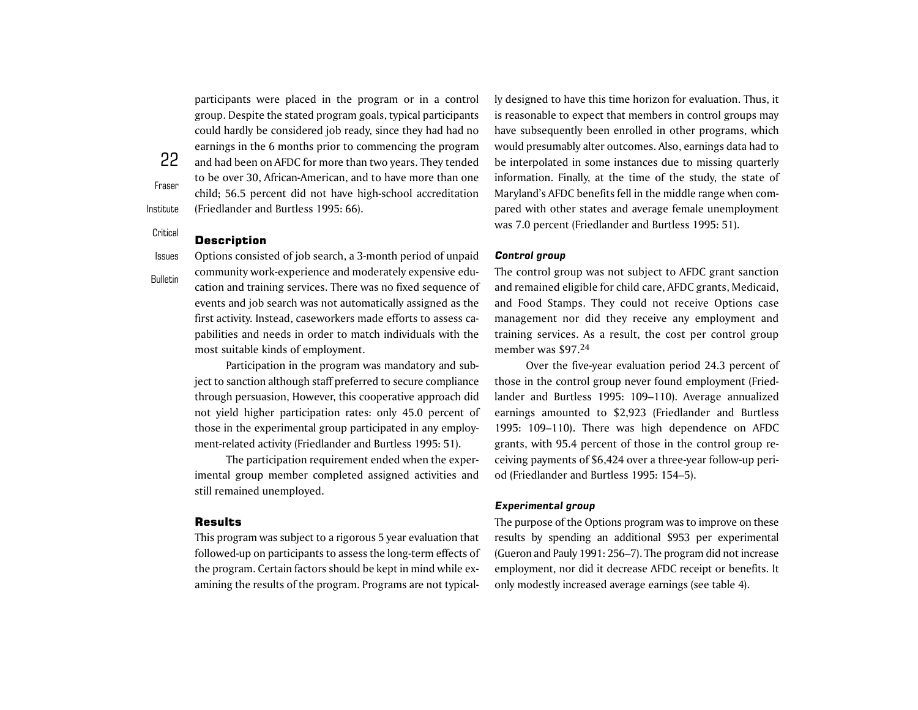participants were placed in the program or in a control group. Despite the stated program goals, typical participants could hardly be considered job ready, since they had had no earnings in the 6 months prior to commencing the program and had been on AFDC for more than two years. They tended to be over 30, African-American, and to have more than one child; 56.5 percent did not have high-school accreditation (Friedlander and Burtless 1995: 66).

Critical

Institute

22

Fraser

#### **Description**

Issues**Bulletin** Options consisted of job search, a 3-month period of unpaid community work-experience and moderately expensive education and training services. There was no fixed sequence of events and job search was not automatically assigned as the first activity. Instead, caseworkers made efforts to assess capabilities and needs in order to match individuals with the most suitable kinds of employment.

> Participation in the program was mandatory and subject to sanction although staff preferred to secure compliance through persuasion, However, this cooperative approach did not yield higher participation rates: only 45.0 percent of those in the experimental group participated in any employment-related activity (Friedlander and Burtless 1995: 51).

> The participation requirement ended when the experimental group member completed assigned activities and still remained unemployed.

### Results

This program was subject to a rigorous 5 year evaluation that followed-up on participants to assess the long-term effects of the program. Certain factors should be kept in mind while examining the results of the program. Programs are not typically designed to have this time horizon for evaluation. Thus, it is reasonable to expect that members in control groups may have subsequently been enrolled in other programs, which would presumably alter outcomes. Also, earnings data had to be interpolated in some instances due to missing quarterly information. Finally, at the time of the study, the state of Maryland's AFDC benefits fell in the middle range when com pared with other states and average female unemployment was 7.0 percent (Friedlander and Burtless 1995: 51).

#### *Control group*

The control group was not subject to AFDC grant sanction and remained eligible for child care, AFDC grants, Medicaid, and Food Stamps. They could not receive Options case management nor did they receive any employment and training services. As a result, the cost per control group member was \$97.<sup>24</sup>

Over the five-year evaluation period 24.3 percent of those in the control group never found employment (Fried lander and Burtless 1995: 109–110). Average annualized earnings amounted to \$2,923 (Friedlander and Burtless 1995: 109–110). There was high dependence on AFDC grants, with 95.4 percent of those in the control group re ceiving payments of \$6,424 over a three-year follow-up peri od (Friedlander and Burtless 1995: 154–5).

#### *Experimental group*

The purpose of the Options program was to improve on these results by spending an additional \$953 per experimental (Gueron and Pauly 1991: 256–7). The program did not increase employment, nor did it decrease AFDC receipt or benefits. It only modestly increased average earnings (see table 4).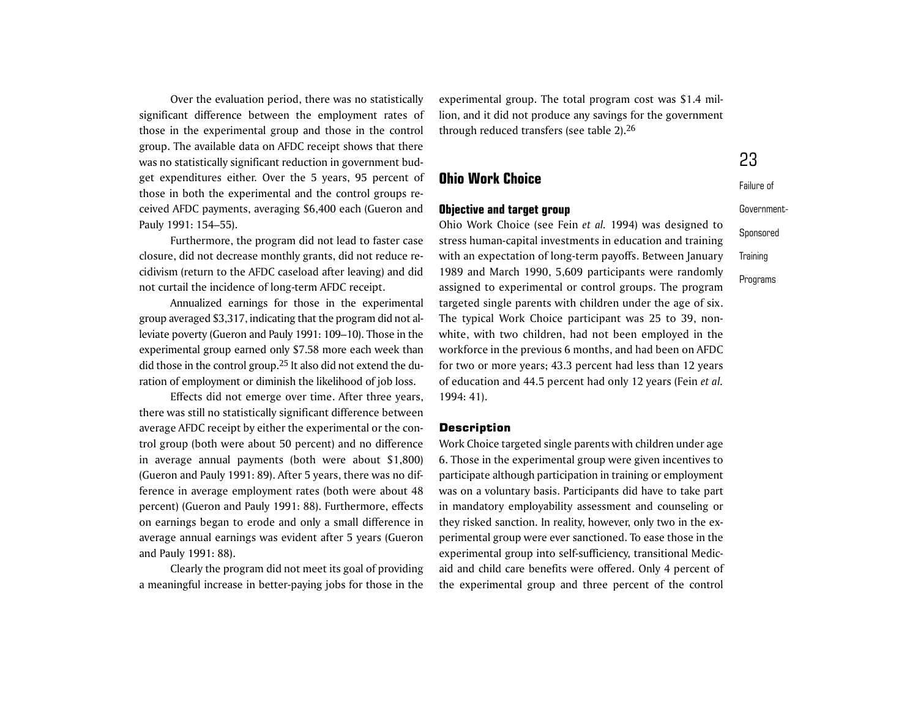Over the evaluation period, there was no statistically significant difference between the employment rates of those in the experimental group and those in the control group. The available data on AFDC receipt shows that there was no statistically significant reduction in government budget expenditures either. Over the 5 years, 95 percent of those in both the experimental and the control groups received AFDC payments, averaging \$6,400 each (Gueron and Pauly 1991: 154–55).

Furthermore, the program did not lead to faster case closure, did not decrease monthly grants, did not reduce recidivism (return to the AFDC caseload after leaving) and did not curtail the incidence of long-term AFDC receipt.

Annualized earnings for those in the experimental group averaged \$3,317, indicating that the program did not alleviate poverty (Gueron and Pauly 1991: 109–10). Those in the experimental group earned only \$7.58 more each week than did those in the control group.25 It also did not extend the duration of employment or diminish the likelihood of job loss.

Effects did not emerge over time. After three years, there was still no statistically significant difference between average AFDC receipt by either the experimental or the control group (both were about 50 percent) and no difference in average annual payments (both were about \$1,800) (Gueron and Pauly 1991: 89). After 5 years, there was no difference in average employment rates (both were about 48 percent) (Gueron and Pauly 1991: 88). Furthermore, effects on earnings began to erode and only a small difference in average annual earnings was evident after 5 years (Gueron and Pauly 1991: 88).

Clearly the program did not meet its goal of providing a meaningful increase in better-paying jobs for those in the

experimental group. The total program cost was \$1.4 million, and it did not produce any savings for the government through reduced transfers (see table 2).<sup>26</sup>

### **Ohio Work Choice**

### **Objective and target group**

Ohio Work Choice (see Fein *et al.* 1994) was designed to stress human-capital investments in education and training with an expectation of long-term payoffs. Between January 1989 and March 1990, 5,609 participants were randomly assigned to experimental or control groups. The program targeted single parents with children under the age of six. The typical Work Choice participant was 25 to 39, nonwhite, with two children, had not been employed in the workforce in the previous 6 months, and had been on AFDC for two or more years; 43.3 percent had less than 12 years of education and 44.5 percent had only 12 years (Fein *et al.* 1994: 41).

### **Description**

Work Choice targeted single parents with children under age 6. Those in the experimental group were given incentives to participate although participation in training or employment was on a voluntary basis. Participants did have to take part in mandatory employability assessment and counseling or they risked sanction. In reality, however, only two in the experimental group were ever sanctioned. To ease those in the experimental group into self-sufficiency, transitional Medicaid and child care benefits were offered. Only 4 percent of the experimental group and three percent of the control

# 23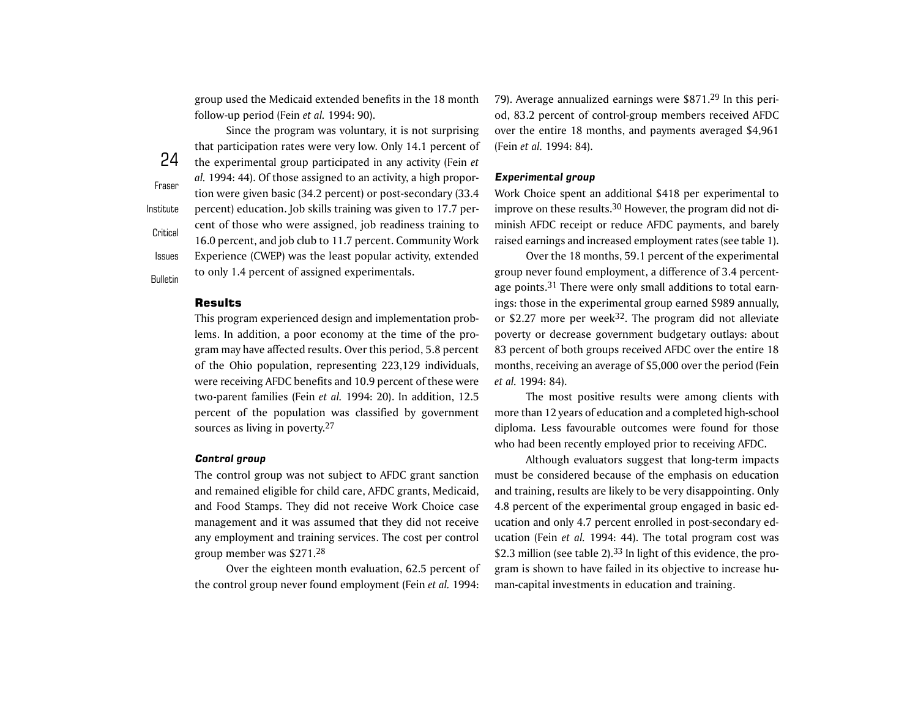group used the Medicaid extended benefits in the 18 month follow-up period (Fein *et al.* 1994: 90).

24FraserInstituteCriticalIssues**Bulletin** Since the program was voluntary, it is not surprising that participation rates were very low. Only 14.1 percent of the experimental group participated in any activity (Fein *et al.* 1994: 44). Of those assigned to an activity, a high proportion were given basic (34.2 percent) or post-secondary (33.4 percent) education. Job skills training was given to 17.7 percent of those who were assigned, job readiness training to 16.0 percent, and job club to 11.7 percent. Community Work Experience (CWEP) was the least popular activity, extended to only 1.4 percent of assigned experimentals.

### Results

This program experienced design and implementation problems. In addition, a poor economy at the time of the program may have affected results. Over this period, 5.8 percent of the Ohio population, representing 223,129 individuals, were receiving AFDC benefits and 10.9 percent of these were two-parent families (Fein *et al.* 1994: 20). In addition, 12.5 percent of the population was classified by government sources as living in poverty.<sup>27</sup>

#### *Control group*

The control group was not subject to AFDC grant sanction and remained eligible for child care, AFDC grants, Medicaid, and Food Stamps. They did not receive Work Choice case management and it was assumed that they did not receive any employment and training services. The cost per control group member was \$271.28

Over the eighteen month evaluation, 62.5 percent of the control group never found employment (Fein *et al.* 1994:

79). Average annualized earnings were \$871.29 In this period, 83.2 percent of control-group members received AFDC over the entire 18 months, and payments averaged \$4,961 (Fein *et al.* 1994: 84).

#### *Experimental group*

Work Choice spent an additional \$418 per experimental to improve on these results.30 However, the program did not diminish AFDC receipt or reduce AFDC payments, and barely raised earnings and increased employment rates (see table 1).

Over the 18 months, 59.1 percent of the experimental group never found employment, a difference of 3.4 percentage points.<sup>31</sup> There were only small additions to total earnings: those in the experimental group earned \$989 annually, or \$2.27 more per week<sup>32</sup>. The program did not alleviate poverty or decrease government budgetary outlays: about 83 percent of both groups received AFDC over the entire 18 months, receiving an average of \$5,000 over the period (Fein *et al.* 1994: 84).

The most positive results were among clients with more than 12 years of education and a completed high-school diploma. Less favourable outcomes were found for those who had been recently employed prior to receiving AFDC.

Although evaluators suggest that long-term impacts must be considered because of the emphasis on education and training, results are likely to be very disappointing. Only 4.8 percent of the experimental group engaged in basic education and only 4.7 percent enrolled in post-secondary education (Fein *et al.* 1994: 44). The total program cost was \$2.3 million (see table 2). $33$  In light of this evidence, the program is shown to have failed in its objective to increase human-capital investments in education and training.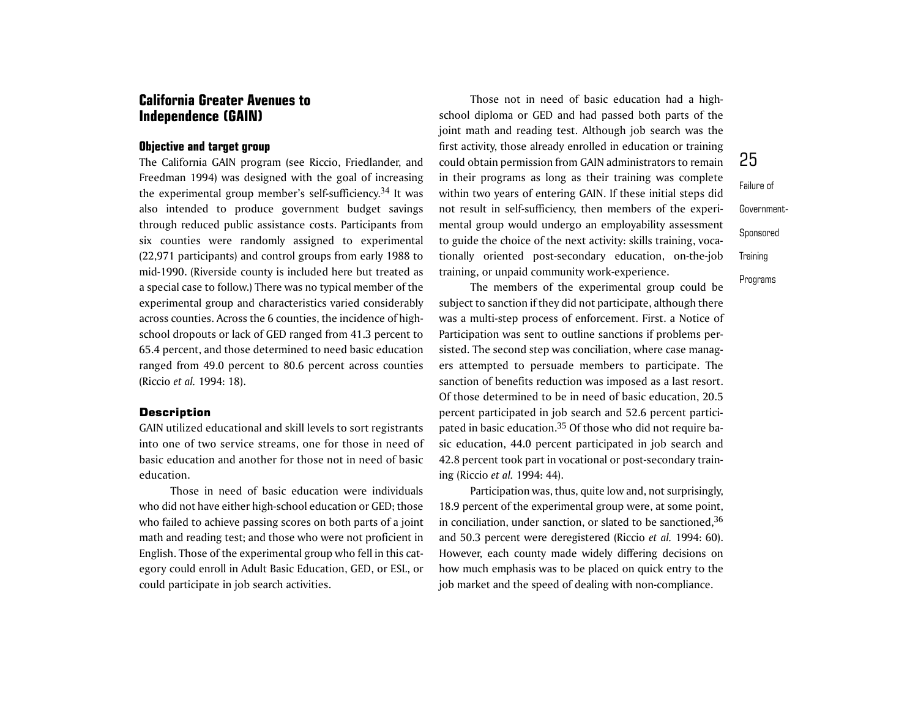### **California Greater Avenues to Independence (GAIN)**

### **Objective and target group**

The California GAIN program (see Riccio, Friedlander, and Freedman 1994) was designed with the goal of increasing the experimental group member's self-sufficiency.<sup>34</sup> It was also intended to produce government budget savings through reduced public assistance costs. Participants from six counties were randomly assigned to experimental (22,971 participants) and control groups from early 1988 to mid-1990. (Riverside county is included here but treated as a special case to follow.) There was no typical member of the experimental group and characteristics varied considerably across counties. Across the 6 counties, the incidence of highschool dropouts or lack of GED ranged from 41.3 percent to 65.4 percent, and those determined to need basic education ranged from 49.0 percent to 80.6 percent across counties (Riccio *et al.* 1994: 18).

### **Description**

GAIN utilized educational and skill levels to sort registrants into one of two service streams, one for those in need of basic education and another for those not in need of basiceducation.

Those in need of basic education were individualswho did not have either high-school education or GED; those who failed to achieve passing scores on both parts of a joint math and reading test; and those who were not proficient in English. Those of the experimental group who fell in this category could enroll in Adult Basic Education, GED, or ESL, or could participate in job search activities.

Those not in need of basic education had a highschool diploma or GED and had passed both parts of the joint math and reading test. Although job search was the first activity, those already enrolled in education or training could obtain permission from GAIN administrators to remain in their programs as long as their training was complete within two years of entering GAIN. If these initial steps did not result in self-sufficiency, then members of the experimental group would undergo an employability assessment to guide the choice of the next activity: skills training, vocationally oriented post-secondary education, on-the-job training, or unpaid community work-experience.

The members of the experimental group could be subject to sanction if they did not participate, although there was a multi-step process of enforcement. First. a Notice of Participation was sent to outline sanctions if problems persisted. The second step was conciliation, where case managers attempted to persuade members to participate. The sanction of benefits reduction was imposed as a last resort. Of those determined to be in need of basic education, 20.5 percent participated in job search and 52.6 percent participated in basic education.35 Of those who did not require basic education, 44.0 percent participated in job search and 42.8 percent took part in vocational or post-secondary training (Riccio *et al.* 1994: 44).

Participation was, thus, quite low and, not surprisingly, 18.9 percent of the experimental group were, at some point, in conciliation, under sanction, or slated to be sanctioned,  $36$ and 50.3 percent were deregistered (Riccio *et al.* 1994: 60). However, each county made widely differing decisions on how much emphasis was to be placed on quick entry to the job market and the speed of dealing with non-compliance.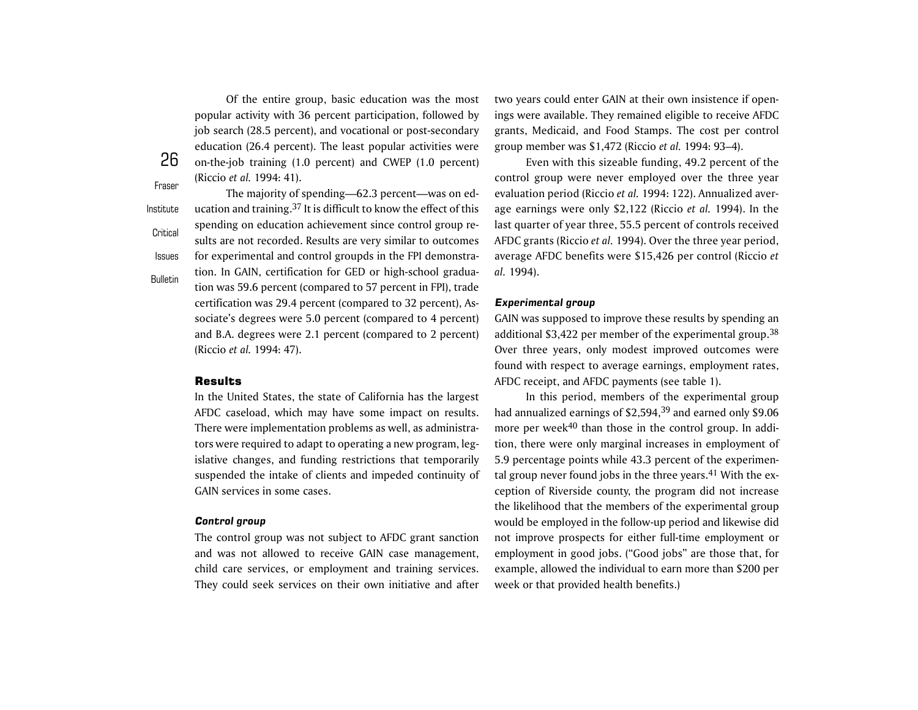Of the entire group, basic education was the most popular activity with 36 percent participation, followed by job search (28.5 percent), and vocational or post-secondary education (26.4 percent). The least popular activities were on-the-job training (1.0 percent) and CWEP (1.0 percent) (Riccio *et al.* 1994: 41).

Fraser

**Critical** 

Issues**Bulletin** 

26

Institute

The majority of spending—62.3 percent—was on education and training.37 It is difficult to know the effect of this spending on education achievement since control group results are not recorded. Results are very similar to outcomes for experimental and control groupds in the FPI demonstration. In GAIN, certification for GED or high-school graduation was 59.6 percent (compared to 57 percent in FPI), trade certification was 29.4 percent (compared to 32 percent), Associate's degrees were 5.0 percent (compared to 4 percent) and B.A. degrees were 2.1 percent (compared to 2 percent) (Riccio *et al.* 1994: 47).

### **Results**

In the United States, the state of California has the largest AFDC caseload, which may have some impact on results. There were implementation problems as well, as administrators were required to adapt to operating a new program, legislative changes, and funding restrictions that temporarily suspended the intake of clients and impeded continuity of GAIN services in some cases.

#### *Control group*

The control group was not subject to AFDC grant sanction and was not allowed to receive GAIN case management, child care services, or employment and training services. They could seek services on their own initiative and after two years could enter GAIN at their own insistence if openings were available. They remained eligible to receive AFDC grants, Medicaid, and Food Stamps. The cost per control group member was \$1,472 (Riccio *et al.* 1994: 93–4).

Even with this sizeable funding, 49.2 percent of the control group were never employed over the three year evaluation period (Riccio *et al.* 1994: 122). Annualized average earnings were only \$2,122 (Riccio *et al.* 1994). In the last quarter of year three, 55.5 percent of controls received AFDC grants (Riccio *et al.* 1994). Over the three year period, average AFDC benefits were \$15,426 per control (Riccio *et al.* 1994).

#### *Experimental group*

GAIN was supposed to improve these results by spending an additional \$3,422 per member of the experimental group.<sup>38</sup> Over three years, only modest improved outcomes were found with respect to average earnings, employment rates, AFDC receipt, and AFDC payments (see table 1).

In this period, members of the experimental group had annualized earnings of \$2,594,<sup>39</sup> and earned only \$9.06 more per week<sup>40</sup> than those in the control group. In addition, there were only marginal increases in employment of 5.9 percentage points while 43.3 percent of the experimental group never found jobs in the three years.<sup>41</sup> With the exception of Riverside county, the program did not increase the likelihood that the members of the experimental group would be employed in the follow-up period and likewise did not improve prospects for either full-time employment or employment in good jobs. ("Good jobs" are those that, for example, allowed the individual to earn more than \$200 per week or that provided health benefits.)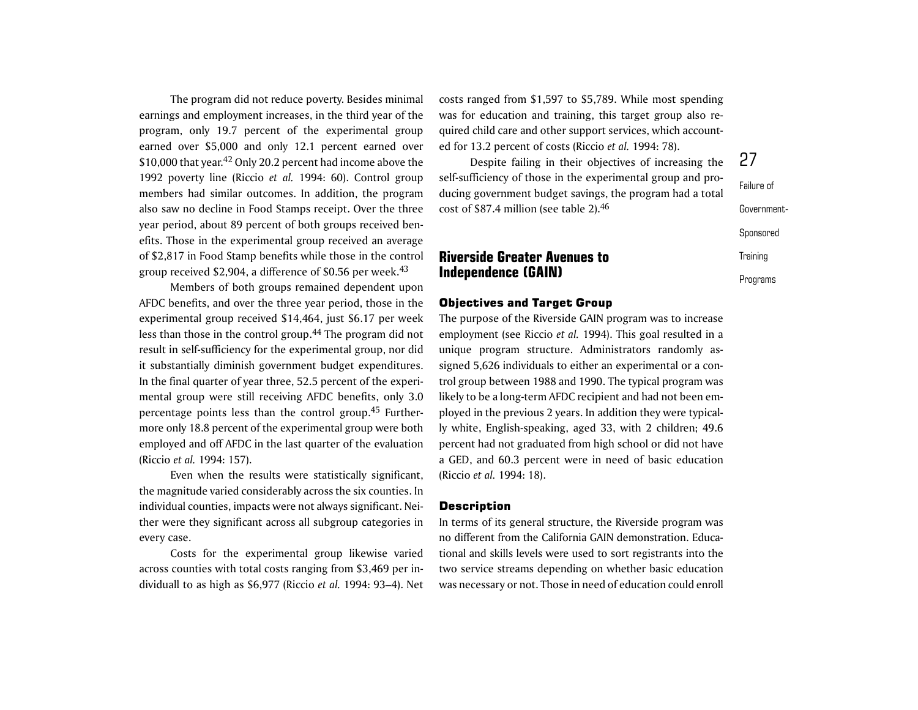The program did not reduce poverty. Besides minimal earnings and employment increases, in the third year of the program, only 19.7 percent of the experimental group earned over \$5,000 and only 12.1 percent earned over \$10,000 that year.<sup>42</sup> Only 20.2 percent had income above the 1992 poverty line (Riccio *et al.* 1994: 60). Control group members had similar outcomes. In addition, the program also saw no decline in Food Stamps receipt. Over the three year period, about 89 percent of both groups received benefits. Those in the experimental group received an average of \$2,817 in Food Stamp benefits while those in the control group received \$2,904, a difference of \$0.56 per week.43

Members of both groups remained dependent upon AFDC benefits, and over the three year period, those in the experimental group received \$14,464, just \$6.17 per week less than those in the control group.44 The program did not result in self-sufficiency for the experimental group, nor did it substantially diminish government budget expenditures. In the final quarter of year three, 52.5 percent of the experimental group were still receiving AFDC benefits, only 3.0 percentage points less than the control group.45 Furthermore only 18.8 percent of the experimental group were both employed and off AFDC in the last quarter of the evaluation (Riccio *et al.* 1994: 157).

Even when the results were statistically significant, the magnitude varied considerably across the six counties. In individual counties, impacts were not always significant. Neither were they significant across all subgroup categories in every case.

Costs for the experimental group likewise varied across counties with total costs ranging from \$3,469 per individuall to as high as \$6,977 (Riccio *et al.* 1994: 93–4). Net costs ranged from \$1,597 to \$5,789. While most spending was for education and training, this target group also required child care and other support services, which accounted for 13.2 percent of costs (Riccio *et al.* 1994: 78).

Despite failing in their objectives of increasing the self-sufficiency of those in the experimental group and producing government budget savings, the program had a total cost of \$87.4 million (see table 2).46

### **Riverside Greater Avenues to Independence (GAIN)**

### Objectives and Target Group

The purpose of the Riverside GAIN program was to increase employment (see Riccio *et al.* 1994). This goal resulted in a unique program structure. Administrators randomly assigned 5,626 individuals to either an experimental or a control group between 1988 and 1990. The typical program was likely to be a long-term AFDC recipient and had not been employed in the previous 2 years. In addition they were typically white, English-speaking, aged 33, with 2 children; 49.6 percent had not graduated from high school or did not have a GED, and 60.3 percent were in need of basic education (Riccio *et al.* 1994: 18).

### **Description**

In terms of its general structure, the Riverside program was no different from the California GAIN demonstration. Educational and skills levels were used to sort registrants into the two service streams depending on whether basic education was necessary or not. Those in need of education could enroll

Failure of Government-Sponsored **Training** Programs

27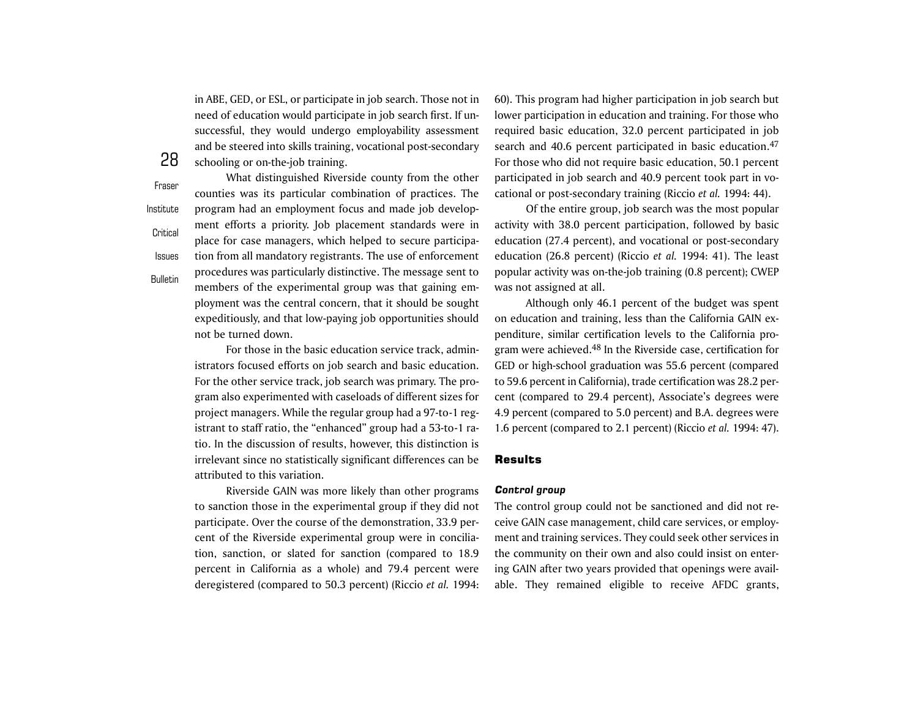in ABE, GED, or ESL, or participate in job search. Those not in need of education would participate in job search first. If unsuccessful, they would undergo employability assessment and be steered into skills training, vocational post-secondary schooling or on-the-job training.

FraserInstituteCriticalIssues

**Bulletin** 

28

What distinguished Riverside county from the other counties was its particular combination of practices. The program had an employment focus and made job development efforts a priority. Job placement standards were in place for case managers, which helped to secure participation from all mandatory registrants. The use of enforcement procedures was particularly distinctive. The message sent to members of the experimental group was that gaining employment was the central concern, that it should be sought expeditiously, and that low-paying job opportunities should not be turned down.

For those in the basic education service track, administrators focused efforts on job search and basic education. For the other service track, job search was primary. The program also experimented with caseloads of different sizes for project managers. While the regular group had a 97-to-1 registrant to staff ratio, the "enhanced" group had a 53-to-1 ratio. In the discussion of results, however, this distinction is irrelevant since no statistically significant differences can be attributed to this variation.

Riverside GAIN was more likely than other programs to sanction those in the experimental group if they did not participate. Over the course of the demonstration, 33.9 percent of the Riverside experimental group were in conciliation, sanction, or slated for sanction (compared to 18.9 percent in California as a whole) and 79.4 percent were deregistered (compared to 50.3 percent) (Riccio *et al.* 1994: 60). This program had higher participation in job search but lower participation in education and training. For those who required basic education, 32.0 percent participated in job search and 40.6 percent participated in basic education.<sup>47</sup> For those who did not require basic education, 50.1 percent participated in job search and 40.9 percent took part in vocational or post-secondary training (Riccio *et al.* 1994: 44).

Of the entire group, job search was the most popular activity with 38.0 percent participation, followed by basic education (27.4 percent), and vocational or post-secondary education (26.8 percent) (Riccio *et al.* 1994: 41). The least popular activity was on-the-job training (0.8 percent); CWEP was not assigned at all.

Although only 46.1 percent of the budget was spent on education and training, less than the California GAIN expenditure, similar certification levels to the California program were achieved.48 In the Riverside case, certification for GED or high-school graduation was 55.6 percent (compared to 59.6 percent in California), trade certification was 28.2 percent (compared to 29.4 percent), Associate's degrees were 4.9 percent (compared to 5.0 percent) and B.A. degrees were 1.6 percent (compared to 2.1 percent) (Riccio *et al.* 1994: 47).

### Results

#### *Control group*

The control group could not be sanctioned and did not receive GAIN case management, child care services, or employment and training services. They could seek other services in the community on their own and also could insist on entering GAIN after two years provided that openings were available. They remained eligible to receive AFDC grants,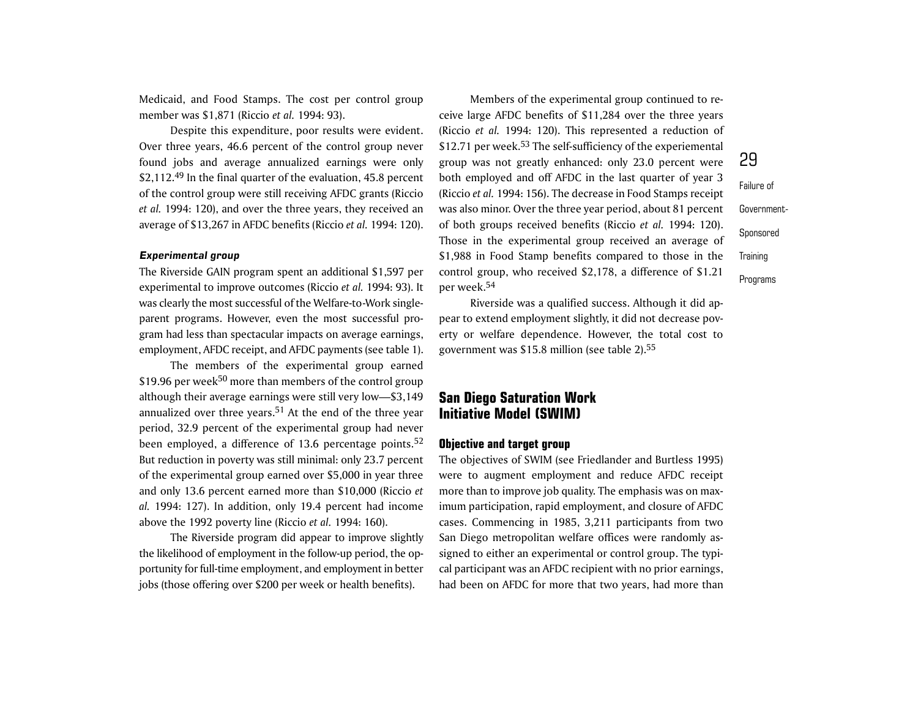Medicaid, and Food Stamps. The cost per control group member was \$1,871 (Riccio *et al.* 1994: 93).

Despite this expenditure, poor results were evident. Over three years, 46.6 percent of the control group never found jobs and average annualized earnings were only \$2,112.<sup>49</sup> In the final quarter of the evaluation, 45.8 percent of the control group were still receiving AFDC grants (Riccio *et al.* 1994: 120), and over the three years, they received an average of \$13,267 in AFDC benefits (Riccio *et al.* 1994: 120).

#### *Experimental group*

The Riverside GAIN program spent an additional \$1,597 per experimental to improve outcomes (Riccio *et al.* 1994: 93). It was clearly the most successful of the Welfare-to-Work singleparent programs. However, even the most successful program had less than spectacular impacts on average earnings, employment, AFDC receipt, and AFDC payments (see table 1).

The members of the experimental group earned \$19.96 per week<sup>50</sup> more than members of the control group although their average earnings were still very low—\$3,149 annualized over three years.<sup>51</sup> At the end of the three year period, 32.9 percent of the experimental group had never been employed, a difference of 13.6 percentage points.<sup>52</sup> But reduction in poverty was still minimal: only 23.7 percent of the experimental group earned over \$5,000 in year three and only 13.6 percent earned more than \$10,000 (Riccio *et al.* 1994: 127). In addition, only 19.4 percent had income above the 1992 poverty line (Riccio *et al.* 1994: 160).

The Riverside program did appear to improve slightly the likelihood of employment in the follow-up period, the opportunity for full-time employment, and employment in better jobs (those offering over \$200 per week or health benefits).

Members of the experimental group continued to receive large AFDC benefits of \$11,284 over the three years (Riccio *et al.* 1994: 120). This represented a reduction of \$12.71 per week.<sup>53</sup> The self-sufficiency of the experiemental group was not greatly enhanced: only 23.0 percent were both employed and off AFDC in the last quarter of year 3 (Riccio *et al.* 1994: 156). The decrease in Food Stamps receipt was also minor. Over the three year period, about 81 percent of both groups received benefits (Riccio *et al.* 1994: 120). Those in the experimental group received an average of \$1,988 in Food Stamp benefits compared to those in the control group, who received \$2,178, a difference of \$1.21 per week.<sup>54</sup>

Riverside was a qualified success. Although it did appear to extend employment slightly, it did not decrease poverty or welfare dependence. However, the total cost to government was \$15.8 million (see table 2).55

### **San Diego Saturation Work Initiative Model (SWIM)**

### **Objective and target group**

The objectives of SWIM (see Friedlander and Burtless 1995) were to augment employment and reduce AFDC receipt more than to improve job quality. The emphasis was on maximum participation, rapid employment, and closure of AFDC cases. Commencing in 1985, 3,211 participants from two San Diego metropolitan welfare offices were randomly assigned to either an experimental or control group. The typical participant was an AFDC recipient with no prior earnings, had been on AFDC for more that two years, had more than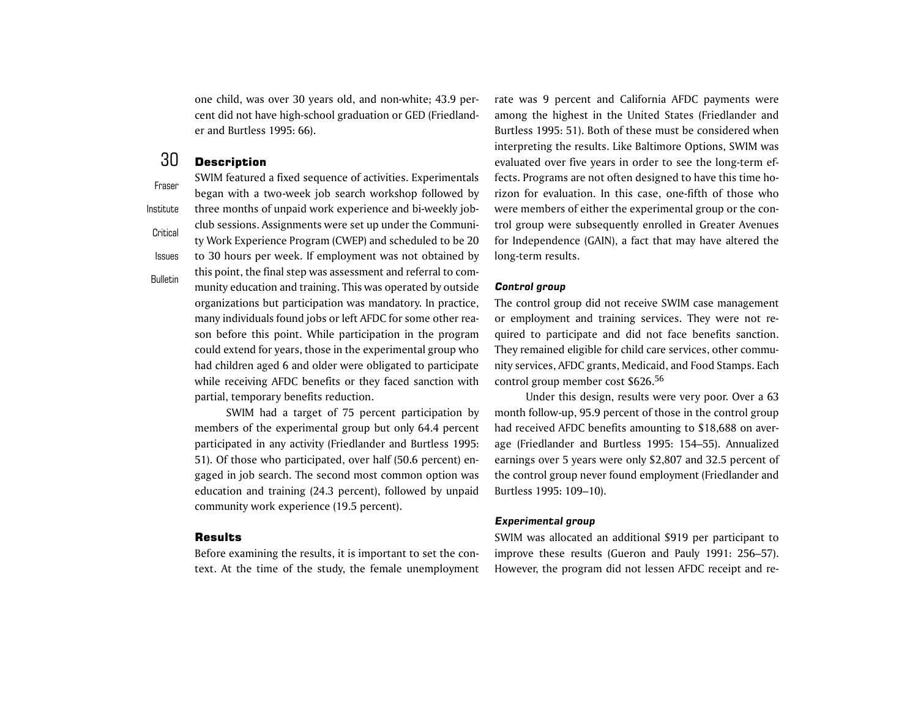one child, was over 30 years old, and non-white; 43.9 percent did not have high-school graduation or GED (Friedlander and Burtless 1995: 66).

#### 30**Description**

FraserInstituteCriticalIssues**Bulletin** SWIM featured a fixed sequence of activities. Experimentals began with a two-week job search workshop followed by three months of unpaid work experience and bi-weekly jobclub sessions. Assignments were set up under the Community Work Experience Program (CWEP) and scheduled to be 20 to 30 hours per week. If employment was not obtained by this point, the final step was assessment and referral to community education and training. This was operated by outside organizations but participation was mandatory. In practice, many individuals found jobs or left AFDC for some other reason before this point. While participation in the program could extend for years, those in the experimental group who had children aged 6 and older were obligated to participate while receiving AFDC benefits or they faced sanction with partial, temporary benefits reduction.

> SWIM had a target of 75 percent participation by members of the experimental group but only 64.4 percent participated in any activity (Friedlander and Burtless 1995: 51). Of those who participated, over half (50.6 percent) engaged in job search. The second most common option was education and training (24.3 percent), followed by unpaid community work experience (19.5 percent).

### Results

Before examining the results, it is important to set the context. At the time of the study, the female unemployment rate was 9 percent and California AFDC payments were among the highest in the United States (Friedlander and Burtless 1995: 51). Both of these must be considered when interpreting the results. Like Baltimore Options, SWIM was evaluated over five years in order to see the long-term effects. Programs are not often designed to have this time horizon for evaluation. In this case, one-fifth of those who were members of either the experimental group or the control group were subsequently enrolled in Greater Avenues for Independence (GAIN), a fact that may have altered the long-term results.

#### *Control group*

The control group did not receive SWIM case management or employment and training services. They were not required to participate and did not face benefits sanction. They remained eligible for child care services, other community services, AFDC grants, Medicaid, and Food Stamps. Each control group member cost \$626.56

Under this design, results were very poor. Over a 63 month follow-up, 95.9 percent of those in the control group had received AFDC benefits amounting to \$18,688 on average (Friedlander and Burtless 1995: 154–55). Annualized earnings over 5 years were only \$2,807 and 32.5 percent of the control group never found employment (Friedlander and Burtless 1995: 109–10).

#### *Experimental group*

SWIM was allocated an additional \$919 per participant to improve these results (Gueron and Pauly 1991: 256–57). However, the program did not lessen AFDC receipt and re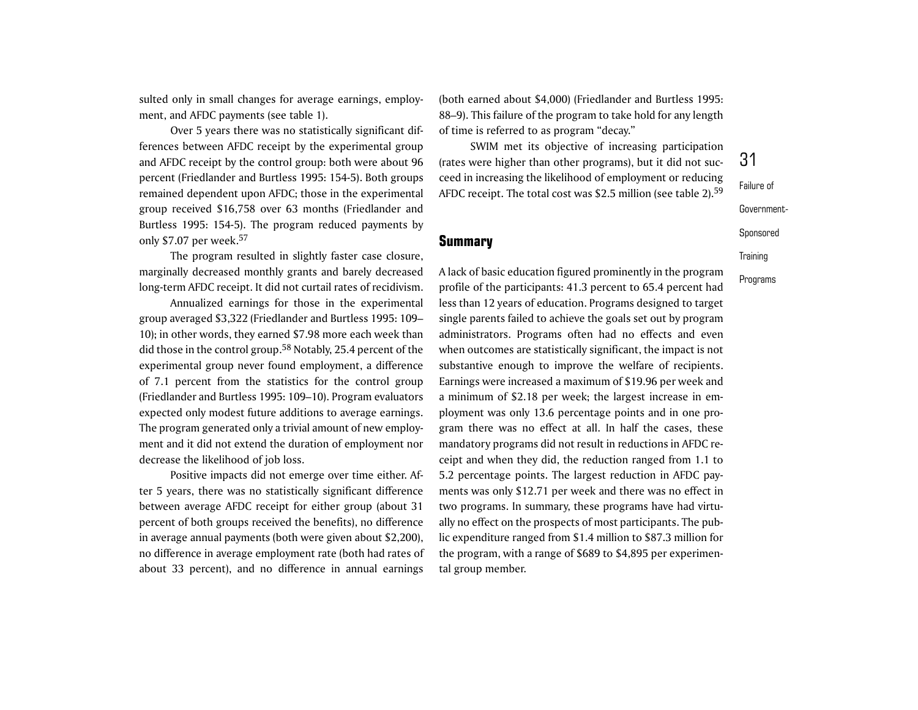sulted only in small changes for average earnings, employment, and AFDC payments (see table 1).

Over 5 years there was no statistically significant differences between AFDC receipt by the experimental group and AFDC receipt by the control group: both were about 96 percent (Friedlander and Burtless 1995: 154-5). Both groups remained dependent upon AFDC; those in the experimental group received \$16,758 over 63 months (Friedlander and Burtless 1995: 154-5). The program reduced payments by only \$7.07 per week.<sup>57</sup>

The program resulted in slightly faster case closure, marginally decreased monthly grants and barely decreased long-term AFDC receipt. It did not curtail rates of recidivism.

Annualized earnings for those in the experimental group averaged \$3,322 (Friedlander and Burtless 1995: 109– 10); in other words, they earned \$7.98 more each week than did those in the control group.<sup>58</sup> Notably, 25.4 percent of the experimental group never found employment, a difference of 7.1 percent from the statistics for the control group (Friedlander and Burtless 1995: 109–10). Program evaluators expected only modest future additions to average earnings. The program generated only a trivial amount of new employment and it did not extend the duration of employment nor decrease the likelihood of job loss.

Positive impacts did not emerge over time either. After 5 years, there was no statistically significant difference between average AFDC receipt for either group (about 31 percent of both groups received the benefits), no difference in average annual payments (both were given about \$2,200), no difference in average employment rate (both had rates of about 33 percent), and no difference in annual earnings

(both earned about \$4,000) (Friedlander and Burtless 1995: 88–9). This failure of the program to take hold for any length of time is referred to as program "decay."

SWIM met its objective of increasing participation (rates were higher than other programs), but it did not succeed in increasing the likelihood of employment or reducing AFDC receipt. The total cost was \$2.5 million (see table 2).<sup>59</sup>

**Summary**

A lack of basic education figured prominently in the program profile of the participants: 41.3 percent to 65.4 percent had less than 12 years of education. Programs designed to target single parents failed to achieve the goals set out by program administrators. Programs often had no effects and even when outcomes are statistically significant, the impact is not substantive enough to improve the welfare of recipients. Earnings were increased a maximum of \$19.96 per week and a minimum of \$2.18 per week; the largest increase in employment was only 13.6 percentage points and in one program there was no effect at all. In half the cases, these mandatory programs did not result in reductions in AFDC receipt and when they did, the reduction ranged from 1.1 to 5.2 percentage points. The largest reduction in AFDC payments was only \$12.71 per week and there was no effect in two programs. In summary, these programs have had virtually no effect on the prospects of most participants. The public expenditure ranged from \$1.4 million to \$87.3 million for the program, with a range of \$689 to \$4,895 per experimental group member.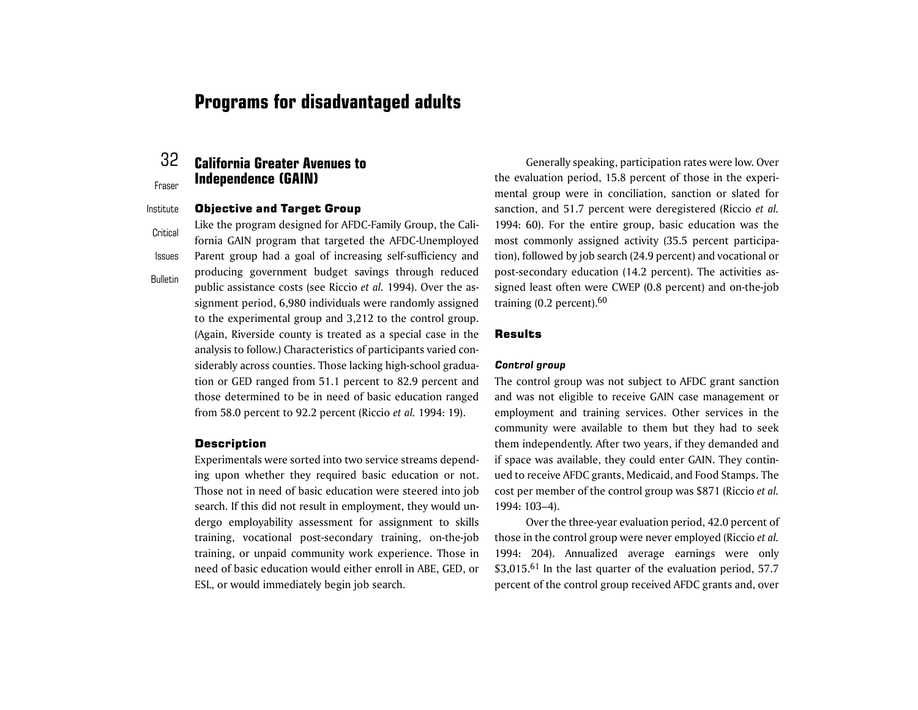# **Programs for disadvantaged adults**

**California Greater Avenues to** 

**Independence (GAIN)**

# 32

#### Fraser

#### InstituteObjective and Target Group

**Critical** Issues**Bulletin** Like the program designed for AFDC-Family Group, the California GAIN program that targeted the AFDC-Unemployed Parent group had a goal of increasing self-sufficiency and producing government budget savings through reduced public assistance costs (see Riccio *et al.* 1994). Over the assignment period, 6,980 individuals were randomly assigned to the experimental group and 3,212 to the control group. (Again, Riverside county is treated as a special case in the analysis to follow.) Characteristics of participants varied considerably across counties. Those lacking high-school graduation or GED ranged from 51.1 percent to 82.9 percent and those determined to be in need of basic education ranged from 58.0 percent to 92.2 percent (Riccio *et al.* 1994: 19).

### **Description**

Experimentals were sorted into two service streams depending upon whether they required basic education or not. Those not in need of basic education were steered into job search. If this did not result in employment, they would undergo employability assessment for assignment to skills training, vocational post-secondary training, on-the-job training, or unpaid community work experience. Those in need of basic education would either enroll in ABE, GED, or ESL, or would immediately begin job search.

Generally speaking, participation rates were low. Over the evaluation period, 15.8 percent of those in the experimental group were in conciliation, sanction or slated for sanction, and 51.7 percent were deregistered (Riccio *et al.* 1994: 60). For the entire group, basic education was the most commonly assigned activity (35.5 percent participation), followed by job search (24.9 percent) and vocational or post-secondary education (14.2 percent). The activities assigned least often were CWEP (0.8 percent) and on-the-job training (0.2 percent).<sup>60</sup>

### Results

#### *Control group*

The control group was not subject to AFDC grant sanction and was not eligible to receive GAIN case management or employment and training services. Other services in the community were available to them but they had to seek them independently. After two years, if they demanded and if space was available, they could enter GAIN. They continued to receive AFDC grants, Medicaid, and Food Stamps. The cost per member of the control group was \$871 (Riccio *et al.* 1994: 103–4).

Over the three-year evaluation period, 42.0 percent of those in the control group were never employed (Riccio *et al.* 1994: 204). Annualized average earnings were only \$3,015.<sup>61</sup> In the last quarter of the evaluation period, 57.7 percent of the control group received AFDC grants and, over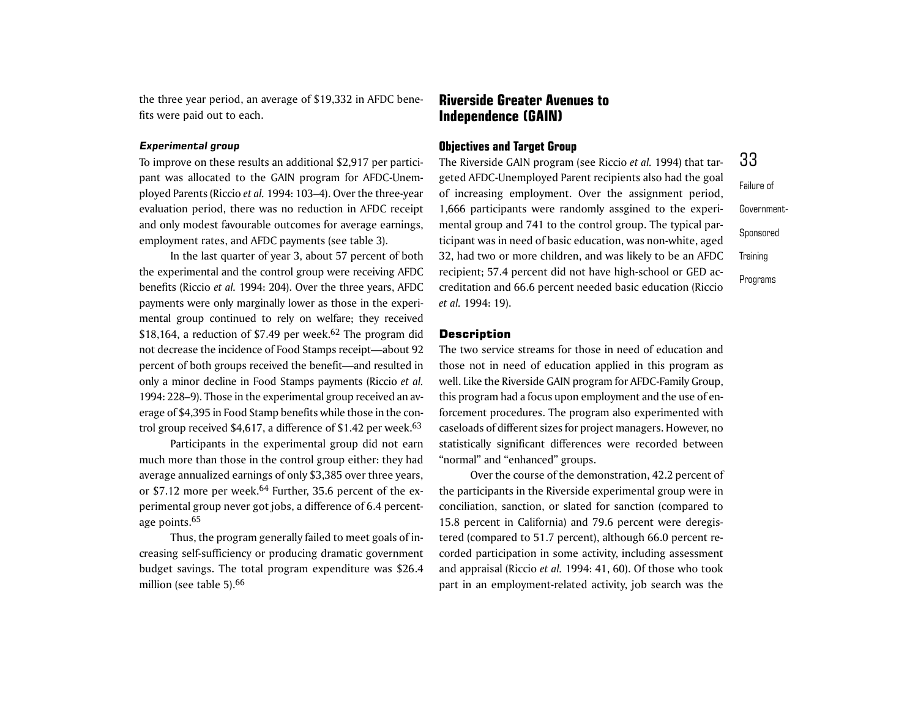the three year period, an average of \$19,332 in AFDC benefits were paid out to each.

#### *Experimental group*

To improve on these results an additional \$2,917 per participant was allocated to the GAIN program for AFDC-Unemployed Parents (Riccio *et al.* 1994: 103–4). Over the three-year evaluation period, there was no reduction in AFDC receipt and only modest favourable outcomes for average earnings, employment rates, and AFDC payments (see table 3).

In the last quarter of year 3, about 57 percent of both the experimental and the control group were receiving AFDC benefits (Riccio *et al.* 1994: 204). Over the three years, AFDC payments were only marginally lower as those in the experimental group continued to rely on welfare; they received \$18,164, a reduction of \$7.49 per week.<sup>62</sup> The program did not decrease the incidence of Food Stamps receipt—about 92 percent of both groups received the benefit—and resulted in only a minor decline in Food Stamps payments (Riccio *et al.* 1994: 228–9). Those in the experimental group received an average of \$4,395 in Food Stamp benefits while those in the control group received \$4,617, a difference of \$1.42 per week.<sup>63</sup>

Participants in the experimental group did not earn much more than those in the control group either: they had average annualized earnings of only \$3,385 over three years, or \$7.12 more per week.64 Further, 35.6 percent of the experimental group never got jobs, a difference of 6.4 percentage points.<sup>65</sup>

Thus, the program generally failed to meet goals of increasing self-sufficiency or producing dramatic government budget savings. The total program expenditure was \$26.4 million (see table 5).<sup>66</sup>

### **Riverside Greater Avenues to Independence (GAIN)**

### **Objectives and Target Group**

The Riverside GAIN program (see Riccio *et al.* 1994) that targeted AFDC-Unemployed Parent recipients also had the goal of increasing employment. Over the assignment period, 1,666 participants were randomly assgined to the experimental group and 741 to the control group. The typical participant was in need of basic education, was non-white, aged 32, had two or more children, and was likely to be an AFDC recipient; 57.4 percent did not have high-school or GED accreditation and 66.6 percent needed basic education (Riccio *et al.* 1994: 19).

### **Description**

The two service streams for those in need of education and those not in need of education applied in this program as well. Like the Riverside GAIN program for AFDC-Family Group, this program had a focus upon employment and the use of enforcement procedures. The program also experimented with caseloads of different sizes for project managers. However, no statistically significant differences were recorded between "normal" and "enhanced" groups.

Over the course of the demonstration, 42.2 percent of the participants in the Riverside experimental group were in conciliation, sanction, or slated for sanction (compared to 15.8 percent in California) and 79.6 percent were deregistered (compared to 51.7 percent), although 66.0 percent recorded participation in some activity, including assessment and appraisal (Riccio *et al.* 1994: 41, 60). Of those who took part in an employment-related activity, job search was the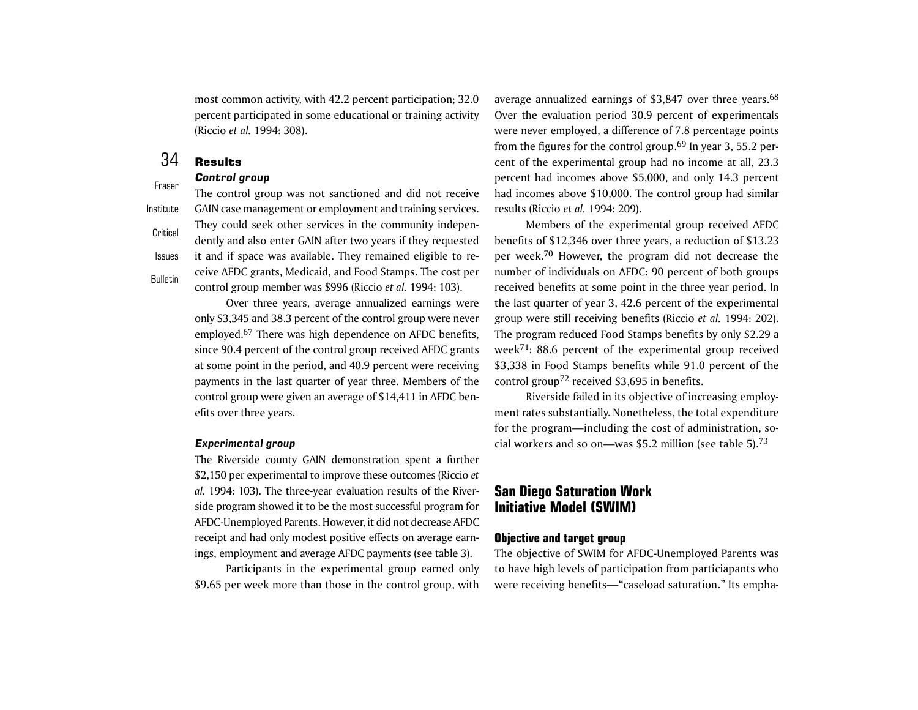most common activity, with 42.2 percent participation; 32.0 percent participated in some educational or training activity (Riccio *et al.* 1994: 308).

#### 34**Results**

Fraser

### *Control group*

InstituteCriticalIssues**Bulletin** The control group was not sanctioned and did not receive GAIN case management or employment and training services. They could seek other services in the community independently and also enter GAIN after two years if they requested it and if space was available. They remained eligible to receive AFDC grants, Medicaid, and Food Stamps. The cost per control group member was \$996 (Riccio *et al.* 1994: 103).

> Over three years, average annualized earnings were only \$3,345 and 38.3 percent of the control group were never employed.67 There was high dependence on AFDC benefits, since 90.4 percent of the control group received AFDC grants at some point in the period, and 40.9 percent were receiving payments in the last quarter of year three. Members of the control group were given an average of \$14,411 in AFDC benefits over three years.

#### *Experimental group*

The Riverside county GAIN demonstration spent a further \$2,150 per experimental to improve these outcomes (Riccio *et al.* 1994: 103). The three-year evaluation results of the Riverside program showed it to be the most successful program for AFDC-Unemployed Parents. However, it did not decrease AFDC receipt and had only modest positive effects on average earnings, employment and average AFDC payments (see table 3).

Participants in the experimental group earned only \$9.65 per week more than those in the control group, with

average annualized earnings of \$3,847 over three years.<sup>68</sup> Over the evaluation period 30.9 percent of experimentals were never employed, a difference of 7.8 percentage points from the figures for the control group.<sup>69</sup> In year 3, 55.2 percent of the experimental group had no income at all, 23.3 percent had incomes above \$5,000, and only 14.3 percent had incomes above \$10,000. The control group had similar results (Riccio *et al.* 1994: 209).

Members of the experimental group received AFDC benefits of \$12,346 over three years, a reduction of \$13.23 per week.70 However, the program did not decrease the number of individuals on AFDC: 90 percent of both groups received benefits at some point in the three year period. In the last quarter of year 3, 42.6 percent of the experimental group were still receiving benefits (Riccio *et al.* 1994: 202). The program reduced Food Stamps benefits by only \$2.29 a week<sup>71</sup>: 88.6 percent of the experimental group received \$3,338 in Food Stamps benefits while 91.0 percent of the control group<sup>72</sup> received \$3,695 in benefits.

Riverside failed in its objective of increasing employment rates substantially. Nonetheless, the total expenditure for the program—including the cost of administration, social workers and so on—was \$5.2 million (see table 5).73

### **San Diego Saturation Work Initiative Model (SWIM)**

### **Objective and target group**

The objective of SWIM for AFDC-Unemployed Parents was to have high levels of participation from particiapants who were receiving benefits—"caseload saturation." Its empha-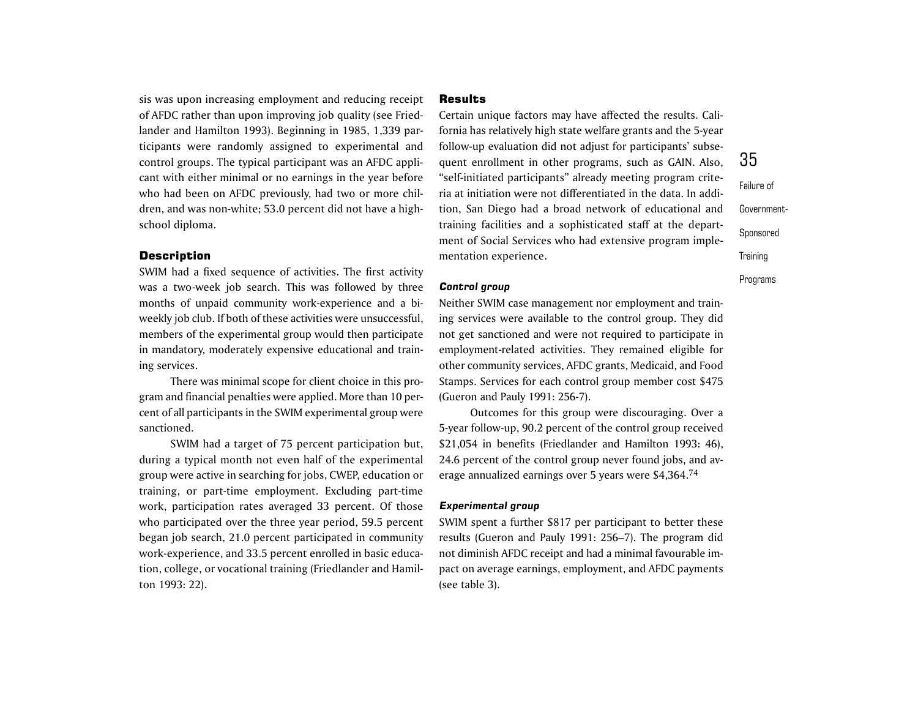sis was upon increasing employment and reducing receipt of AFDC rather than upon improving job quality (see Friedlander and Hamilton 1993). Beginning in 1985, 1,339 participants were randomly assigned to experimental and control groups. The typical participant was an AFDC applicant with either minimal or no earnings in the year before who had been on AFDC previously, had two or more children, and was non-white; 53.0 percent did not have a highschool diploma.

#### **Description**

SWIM had a fixed sequence of activities. The first activity was a two-week job search. This was followed by three months of unpaid community work-experience and a biweekly job club. If both of these activities were unsuccessful, members of the experimental group would then participate in mandatory, moderately expensive educational and training services.

There was minimal scope for client choice in this program and financial penalties were applied. More than 10 percent of all participants in the SWIM experimental group were sanctioned.

SWIM had a target of 75 percent participation but, during a typical month not even half of the experimental group were active in searching for jobs, CWEP, education or training, or part-time employment. Excluding part-time work, participation rates averaged 33 percent. Of those who participated over the three year period, 59.5 percent began job search, 21.0 percent participated in community work-experience, and 33.5 percent enrolled in basic education, college, or vocational training (Friedlander and Hamilton 1993: 22).

#### Results

Certain unique factors may have affected the results. California has relatively high state welfare grants and the 5-year follow-up evaluation did not adjust for participants' subsequent enrollment in other programs, such as GAIN. Also, "self-initiated participants" already meeting program criteria at initiation were not differentiated in the data. In addition, San Diego had a broad network of educational and training facilities and a sophisticated staff at the department of Social Services who had extensive program implementation experience.

#### *Control group*

Neither SWIM case management nor employment and training services were available to the control group. They did not get sanctioned and were not required to participate in employment-related activities. They remained eligible for other community services, AFDC grants, Medicaid, and Food Stamps. Services for each control group member cost \$475 (Gueron and Pauly 1991: 256-7).

Outcomes for this group were discouraging. Over a 5-year follow-up, 90.2 percent of the control group received \$21,054 in benefits (Friedlander and Hamilton 1993: 46), 24.6 percent of the control group never found jobs, and average annualized earnings over 5 years were \$4,364.74

#### *Experimental group*

SWIM spent a further \$817 per participant to better these results (Gueron and Pauly 1991: 256–7). The program did not diminish AFDC receipt and had a minimal favourable impact on average earnings, employment, and AFDC payments (see table 3).

35Failure of Government-Sponsored **Training** Programs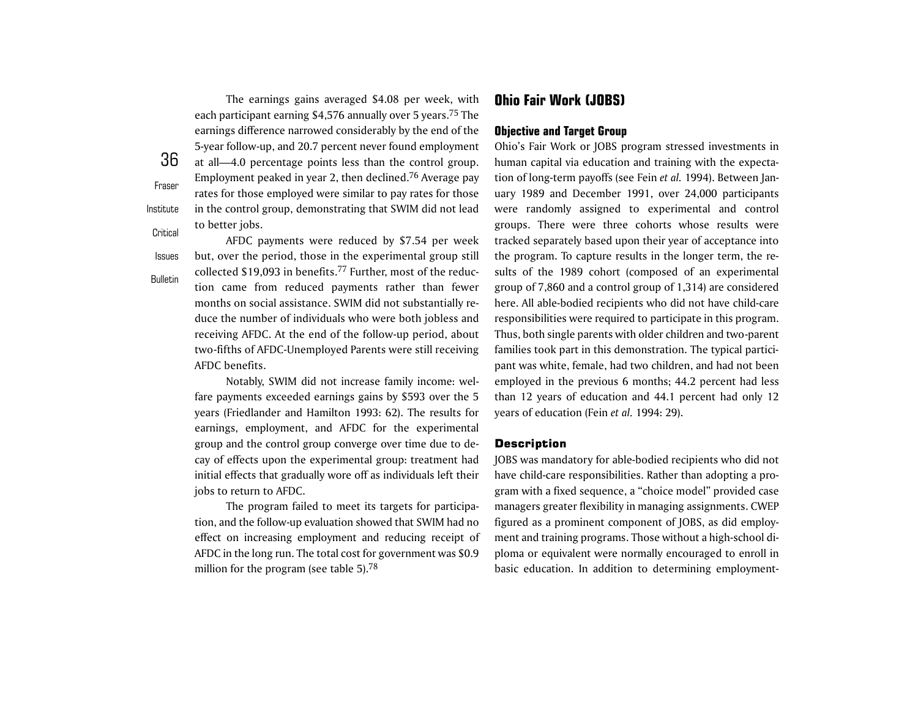The earnings gains averaged \$4.08 per week, with each participant earning \$4,576 annually over 5 years.<sup>75</sup> The earnings difference narrowed considerably by the end of the 5-year follow-up, and 20.7 percent never found employment at all—4.0 percentage points less than the control group. Employment peaked in year 2, then declined.76 Average pay rates for those employed were similar to pay rates for those in the control group, demonstrating that SWIM did not lead to better jobs.

CriticalAFDC payments were reduced by \$7.54 per week but, over the period, those in the experimental group still collected \$19,093 in benefits.77 Further, most of the reduction came from reduced payments rather than fewer months on social assistance. SWIM did not substantially reduce the number of individuals who were both jobless and receiving AFDC. At the end of the follow-up period, about two-fifths of AFDC-Unemployed Parents were still receiving AFDC benefits.

> Notably, SWIM did not increase family income: welfare payments exceeded earnings gains by \$593 over the 5 years (Friedlander and Hamilton 1993: 62). The results for earnings, employment, and AFDC for the experimental group and the control group converge over time due to decay of effects upon the experimental group: treatment had initial effects that gradually wore off as individuals left their jobs to return to AFDC.

> The program failed to meet its targets for participation, and the follow-up evaluation showed that SWIM had no effect on increasing employment and reducing receipt of AFDC in the long run. The total cost for government was \$0.9 million for the program (see table 5).<sup>78</sup>

# **Ohio Fair Work (JOBS)**

#### **Objective and Target Group**

Ohio's Fair Work or JOBS program stressed investments in human capital via education and training with the expectation of long-term payoffs (see Fein *et al.* 1994). Between January 1989 and December 1991, over 24,000 participants were randomly assigned to experimental and control groups. There were three cohorts whose results were tracked separately based upon their year of acceptance into the program. To capture results in the longer term, the results of the 1989 cohort (composed of an experimental group of 7,860 and a control group of 1,314) are considered here. All able-bodied recipients who did not have child-care responsibilities were required to participate in this program. Thus, both single parents with older children and two-parent families took part in this demonstration. The typical participant was white, female, had two children, and had not been employed in the previous 6 months; 44.2 percent had less than 12 years of education and 44.1 percent had only 12 years of education (Fein *et al.* 1994: 29).

#### **Description**

JOBS was mandatory for able-bodied recipients who did not have child-care responsibilities. Rather than adopting a program with a fixed sequence, a "choice model" provided case managers greater flexibility in managing assignments. CWEP figured as a prominent component of JOBS, as did employment and training programs. Those without a high-school diploma or equivalent were normally encouraged to enroll in basic education. In addition to determining employment-

Issues

36

Fraser

Institute

**Bulletin**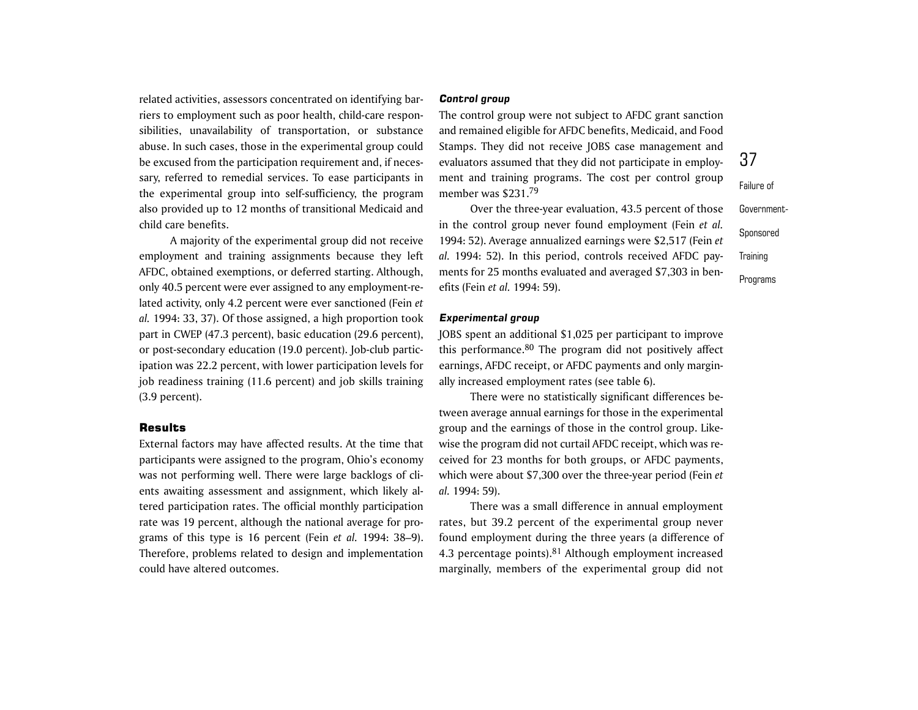related activities, assessors concentrated on identifying barriers to employment such as poor health, child-care responsibilities, unavailability of transportation, or substance abuse. In such cases, those in the experimental group could be excused from the participation requirement and, if necessary, referred to remedial services. To ease participants in the experimental group into self-sufficiency, the program also provided up to 12 months of transitional Medicaid and child care benefits.

A majority of the experimental group did not receive employment and training assignments because they left AFDC, obtained exemptions, or deferred starting. Although, only 40.5 percent were ever assigned to any employment-related activity, only 4.2 percent were ever sanctioned (Fein *et al.* 1994: 33, 37). Of those assigned, a high proportion took part in CWEP (47.3 percent), basic education (29.6 percent), or post-secondary education (19.0 percent). Job-club participation was 22.2 percent, with lower participation levels for job readiness training (11.6 percent) and job skills training (3.9 percent).

#### Results

External factors may have affected results. At the time that participants were assigned to the program, Ohio's economy was not performing well. There were large backlogs of clients awaiting assessment and assignment, which likely altered participation rates. The official monthly participation rate was 19 percent, although the national average for programs of this type is 16 percent (Fein *et al.* 1994: 38–9). Therefore, problems related to design and implementation could have altered outcomes.

#### *Control group*

The control group were not subject to AFDC grant sanction and remained eligible for AFDC benefits, Medicaid, and Food Stamps. They did not receive JOBS case management and evaluators assumed that they did not participate in employment and training programs. The cost per control group member was \$231.79

Over the three-year evaluation, 43.5 percent of those in the control group never found employment (Fein *et al.* 1994: 52). Average annualized earnings were \$2,517 (Fein *et al.* 1994: 52). In this period, controls received AFDC payments for 25 months evaluated and averaged \$7,303 in benefits (Fein *et al.* 1994: 59).

#### *Experimental group*

JOBS spent an additional \$1,025 per participant to improve this performance. $80$  The program did not positively affect earnings, AFDC receipt, or AFDC payments and only marginally increased employment rates (see table 6).

There were no statistically significant differences between average annual earnings for those in the experimental group and the earnings of those in the control group. Likewise the program did not curtail AFDC receipt, which was received for 23 months for both groups, or AFDC payments, which were about \$7,300 over the three-year period (Fein *et al.* 1994: 59).

There was a small difference in annual employment rates, but 39.2 percent of the experimental group never found employment during the three years (a difference of 4.3 percentage points).<sup>81</sup> Although employment increased marginally, members of the experimental group did not

Failure of Government-Sponsored **Training** Programs

37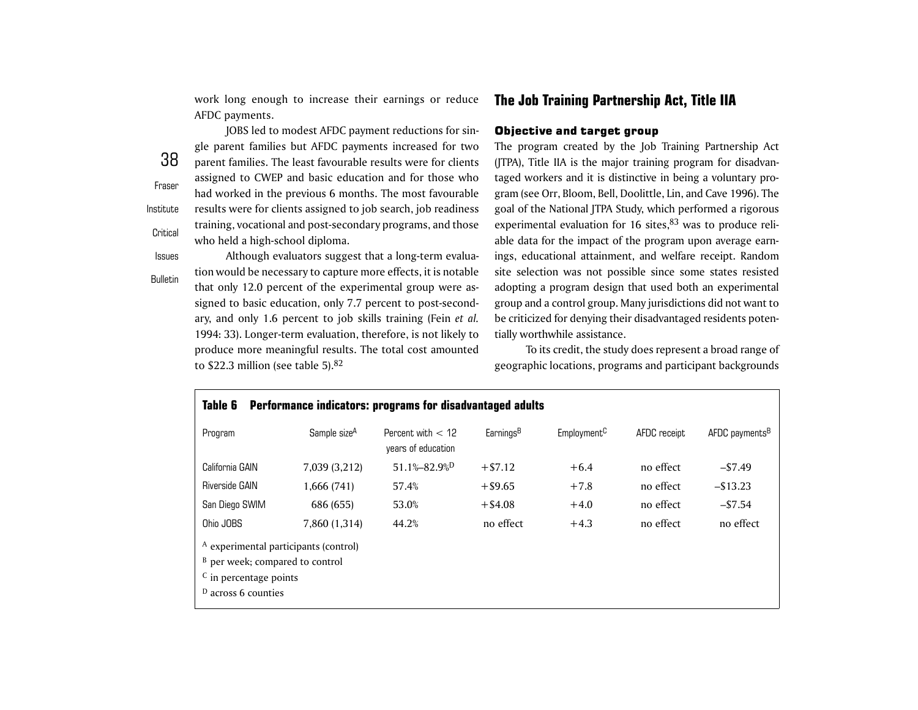work long enough to increase their earnings or reduce AFDC payments.

JOBS led to modest AFDC payment reductions for single parent families but AFDC payments increased for two parent families. The least favourable results were for clients assigned to CWEP and basic education and for those who had worked in the previous 6 months. The most favourable results were for clients assigned to job search, job readiness training, vocational and post-secondary programs, and those who held a high-school diploma.

Issues**Bulletin** 

38

Fraser

InstituteCritical

> Although evaluators suggest that a long-term evaluation would be necessary to capture more effects, it is notable that only 12.0 percent of the experimental group were assigned to basic education, only 7.7 percent to post-secondary, and only 1.6 percent to job skills training (Fein *et al.* 1994: 33). Longer-term evaluation, therefore, is not likely to produce more meaningful results. The total cost amounted to \$22.3 million (see table 5).<sup>82</sup>

# **The Job Training Partnership Act, Title IIA**

#### Objective and target group

The program created by the Job Training Partnership Act (JTPA), Title IIA is the major training program for disadvantaged workers and it is distinctive in being a voluntary program (see Orr, Bloom, Bell, Doolittle, Lin, and Cave 1996). The goal of the National JTPA Study, which performed a rigorous experimental evaluation for 16 sites, $83$  was to produce reliable data for the impact of the program upon average earnings, educational attainment, and welfare receipt. Random site selection was not possible since some states resisted adopting a program design that used both an experimental group and a control group. Many jurisdictions did not want to be criticized for denying their disadvantaged residents potentially worthwhile assistance.

To its credit, the study does represent a broad range of geographic locations, programs and participant backgrounds

| Performance indicators: programs for disadvantaged adults<br>Table 6 |                          |                                           |                       |                         |              |                            |
|----------------------------------------------------------------------|--------------------------|-------------------------------------------|-----------------------|-------------------------|--------------|----------------------------|
| Program                                                              | Sample size <sup>A</sup> | Percent with $< 12$<br>years of education | Earnings <sup>B</sup> | Employment <sup>C</sup> | AFDC receipt | AFDC payments <sup>B</sup> |
| California GAIN                                                      | 7,039 (3,212)            | 51.1%-82.9%D                              | $+ $7.12$             | $+6.4$                  | no effect    | $-57.49$                   |
| <b>Riverside GAIN</b>                                                | 1,666 (741)              | 57.4%                                     | $+$ \$9.65            | $+7.8$                  | no effect    | $-$ \$13.23                |
| San Diego SWIM                                                       | 686 (655)                | 53.0%                                     | $+$ \$4.08            | $+4.0$                  | no effect    | $-57.54$                   |
| Ohio JOBS                                                            | 7,860 (1,314)            | 44.2%                                     | no effect             | $+4.3$                  | no effect    | no effect                  |
| A experimental participants (control)                                |                          |                                           |                       |                         |              |                            |
| $B$ per week; compared to control                                    |                          |                                           |                       |                         |              |                            |
| $\epsilon$ in percentage points                                      |                          |                                           |                       |                         |              |                            |
| $D$ across 6 counties                                                |                          |                                           |                       |                         |              |                            |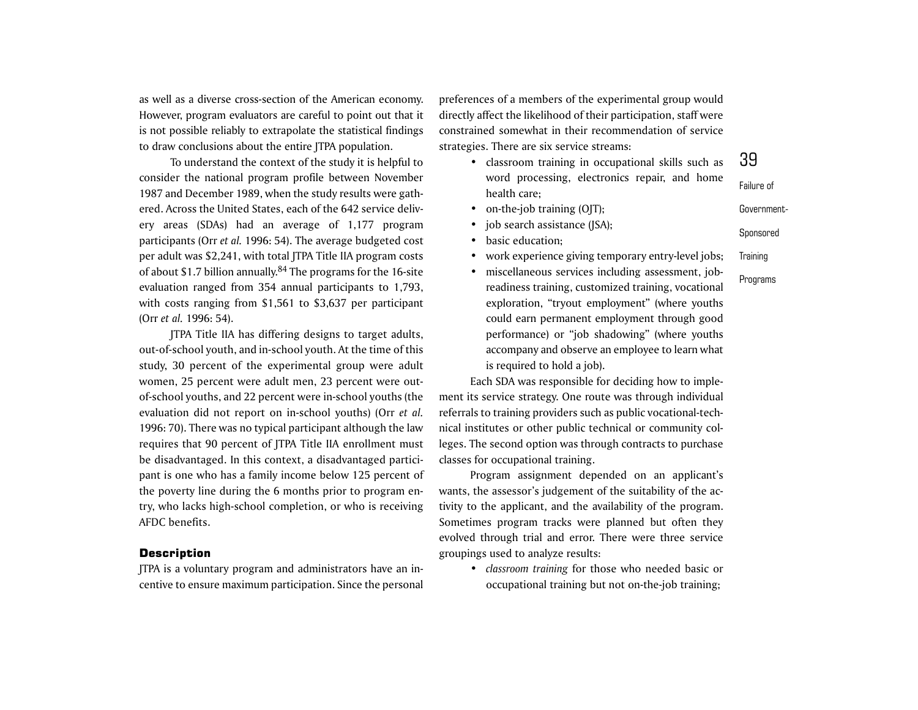as well as a diverse cross-section of the American economy. However, program evaluators are careful to point out that it is not possible reliably to extrapolate the statistical findings to draw conclusions about the entire JTPA population.

To understand the context of the study it is helpful to consider the national program profile between November 1987 and December 1989, when the study results were gathered. Across the United States, each of the 642 service delivery areas (SDAs) had an average of 1,177 program participants (Orr *et al.* 1996: 54). The average budgeted cost per adult was \$2,241, with total JTPA Title IIA program costs of about \$1.7 billion annually.<sup>84</sup> The programs for the 16-site evaluation ranged from 354 annual participants to 1,793, with costs ranging from \$1,561 to \$3,637 per participant (Orr *et al.* 1996: 54).

JTPA Title IIA has differing designs to target adults, out-of-school youth, and in-school youth. At the time of this study, 30 percent of the experimental group were adult women, 25 percent were adult men, 23 percent were outof-school youths, and 22 percent were in-school youths (the evaluation did not report on in-school youths) (Orr *et al.* 1996: 70). There was no typical participant although the law requires that 90 percent of JTPA Title IIA enrollment must be disadvantaged. In this context, a disadvantaged participant is one who has a family income below 125 percent of the poverty line during the 6 months prior to program entry, who lacks high-school completion, or who is receiving AFDC benefits.

#### **Description**

JTPA is a voluntary program and administrators have an incentive to ensure maximum participation. Since the personal preferences of a members of the experimental group would directly affect the likelihood of their participation, staff were constrained somewhat in their recommendation of servicestrategies. There are six service streams:

- classroom training in occupational skills such as word processing, electronics repair, and home health care;
- on-the-job training (OJT);
- •job search assistance (JSA);
- •basic education;
- •work experience giving temporary entry-level jobs;
- • miscellaneous services including assessment, jobreadiness training, customized training, vocational exploration, "tryout employment" (where youths could earn permanent employment through good performance) or "job shadowing" (where youths accompany and observe an employee to learn what is required to hold a job).

Each SDA was responsible for deciding how to implement its service strategy. One route was through individual referrals to training providers such as public vocational-technical institutes or other public technical or community colleges. The second option was through contracts to purchase classes for occupational training.

Program assignment depended on an applicant's wants, the assessor's judgement of the suitability of the activity to the applicant, and the availability of the program. Sometimes program tracks were planned but often they evolved through trial and error. There were three service groupings used to analyze results:

> • *classroom training* for those who needed basic or occupational training but not on-the-job training;

Failure of Government-Sponsored **Training** 

Programs

39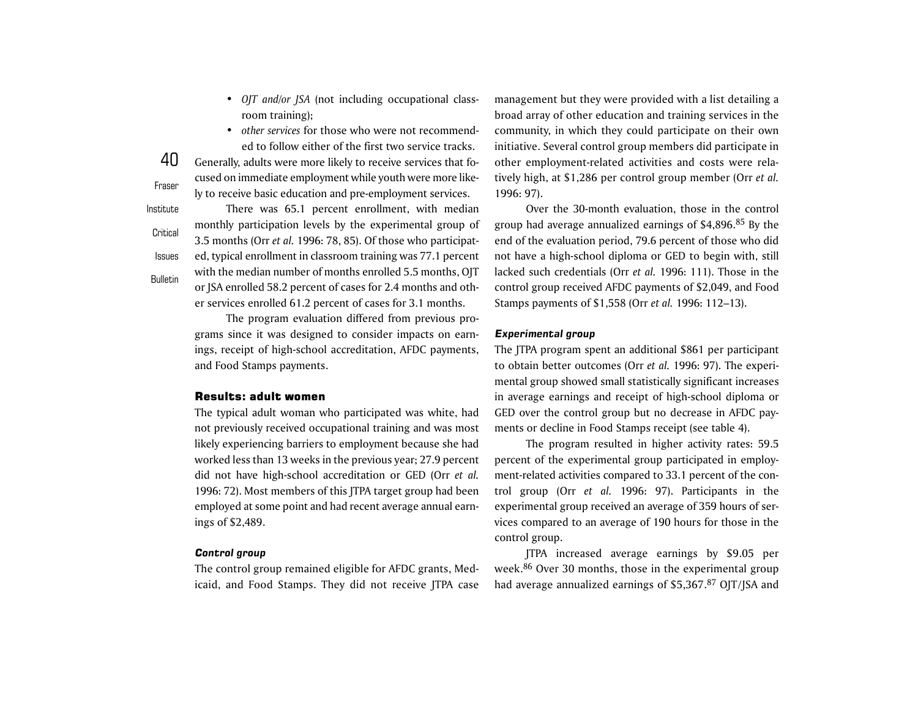- *OJT and/or JSA* (not including occupational classroom training);
- *other services* for those who were not recommended to follow either of the first two service tracks.

Generally, adults were more likely to receive services that focused on immediate employment while youth were more likely to receive basic education and pre-employment services.

There was 65.1 percent enrollment, with median monthly participation levels by the experimental group of 3.5 months (Orr *et al.* 1996: 78, 85). Of those who participated, typical enrollment in classroom training was 77.1 percent with the median number of months enrolled 5.5 months, OJT or JSA enrolled 58.2 percent of cases for 2.4 months and other services enrolled 61.2 percent of cases for 3.1 months.

The program evaluation differed from previous programs since it was designed to consider impacts on earnings, receipt of high-school accreditation, AFDC payments, and Food Stamps payments.

#### Results: adult women

The typical adult woman who participated was white, had not previously received occupational training and was most likely experiencing barriers to employment because she had worked less than 13 weeks in the previous year; 27.9 percent did not have high-school accreditation or GED (Orr *et al.* 1996: 72). Most members of this JTPA target group had been employed at some point and had recent average annual earnings of \$2,489.

#### *Control group*

The control group remained eligible for AFDC grants, Medicaid, and Food Stamps. They did not receive JTPA case management but they were provided with a list detailing a broad array of other education and training services in the community, in which they could participate on their own initiative. Several control group members did participate in other employment-related activities and costs were relatively high, at \$1,286 per control group member (Orr *et al.* 1996: 97).

Over the 30-month evaluation, those in the control group had average annualized earnings of \$4,896.85 By the end of the evaluation period, 79.6 percent of those who did not have a high-school diploma or GED to begin with, still lacked such credentials (Orr *et al.* 1996: 111). Those in the control group received AFDC payments of \$2,049, and Food Stamps payments of \$1,558 (Orr *et al.* 1996: 112–13).

#### *Experimental group*

The JTPA program spent an additional \$861 per participant to obtain better outcomes (Orr *et al.* 1996: 97). The experimental group showed small statistically significant increases in average earnings and receipt of high-school diploma or GED over the control group but no decrease in AFDC payments or decline in Food Stamps receipt (see table 4).

The program resulted in higher activity rates: 59.5 percent of the experimental group participated in employment-related activities compared to 33.1 percent of the control group (Orr *et al.* 1996: 97). Participants in the experimental group received an average of 359 hours of services compared to an average of 190 hours for those in the control group.

JTPA increased average earnings by \$9.05 per week.86 Over 30 months, those in the experimental group had average annualized earnings of \$5,367.87 OJT/JSA and

Issues**Bulletin** 

40

Fraser

Institute

Critical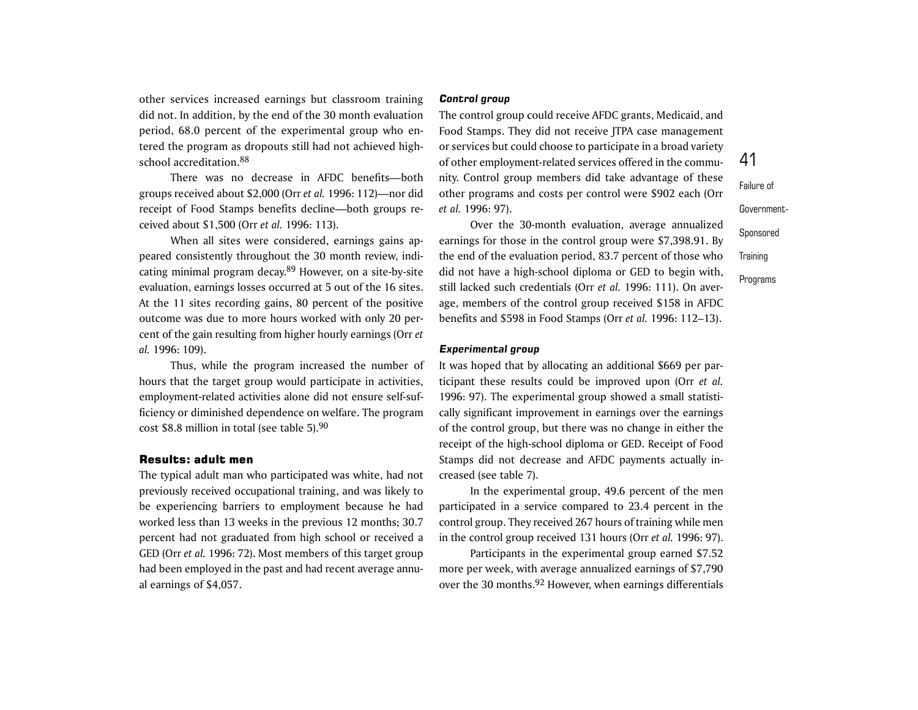other services increased earnings but classroom training did not. In addition, by the end of the 30 month evaluation period, 68.0 percent of the experimental group who entered the program as dropouts still had not achieved highschool accreditation.<sup>88</sup>

There was no decrease in AFDC benefits—both groups received about \$2,000 (Orr *et al.* 1996: 112)—nor did receipt of Food Stamps benefits decline—both groups received about \$1,500 (Orr *et al.* 1996: 113).

When all sites were considered, earnings gains appeared consistently throughout the 30 month review, indicating minimal program decay.89 However, on a site-by-site evaluation, earnings losses occurred at 5 out of the 16 sites. At the 11 sites recording gains, 80 percent of the positive outcome was due to more hours worked with only 20 percent of the gain resulting from higher hourly earnings (Orr *et al.* 1996: 109).

Thus, while the program increased the number of hours that the target group would participate in activities, employment-related activities alone did not ensure self-sufficiency or diminished dependence on welfare. The program cost \$8.8 million in total (see table 5).90

#### Results: adult men

The typical adult man who participated was white, had not previously received occupational training, and was likely to be experiencing barriers to employment because he had worked less than 13 weeks in the previous 12 months; 30.7 percent had not graduated from high school or received a GED (Orr *et al.* 1996: 72). Most members of this target group had been employed in the past and had recent average annual earnings of \$4,057.

#### *Control group*

The control group could receive AFDC grants, Medicaid, and Food Stamps. They did not receive JTPA case management or services but could choose to participate in a broad variety of other employment-related services offered in the community. Control group members did take advantage of these other programs and costs per control were \$902 each (Orr *et al.* 1996: 97).

Over the 30-month evaluation, average annualized earnings for those in the control group were \$7,398.91. By the end of the evaluation period, 83.7 percent of those who did not have a high-school diploma or GED to begin with, still lacked such credentials (Orr *et al.* 1996: 111). On average, members of the control group received \$158 in AFDC benefits and \$598 in Food Stamps (Orr *et al.* 1996: 112–13).

#### *Experimental group*

It was hoped that by allocating an additional \$669 per participant these results could be improved upon (Orr *et al.* 1996: 97). The experimental group showed a small statistically significant improvement in earnings over the earnings of the control group, but there was no change in either the receipt of the high-school diploma or GED. Receipt of Food Stamps did not decrease and AFDC payments actually increased (see table 7).

In the experimental group, 49.6 percent of the men participated in a service compared to 23.4 percent in the control group. They received 267 hours of training while men in the control group received 131 hours (Orr *et al.* 1996: 97).

Participants in the experimental group earned \$7.52 more per week, with average annualized earnings of \$7,790 over the 30 months.92 However, when earnings differentials Failure of Government-Sponsored **Training** Programs

41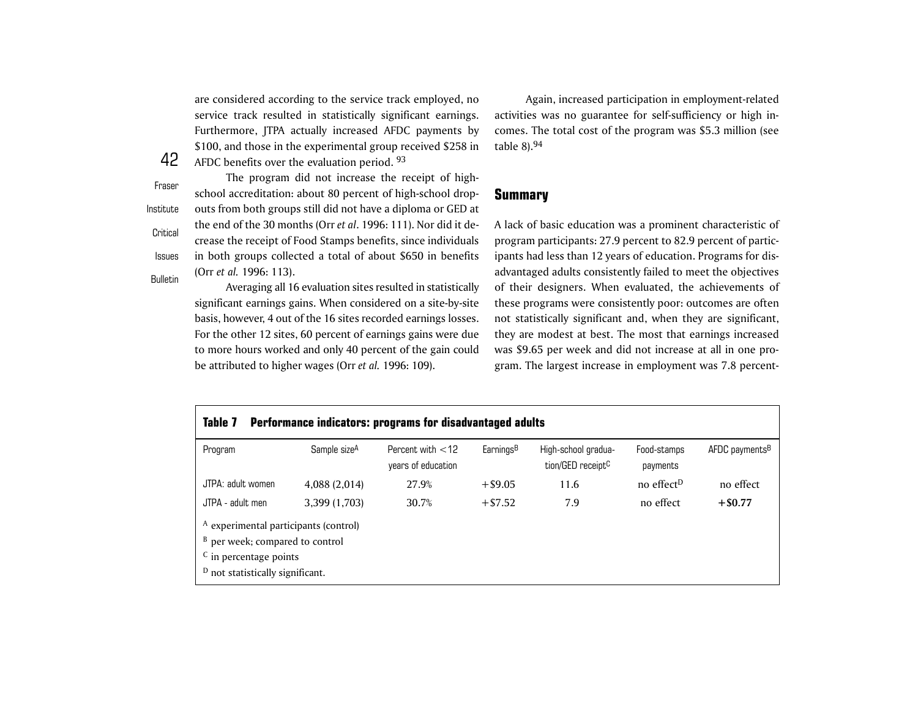are considered according to the service track employed, no service track resulted in statistically significant earnings. Furthermore, JTPA actually increased AFDC payments by \$100, and those in the experimental group received \$258 in AFDC benefits over the evaluation period. 93

FraserInstituteCritical

> IssuesBulletin

42

The program did not increase the receipt of highschool accreditation: about 80 percent of high-school dropouts from both groups still did not have a diploma or GED at the end of the 30 months (Orr *et al*. 1996: 111). Nor did it decrease the receipt of Food Stamps benefits, since individuals in both groups collected a total of about \$650 in benefits (Orr *et al.* 1996: 113).

Averaging all 16 evaluation sites resulted in statistically significant earnings gains. When considered on a site-by-site basis, however, 4 out of the 16 sites recorded earnings losses. For the other 12 sites, 60 percent of earnings gains were due to more hours worked and only 40 percent of the gain could be attributed to higher wages (Orr *et al.* 1996: 109).

Again, increased participation in employment-related activities was no guarantee for self-sufficiency or high incomes. The total cost of the program was \$5.3 million (see table  $8$ ). $94$ 

## **Summary**

A lack of basic education was a prominent characteristic of program participants: 27.9 percent to 82.9 percent of participants had less than 12 years of education. Programs for disadvantaged adults consistently failed to meet the objectives of their designers. When evaluated, the achievements of these programs were consistently poor: outcomes are often not statistically significant and, when they are significant, they are modest at best. The most that earnings increased was \$9.65 per week and did not increase at all in one program. The largest increase in employment was 7.8 percent-

| Table 7<br><b>Performance indicators: programs for disadvantaged adults</b>                                                                           |                          |                                           |                       |                                                      |                         |                            |  |
|-------------------------------------------------------------------------------------------------------------------------------------------------------|--------------------------|-------------------------------------------|-----------------------|------------------------------------------------------|-------------------------|----------------------------|--|
| Program                                                                                                                                               | Sample size <sup>A</sup> | Percent with $<$ 12<br>years of education | Earnings <sup>B</sup> | High-school gradua-<br>tion/GED receipt <sup>C</sup> | Food-stamps<br>payments | AFDC payments <sup>B</sup> |  |
| JTPA: adult women                                                                                                                                     | 4,088 (2,014)            | 27.9%                                     | $+$ \$9.05            | 11.6                                                 | no effect <sup>D</sup>  | no effect                  |  |
| JTPA - adult men                                                                                                                                      | 3,399 (1,703)            | 30.7%                                     | $+ $7.52$             | 7.9                                                  | no effect               | $+ $0.77$                  |  |
| A experimental participants (control)<br>$B$ per week; compared to control<br><sup>C</sup> in percentage points<br>$D$ not statistically significant. |                          |                                           |                       |                                                      |                         |                            |  |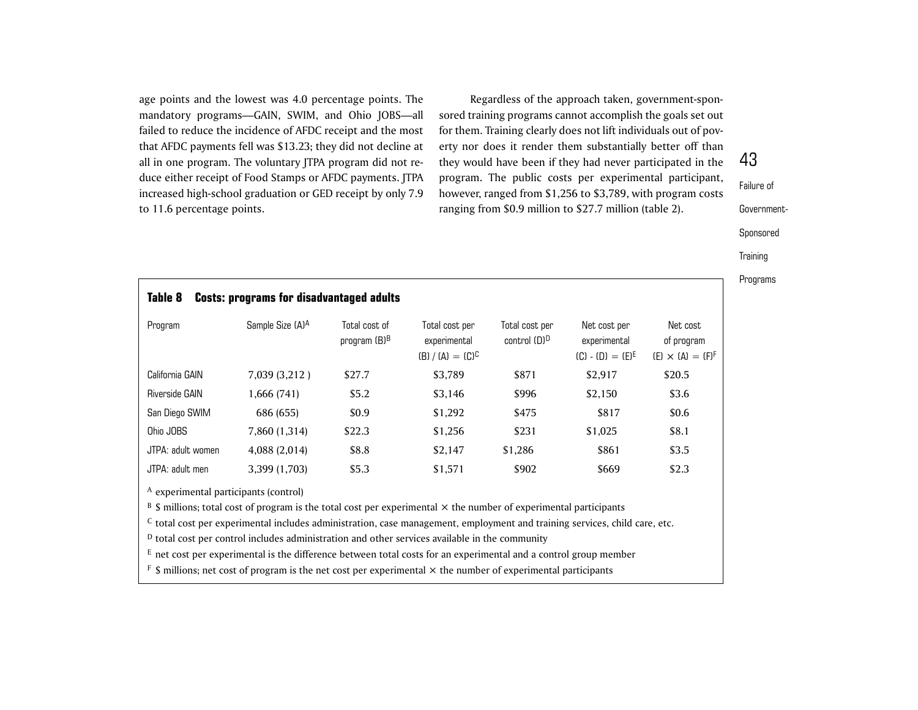age points and the lowest was 4.0 percentage points. The mandatory programs—GAIN, SWIM, and Ohio JOBS—all failed to reduce the incidence of AFDC receipt and the most that AFDC payments fell was \$13.23; they did not decline at all in one program. The voluntary JTPA program did not reduce either receipt of Food Stamps or AFDC payments. JTPA increased high-school graduation or GED receipt by only 7.9 to 11.6 percentage points.

Regardless of the approach taken, government-sponsored training programs cannot accomplish the goals set out for them. Training clearly does not lift individuals out of poverty nor does it render them substantially better off than they would have been if they had never participated in the program. The public costs per experimental participant, however, ranged from \$1,256 to \$3,789, with program costs ranging from \$0.9 million to \$27.7 million (table 2).

Failure of Government-Sponsored **Training** Programs

43

| Program                                                                                                                                                               | Sample Size (A) <sup>A</sup>                                                                                               | Total cost of<br>program (B) <sup>B</sup> | Total cost per<br>experimental<br>$(B) / (A) = (C)^C$ | Total cost per<br>control (D) <sup>D</sup> | Net cost per<br>experimental<br>$(C) - (D) = (E)^E$ | Net cost<br>of program<br>$(E) \times (A) = (F)F$ |
|-----------------------------------------------------------------------------------------------------------------------------------------------------------------------|----------------------------------------------------------------------------------------------------------------------------|-------------------------------------------|-------------------------------------------------------|--------------------------------------------|-----------------------------------------------------|---------------------------------------------------|
| California GAIN                                                                                                                                                       | 7,039 (3,212)                                                                                                              | \$27.7                                    | \$3,789                                               | \$871                                      | \$2,917                                             | \$20.5                                            |
| Riverside GAIN                                                                                                                                                        | 1,666 (741)                                                                                                                | \$5.2                                     | \$3,146                                               | \$996                                      | \$2,150                                             | \$3.6                                             |
| San Diego SWIM                                                                                                                                                        | 686 (655)                                                                                                                  | \$0.9                                     | \$1,292                                               | \$475                                      | \$817                                               | \$0.6                                             |
| Ohio JOBS                                                                                                                                                             | 7,860 (1,314)                                                                                                              | \$22.3                                    | \$1,256                                               | \$231                                      | \$1,025                                             | \$8.1                                             |
| JTPA: adult women                                                                                                                                                     | 4,088 (2,014)                                                                                                              | \$8.8                                     | \$2,147                                               | \$1,286                                    | \$861                                               | \$3.5                                             |
| JTPA: adult men                                                                                                                                                       | 3,399 (1,703)                                                                                                              | \$5.3                                     | \$1,571                                               | \$902                                      | \$669                                               | \$2.3                                             |
| A experimental participants (control)<br>$c$ total cost per experimental includes administration, case management, employment and training services, child care, etc. | $B$ \$ millions; total cost of program is the total cost per experimental $\times$ the number of experimental participants |                                           |                                                       |                                            |                                                     |                                                   |

 $^{\text{\textregistered}}$  total cost per control includes administration and other services available in the community

 $^{\rm E}$  net cost per experimental is the difference between total costs for an experimental and a control group member

 $^{\text{\tiny{\text{F}}}}$  \$ millions; net cost of program is the net cost per experimental  $\times$  the number of experimental participants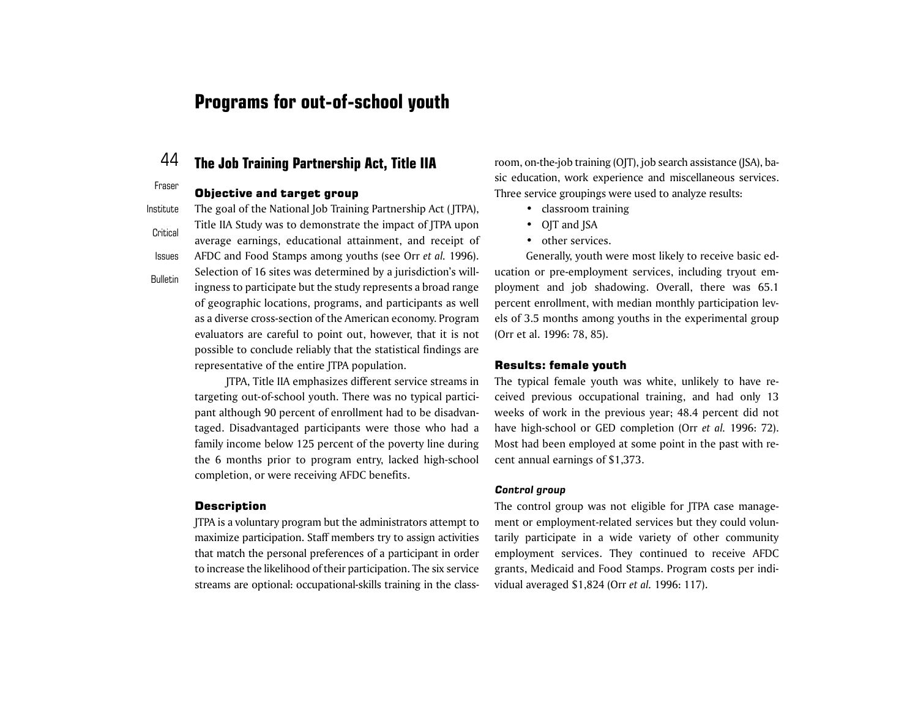# **Programs for out-of-school youth**

#### 44**The Job Training Partnership Act, Title IIA**

#### Objective and target group

Fraser

Institute**Critical** Issues**Bulletin** The goal of the National Job Training Partnership Act ( JTPA), Title IIA Study was to demonstrate the impact of JTPA upon average earnings, educational attainment, and receipt of AFDC and Food Stamps among youths (see Orr *et al.* 1996). Selection of 16 sites was determined by a jurisdiction's willingness to participate but the study represents a broad range of geographic locations, programs, and participants as well as a diverse cross-section of the American economy. Program evaluators are careful to point out, however, that it is not possible to conclude reliably that the statistical findings are representative of the entire JTPA population.

> JTPA, Title IIA emphasizes different service streams in targeting out-of-school youth. There was no typical participant although 90 percent of enrollment had to be disadvantaged. Disadvantaged participants were those who had a family income below 125 percent of the poverty line during the 6 months prior to program entry, lacked high-school completion, or were receiving AFDC benefits.

#### **Description**

JTPA is a voluntary program but the administrators attempt to maximize participation. Staff members try to assign activities that match the personal preferences of a participant in order to increase the likelihood of their participation. The six service streams are optional: occupational-skills training in the class-

room, on-the-job training (OJT), job search assistance (JSA), ba sic education, work experience and miscellaneous services. Three service groupings were used to analyze results:

- classroom training
- OJT and JSA
- other services.

Generally, youth were most likely to receive basic ed ucation or pre-employment services, including tryout em ployment and job shadowing. Overall, there was 65.1 percent enrollment, with median monthly participation lev els of 3.5 months among youths in the experimental group (Orr et al. 1996: 78, 85).

#### Results: female youth

The typical female youth was white, unlikely to have re ceived previous occupational training, and had only 13 weeks of work in the previous year; 48.4 percent did not have high-school or GED completion (Orr *et al.* 1996: 72). Most had been employed at some point in the past with re cent annual earnings of \$1,373.

#### *Control group*

The control group was not eligible for JTPA case manage ment or employment-related services but they could volun tarily participate in a wide variety of other community employment services. They continued to receive AFDC grants, Medicaid and Food Stamps. Program costs per indi vidual averaged \$1,824 (Orr *et al.* 1996: 117).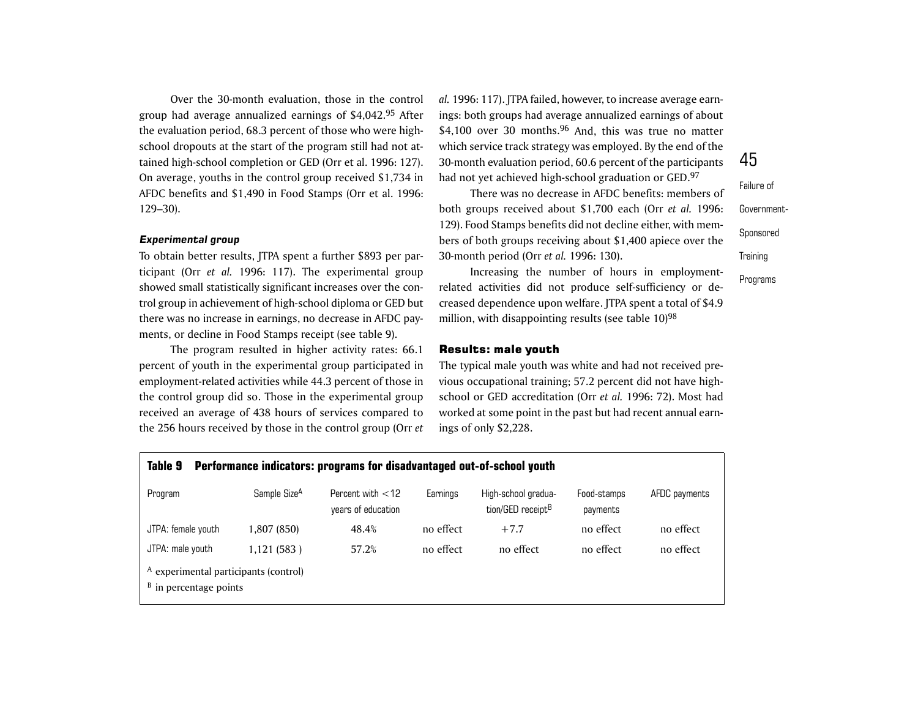Over the 30-month evaluation, those in the control group had average annualized earnings of \$4,042.95 After the evaluation period, 68.3 percent of those who were highschool dropouts at the start of the program still had not attained high-school completion or GED (Orr et al. 1996: 127). On average, youths in the control group received \$1,734 in AFDC benefits and \$1,490 in Food Stamps (Orr et al. 1996: 129–30).

#### *Experimental group*

To obtain better results, JTPA spent a further \$893 per participant (Orr *et al.* 1996: 117). The experimental group showed small statistically significant increases over the control group in achievement of high-school diploma or GED but there was no increase in earnings, no decrease in AFDC payments, or decline in Food Stamps receipt (see table 9).

The program resulted in higher activity rates: 66.1 percent of youth in the experimental group participated in employment-related activities while 44.3 percent of those in the control group did so. Those in the experimental group received an average of 438 hours of services compared to the 256 hours received by those in the control group (Orr *et* *al.* 1996: 117). JTPA failed, however, to increase average earnings: both groups had average annualized earnings of about \$4,100 over 30 months. $96$  And, this was true no matter which service track strategy was employed. By the end of the 30-month evaluation period, 60.6 percent of the participants had not yet achieved high-school graduation or GED.<sup>97</sup>

There was no decrease in AFDC benefits: members ofboth groups received about \$1,700 each (Orr *et al.* 1996: 129). Food Stamps benefits did not decline either, with members of both groups receiving about \$1,400 apiece over the 30-month period (Orr *et al.* 1996: 130).

Increasing the number of hours in employmentrelated activities did not produce self-sufficiency or decreased dependence upon welfare. JTPA spent a total of \$4.9 million, with disappointing results (see table  $10$ )<sup>98</sup>

#### Results: male youth

The typical male youth was white and had not received previous occupational training; 57.2 percent did not have highschool or GED accreditation (Orr *et al.* 1996: 72). Most had worked at some point in the past but had recent annual earnings of only \$2,228.

| Performance indicators: programs for disadvantaged out-of-school youth<br><b>Table 9</b> |              |                                           |           |                                                      |                         |               |  |
|------------------------------------------------------------------------------------------|--------------|-------------------------------------------|-----------|------------------------------------------------------|-------------------------|---------------|--|
| Program                                                                                  | Sample SizeA | Percent with $<$ 12<br>years of education | Earnings  | High-school gradua-<br>tion/GED receipt <sup>B</sup> | Food-stamps<br>payments | AFDC payments |  |
| JTPA: female youth                                                                       | 1,807 (850)  | 48.4%                                     | no effect | $+7.7$                                               | no effect               | no effect     |  |
| JTPA: male youth                                                                         | 1,121 (583)  | 57.2%                                     | no effect | no effect                                            | no effect               | no effect     |  |
| A experimental participants (control)<br>$B$ in percentage points                        |              |                                           |           |                                                      |                         |               |  |

Failure of Government-

45

Sponsored **Training** 

Programs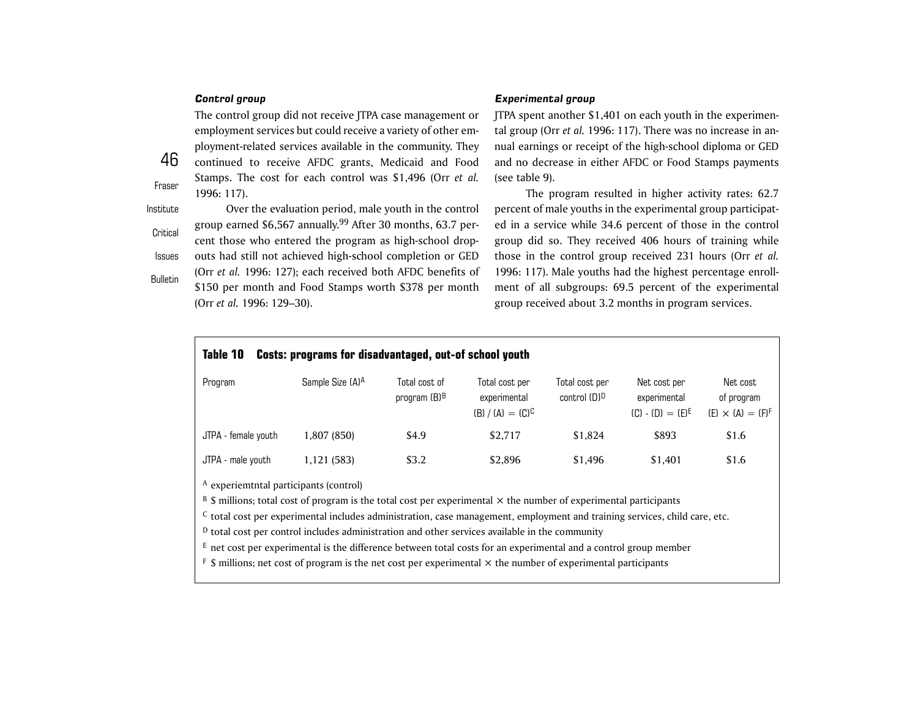#### *Control group*

46

Fraser

Г

The control group did not receive JTPA case management or employment services but could receive a variety of other employment-related services available in the community. They continued to receive AFDC grants, Medicaid and Food Stamps. The cost for each control was \$1,496 (Orr *et al.* 1996: 117).

InstituteCriticalIssues**Bulletin** Over the evaluation period, male youth in the control group earned \$6,567 annually.99 After 30 months, 63.7 percent those who entered the program as high-school dropouts had still not achieved high-school completion or GED (Orr *et al.* 1996: 127); each received both AFDC benefits of \$150 per month and Food Stamps worth \$378 per month (Orr *et al.* 1996: 129–30).

#### *Experimental group*

JTPA spent another \$1,401 on each youth in the experimental group (Orr *et al.* 1996: 117). There was no increase in annual earnings or receipt of the high-school diploma or GED and no decrease in either AFDC or Food Stamps payments (see table 9).

The program resulted in higher activity rates: 62.7 percent of male youths in the experimental group participated in a service while 34.6 percent of those in the control group did so. They received 406 hours of training while those in the control group received 231 hours (Orr *et al.* 1996: 117). Male youths had the highest percentage enrollment of all subgroups: 69.5 percent of the experimental group received about 3.2 months in program services.

| <b>Table 10</b><br><b>Costs: programs for disadvantaged, out-of school youth</b> |                              |                                           |                                                       |                                            |                                                     |                                                    |
|----------------------------------------------------------------------------------|------------------------------|-------------------------------------------|-------------------------------------------------------|--------------------------------------------|-----------------------------------------------------|----------------------------------------------------|
| Program                                                                          | Sample Size (A) <sup>A</sup> | Total cost of<br>program (B) <sup>B</sup> | Total cost per<br>experimental<br>$(B) / (A) = (C)^C$ | Total cost per<br>control (D) <sup>D</sup> | Net cost per<br>experimental<br>$(C) - (D) = (E)^E$ | Net cost<br>of program<br>$(E) \times (A) = (F)^F$ |
| JTPA - female youth                                                              | 1,807 (850)                  | \$4.9                                     | \$2.717                                               | \$1,824                                    | \$893                                               | \$1.6                                              |
| JTPA - male youth                                                                | 1,121 (583)                  | \$3.2                                     | \$2,896                                               | \$1.496                                    | \$1.401                                             | \$1.6                                              |
| A experientatel participante (control)                                           |                              |                                           |                                                       |                                            |                                                     |                                                    |

experiemtntal participants (control)

 $^{\rm B}$  \$ millions; total cost of program is the total cost per experimental  $\times$  the number of experimental participants

 $^{\rm C}$  total cost per experimental includes administration, case management, employment and training services, child care, etc.

 $^{\text{\textregistered}}$  total cost per control includes administration and other services available in the community

 $^{\rm E}$  net cost per experimental is the difference between total costs for an experimental and a control group member

 $^{\rm F}$  \$ millions; net cost of program is the net cost per experimental  $\times$  the number of experimental participants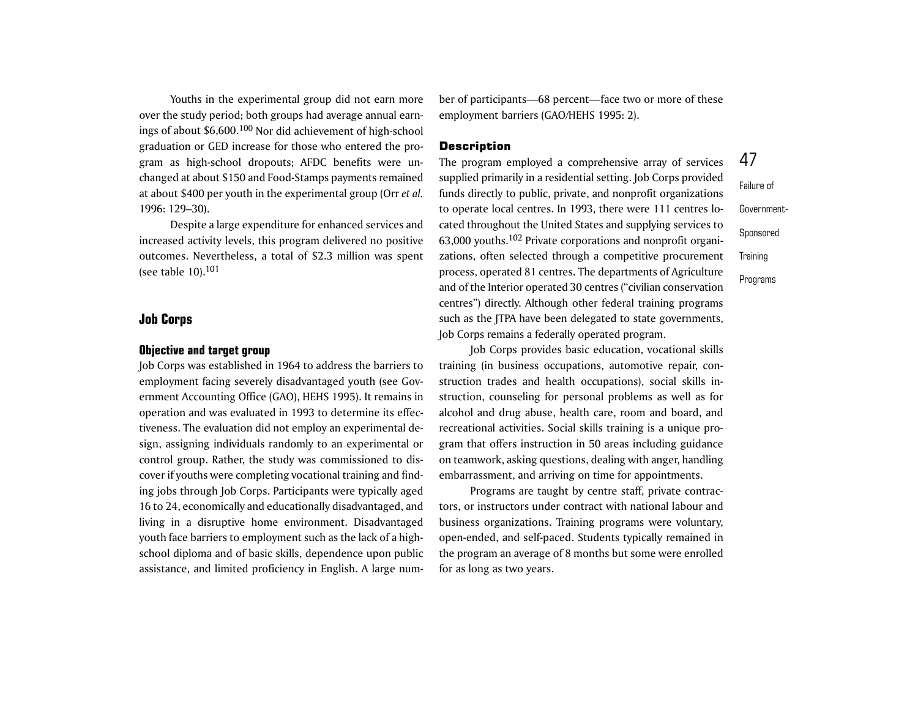Youths in the experimental group did not earn more over the study period; both groups had average annual earnings of about \$6,600.100 Nor did achievement of high-school graduation or GED increase for those who entered the program as high-school dropouts; AFDC benefits were unchanged at about \$150 and Food-Stamps payments remained at about \$400 per youth in the experimental group (Orr *et al.* 1996: 129–30).

Despite a large expenditure for enhanced services and increased activity levels, this program delivered no positive outcomes. Nevertheless, a total of \$2.3 million was spent (see table  $10$ ). $101$ 

#### **Job Corps**

### **Objective and target group**

Job Corps was established in 1964 to address the barriers to employment facing severely disadvantaged youth (see Government Accounting Office (GAO), HEHS 1995). It remains in operation and was evaluated in 1993 to determine its effectiveness. The evaluation did not employ an experimental design, assigning individuals randomly to an experimental or control group. Rather, the study was commissioned to discover if youths were completing vocational training and finding jobs through Job Corps. Participants were typically aged 16 to 24, economically and educationally disadvantaged, and living in a disruptive home environment. Disadvantaged youth face barriers to employment such as the lack of a highschool diploma and of basic skills, dependence upon public assistance, and limited proficiency in English. A large number of participants—68 percent—face two or more of these employment barriers (GAO/HEHS 1995: 2).

#### **Description**

The program employed a comprehensive array of services supplied primarily in a residential setting. Job Corps provided funds directly to public, private, and nonprofit organizations to operate local centres. In 1993, there were 111 centres lo cated throughout the United States and supplying services to 63,000 youths.102 Private corporations and nonprofit organi zations, often selected through a competitive procurement process, operated 81 centres. The departments of Agriculture and of the Interior operated 30 centres ("civilian conservation centres") directly. Although other federal training programs such as the JTPA have been delegated to state governments, Job Corps remains a federally operated program.

Job Corps provides basic education, vocational skills training (in business occupations, automotive repair, con struction trades and health occupations), social skills in struction, counseling for personal problems as well as for alcohol and drug abuse, health care, room and board, and recreational activities. Social skills training is a unique pro gram that offers instruction in 50 areas including guidance on teamwork, asking questions, dealing with anger, handling embarrassment, and arriving on time for appointments.

Programs are taught by centre staff, private contrac tors, or instructors under contract with national labour and business organizations. Training programs were voluntary, open-ended, and self-paced. Students typically remained in the program an average of 8 months but some were enrolled for as long as two years.

Failure of Government-Sponsored **Training** Programs

47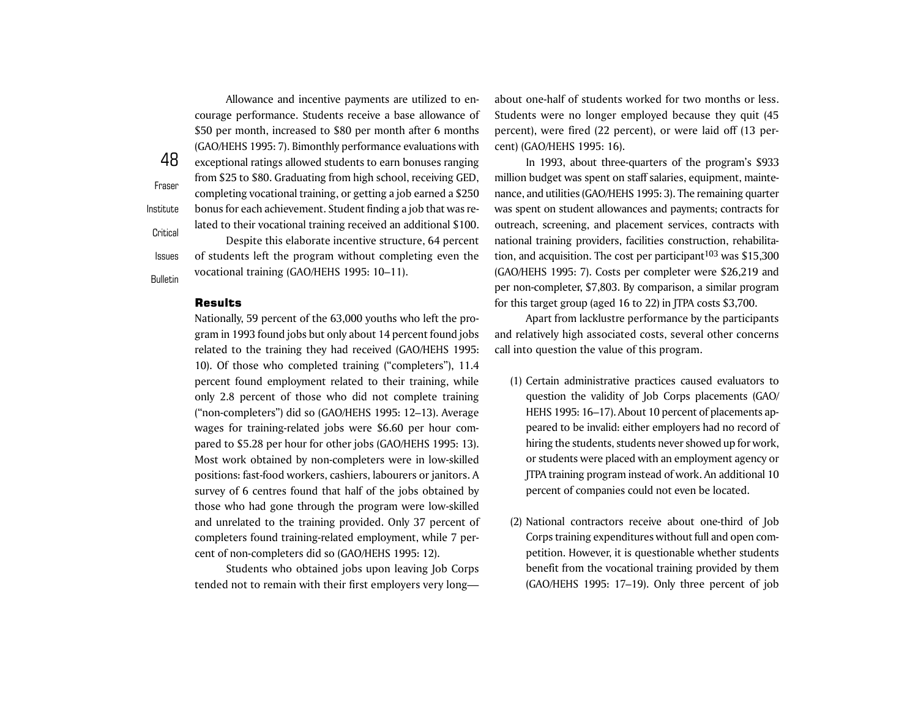48FraserInstituteCriticalIssues**Bulletin** Allowance and incentive payments are utilized to encourage performance. Students receive a base allowance of \$50 per month, increased to \$80 per month after 6 months (GAO/HEHS 1995: 7). Bimonthly performance evaluations with exceptional ratings allowed students to earn bonuses ranging from \$25 to \$80. Graduating from high school, receiving GED, completing vocational training, or getting a job earned a \$250 bonus for each achievement. Student finding a job that was related to their vocational training received an additional \$100. Despite this elaborate incentive structure, 64 percent of students left the program without completing even the vocational training (GAO/HEHS 1995: 10–11).

#### Results

Nationally, 59 percent of the 63,000 youths who left the program in 1993 found jobs but only about 14 percent found jobs related to the training they had received (GAO/HEHS 1995: 10). Of those who completed training ("completers"), 11.4 percent found employment related to their training, while only 2.8 percent of those who did not complete training ("non-completers") did so (GAO/HEHS 1995: 12–13). Average wages for training-related jobs were \$6.60 per hour compared to \$5.28 per hour for other jobs (GAO/HEHS 1995: 13). Most work obtained by non-completers were in low-skilled positions: fast-food workers, cashiers, labourers or janitors. A survey of 6 centres found that half of the jobs obtained by those who had gone through the program were low-skilled and unrelated to the training provided. Only 37 percent of completers found training-related employment, while 7 percent of non-completers did so (GAO/HEHS 1995: 12).

Students who obtained jobs upon leaving Job Corps tended not to remain with their first employers very longabout one-half of students worked for two months or less.Students were no longer employed because they quit (45 percent), were fired (22 percent), or were laid off (13 percent) (GAO/HEHS 1995: 16).

In 1993, about three-quarters of the program's \$933 million budget was spent on staff salaries, equipment, maintenance, and utilities (GAO/HEHS 1995: 3). The remaining quarter was spent on student allowances and payments; contracts for outreach, screening, and placement services, contracts with national training providers, facilities construction, rehabilitation, and acquisition. The cost per participant  $103$  was \$15,300 (GAO/HEHS 1995: 7). Costs per completer were \$26,219 and per non-completer, \$7,803. By comparison, a similar program for this target group (aged 16 to 22) in JTPA costs \$3,700.

Apart from lacklustre performance by the participants and relatively high associated costs, several other concerns call into question the value of this program.

- (1) Certain administrative practices caused evaluators to question the validity of Job Corps placements (GAO/ HEHS 1995: 16–17). About 10 percent of placements appeared to be invalid: either employers had no record of hiring the students, students never showed up for work, or students were placed with an employment agency or JTPA training program instead of work. An additional 10 percent of companies could not even be located.
- (2) National contractors receive about one-third of Job Corps training expenditures without full and open competition. However, it is questionable whether students benefit from the vocational training provided by them (GAO/HEHS 1995: 17–19). Only three percent of job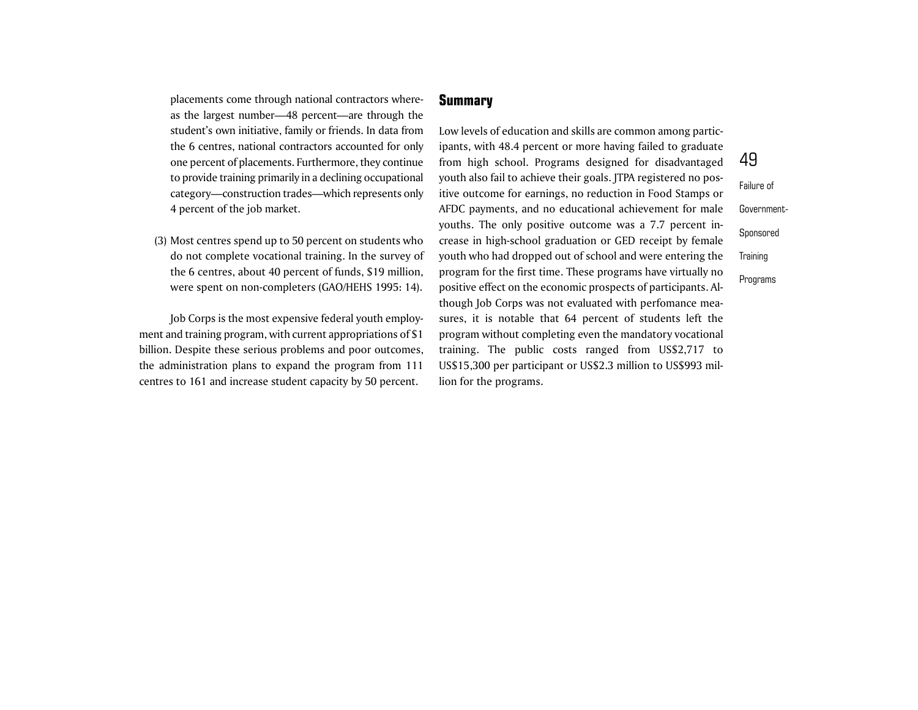placements come through national contractors whereas the largest number—48 percent—are through the student's own initiative, family or friends. In data from the 6 centres, national contractors accounted for only one percent of placements. Furthermore, they continue to provide training primarily in a declining occupational category—construction trades—which represents only 4 percent of the job market.

(3) Most centres spend up to 50 percent on students who do not complete vocational training. In the survey of the 6 centres, about 40 percent of funds, \$19 million, were spent on non-completers (GAO/HEHS 1995: 14).

Job Corps is the most expensive federal youth employment and training program, with current appropriations of \$1 billion. Despite these serious problems and poor outcomes, the administration plans to expand the program from 111 centres to 161 and increase student capacity by 50 percent.

### **Summary**

Low levels of education and skills are common among participants, with 48.4 percent or more having failed to graduate from high school. Programs designed for disadvantaged youth also fail to achieve their goals. JTPA registered no positive outcome for earnings, no reduction in Food Stamps or AFDC payments, and no educational achievement for male youths. The only positive outcome was a 7.7 percent increase in high-school graduation or GED receipt by female youth who had dropped out of school and were entering the program for the first time. These programs have virtually no positive effect on the economic prospects of participants. Although Job Corps was not evaluated with perfomance measures, it is notable that 64 percent of students left the program without completing even the mandatory vocational training. The public costs ranged from US\$2,717 to US\$15,300 per participant or US\$2.3 million to US\$993 million for the programs.

49Failure of Government-Sponsored **Training** Programs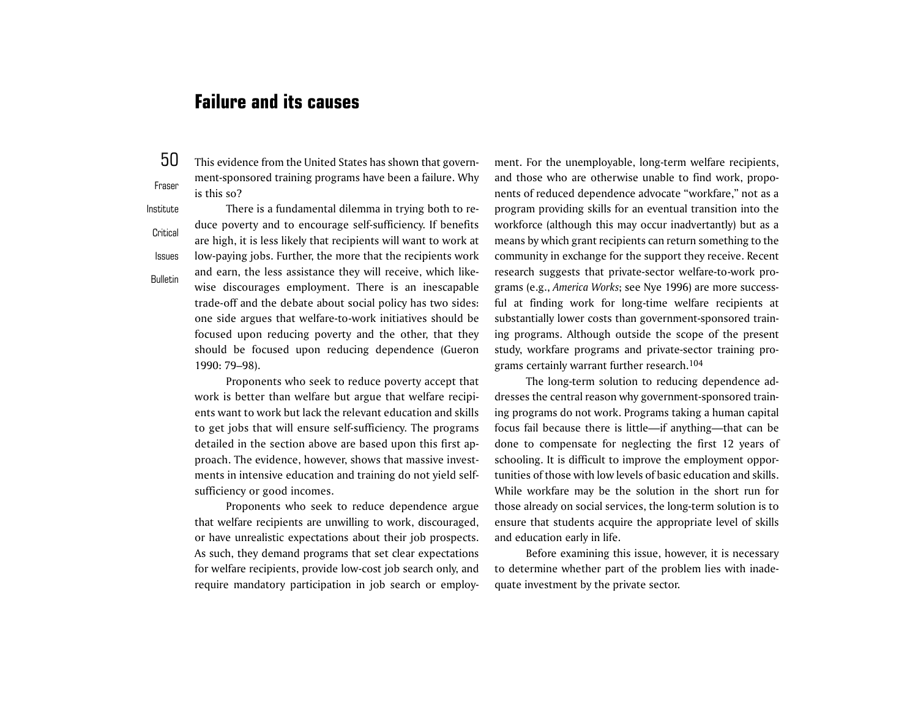# **Failure and its causes**

50FraserThis evidence from the United States has shown that government-sponsored training programs have been a failure. Why is this so?

InstituteCritical**Bulletin** There is a fundamental dilemma in trying both to reduce poverty and to encourage self-sufficiency. If benefits are high, it is less likely that recipients will want to work at low-paying jobs. Further, the more that the recipients work and earn, the less assistance they will receive, which likewise discourages employment. There is an inescapable trade-off and the debate about social policy has two sides: one side argues that welfare-to-work initiatives should be focused upon reducing poverty and the other, that they should be focused upon reducing dependence (Gueron 1990: 79–98).

> Proponents who seek to reduce poverty accept that work is better than welfare but argue that welfare recipients want to work but lack the relevant education and skillsto get jobs that will ensure self-sufficiency. The programs detailed in the section above are based upon this first approach. The evidence, however, shows that massive investments in intensive education and training do not yield selfsufficiency or good incomes.

> Proponents who seek to reduce dependence argue that welfare recipients are unwilling to work, discouraged, or have unrealistic expectations about their job prospects. As such, they demand programs that set clear expectations for welfare recipients, provide low-cost job search only, and require mandatory participation in job search or employ

ment. For the unemployable, long-term welfare recipients, and those who are otherwise unable to find work, propo nents of reduced dependence advocate "workfare," not as a program providing skills for an eventual transition into the workforce (although this may occur inadvertantly) but as a means by which grant recipients can return something to the community in exchange for the support they receive. Recent research suggests that private-sector welfare-to-work pro grams (e.g., *America Works*; see Nye 1996) are more success ful at finding work for long-time welfare recipients at substantially lower costs than government-sponsored train ing programs. Although outside the scope of the present study, workfare programs and private-sector training pro grams certainly warrant further research.<sup>104</sup>

The long-term solution to reducing dependence ad dresses the central reason why government-sponsored train ing programs do not work. Programs taking a human capital focus fail because there is little—if anything—that can be done to compensate for neglecting the first 12 years of schooling. It is difficult to improve the employment oppor tunities of those with low levels of basic education and skills. While workfare may be the solution in the short run for those already on social services, the long-term solution is to ensure that students acquire the appropriate level of skills and education early in life.

Before examining this issue, however, it is necessary to determine whether part of the problem lies with inade quate investment by the private sector.

Issues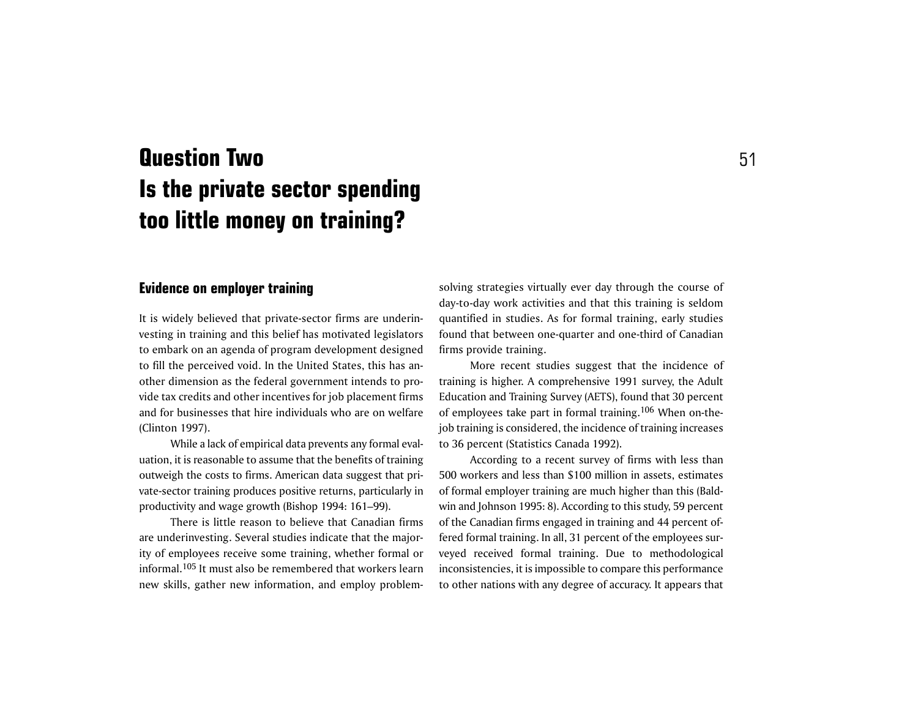# **Question Two** 51 **Is the private sector spending too little money on training?**

# **Evidence on employer training**

It is widely believed that private-sector firms are underinvesting in training and this belief has motivated legislators to embark on an agenda of program development designed to fill the perceived void. In the United States, this has another dimension as the federal government intends to provide tax credits and other incentives for job placement firms and for businesses that hire individuals who are on welfare(Clinton 1997).

While a lack of empirical data prevents any formal evaluation, it is reasonable to assume that the benefits of training outweigh the costs to firms. American data suggest that private-sector training produces positive returns, particularly in productivity and wage growth (Bishop 1994: 161–99).

There is little reason to believe that Canadian firmsare underinvesting. Several studies indicate that the majority of employees receive some training, whether formal or informal.105 It must also be remembered that workers learnnew skills, gather new information, and employ problemsolving strategies virtually ever day through the course of day-to-day work activities and that this training is seldom quantified in studies. As for formal training, early studies found that between one-quarter and one-third of Canadian firms provide training.

More recent studies suggest that the incidence of training is higher. A comprehensive 1991 survey, the Adult Education and Training Survey (AETS), found that 30 percent of employees take part in formal training.106 When on-the job training is considered, the incidence of training increases to 36 percent (Statistics Canada 1992).

According to a recent survey of firms with less than 500 workers and less than \$100 million in assets, estimates of formal employer training are much higher than this (Bald win and Johnson 1995: 8). According to this study, 59 percent of the Canadian firms engaged in training and 44 percent of fered formal training. In all, 31 percent of the employees sur veyed received formal training. Due to methodological inconsistencies, it is impossible to compare this performance to other nations with any degree of accuracy. It appears that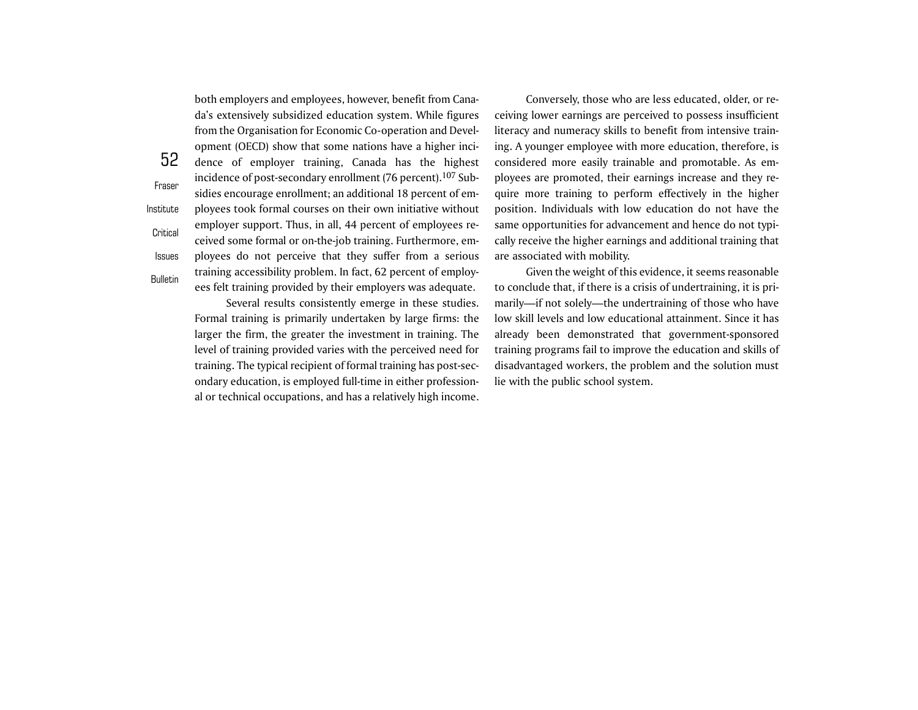both employers and employees, however, benefit from Canada's extensively subsidized education system. While figures from the Organisation for Economic Co-operation and Development (OECD) show that some nations have a higher incidence of employer training, Canada has the highest incidence of post-secondary enrollment (76 percent).<sup>107</sup> Subsidies encourage enrollment; an additional 18 percent of employees took formal courses on their own initiative without employer support. Thus, in all, 44 percent of employees received some formal or on-the-job training. Furthermore, employees do not perceive that they suffer from a serious training accessibility problem. In fact, 62 percent of employees felt training provided by their employers was adequate.

52

Fraser

InstituteCritical

Issues

**Bulletin** 

Several results consistently emerge in these studies. Formal training is primarily undertaken by large firms: the larger the firm, the greater the investment in training. The level of training provided varies with the perceived need for training. The typical recipient of formal training has post-secondary education, is employed full-time in either professional or technical occupations, and has a relatively high income.

Conversely, those who are less educated, older, or receiving lower earnings are perceived to possess insufficient literacy and numeracy skills to benefit from intensive training. A younger employee with more education, therefore, is considered more easily trainable and promotable. As employees are promoted, their earnings increase and they require more training to perform effectively in the higher position. Individuals with low education do not have the same opportunities for advancement and hence do not typically receive the higher earnings and additional training that are associated with mobility.

Given the weight of this evidence, it seems reasonable to conclude that, if there is a crisis of undertraining, it is primarily—if not solely—the undertraining of those who have low skill levels and low educational attainment. Since it hasalready been demonstrated that government-sponsored training programs fail to improve the education and skills of disadvantaged workers, the problem and the solution must lie with the public school system.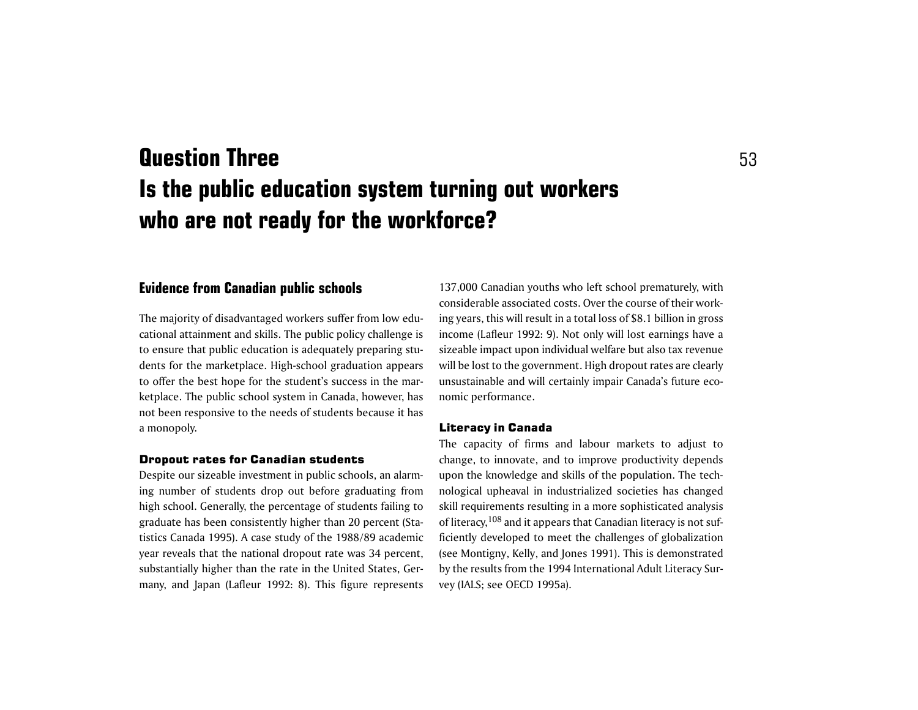# **Question Three** 53 **Is the public education system turning out workers who are not ready for the workforce?**

## **Evidence from Canadian public schools**

The majority of disadvantaged workers suffer from low educational attainment and skills. The public policy challenge is to ensure that public education is adequately preparing students for the marketplace. High-school graduation appears to offer the best hope for the student's success in the marketplace. The public school system in Canada, however, has not been responsive to the needs of students because it has a monopoly.

#### Dropout rates for Canadian students

Despite our sizeable investment in public schools, an alarming number of students drop out before graduating from high school. Generally, the percentage of students failing to graduate has been consistently higher than 20 percent (Statistics Canada 1995). A case study of the 1988/89 academic year reveals that the national dropout rate was 34 percent, substantially higher than the rate in the United States, Germany, and Japan (Lafleur 1992: 8). This figure represents

137,000 Canadian youths who left school prematurely, with considerable associated costs. Over the course of their working years, this will result in a total loss of \$8.1 billion in gross income (Lafleur 1992: 9). Not only will lost earnings have a sizeable impact upon individual welfare but also tax revenue will be lost to the government. High dropout rates are clearly unsustainable and will certainly impair Canada's future economic performance.

#### Literacy in Canada

The capacity of firms and labour markets to adjust to change, to innovate, and to improve productivity depends upon the knowledge and skills of the population. The technological upheaval in industrialized societies has changed skill requirements resulting in a more sophisticated analysis of literacy,108 and it appears that Canadian literacy is not sufficiently developed to meet the challenges of globalization (see Montigny, Kelly, and Jones 1991). This is demonstrated by the results from the 1994 International Adult Literacy Survey (IALS; see OECD 1995a).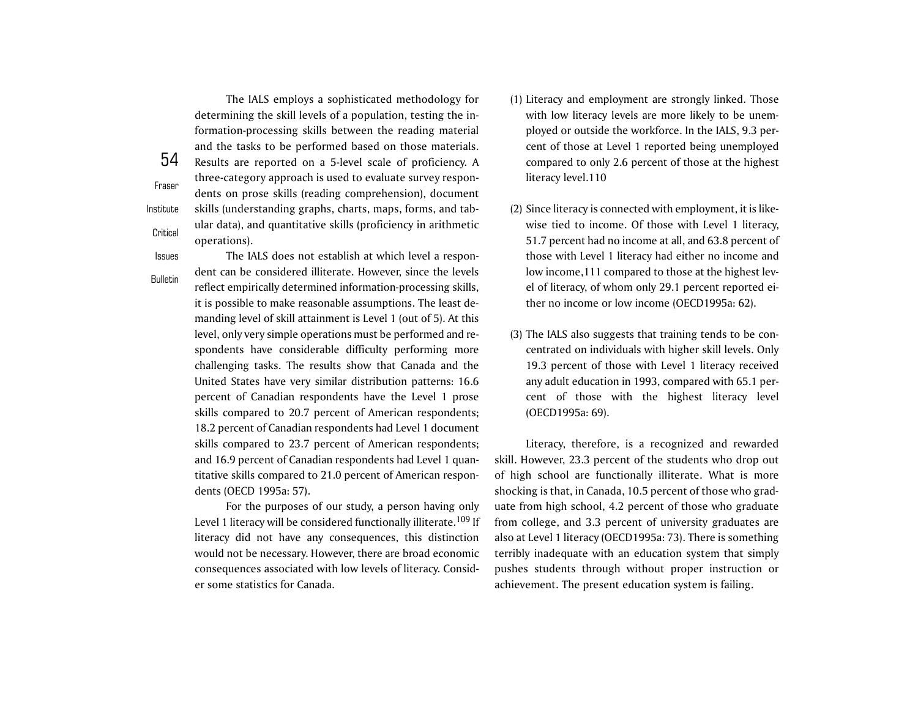54FraserInstitute**Critical** The IALS employs a sophisticated methodology for determining the skill levels of a population, testing the information-processing skills between the reading material and the tasks to be performed based on those materials. Results are reported on a 5-level scale of proficiency. A three-category approach is used to evaluate survey respondents on prose skills (reading comprehension), document skills (understanding graphs, charts, maps, forms, and tabular data), and quantitative skills (proficiency in arithmetic operations).

Issues**Bulletin** 

The IALS does not establish at which level a respondent can be considered illiterate. However, since the levels reflect empirically determined information-processing skills, it is possible to make reasonable assumptions. The least demanding level of skill attainment is Level 1 (out of 5). At this level, only very simple operations must be performed and respondents have considerable difficulty performing more challenging tasks. The results show that Canada and the United States have very similar distribution patterns: 16.6 percent of Canadian respondents have the Level 1 prose skills compared to 20.7 percent of American respondents; 18.2 percent of Canadian respondents had Level 1 document skills compared to 23.7 percent of American respondents; and 16.9 percent of Canadian respondents had Level 1 quantitative skills compared to 21.0 percent of American respondents (OECD 1995a: 57).

For the purposes of our study, a person having only Level 1 literacy will be considered functionally illiterate.<sup>109</sup> If literacy did not have any consequences, this distinction would not be necessary. However, there are broad economic consequences associated with low levels of literacy. Consider some statistics for Canada.

- (1) Literacy and employment are strongly linked. Those with low literacy levels are more likely to be unemployed or outside the workforce. In the IALS, 9.3 percent of those at Level 1 reported being unemployed compared to only 2.6 percent of those at the highest literacy level.110
- (2) Since literacy is connected with employment, it is likewise tied to income. Of those with Level 1 literacy, 51.7 percent had no income at all, and 63.8 percent of those with Level 1 literacy had either no income and low income,111 compared to those at the highest level of literacy, of whom only 29.1 percent reported either no income or low income (OECD1995a: 62).
- (3) The IALS also suggests that training tends to be concentrated on individuals with higher skill levels. Only 19.3 percent of those with Level 1 literacy received any adult education in 1993, compared with 65.1 percent of those with the highest literacy level (OECD1995a: 69).

Literacy, therefore, is a recognized and rewarded skill. However, 23.3 percent of the students who drop out of high school are functionally illiterate. What is more shocking is that, in Canada, 10.5 percent of those who graduate from high school, 4.2 percent of those who graduate from college, and 3.3 percent of university graduates are also at Level 1 literacy (OECD1995a: 73). There is something terribly inadequate with an education system that simply pushes students through without proper instruction or achievement. The present education system is failing.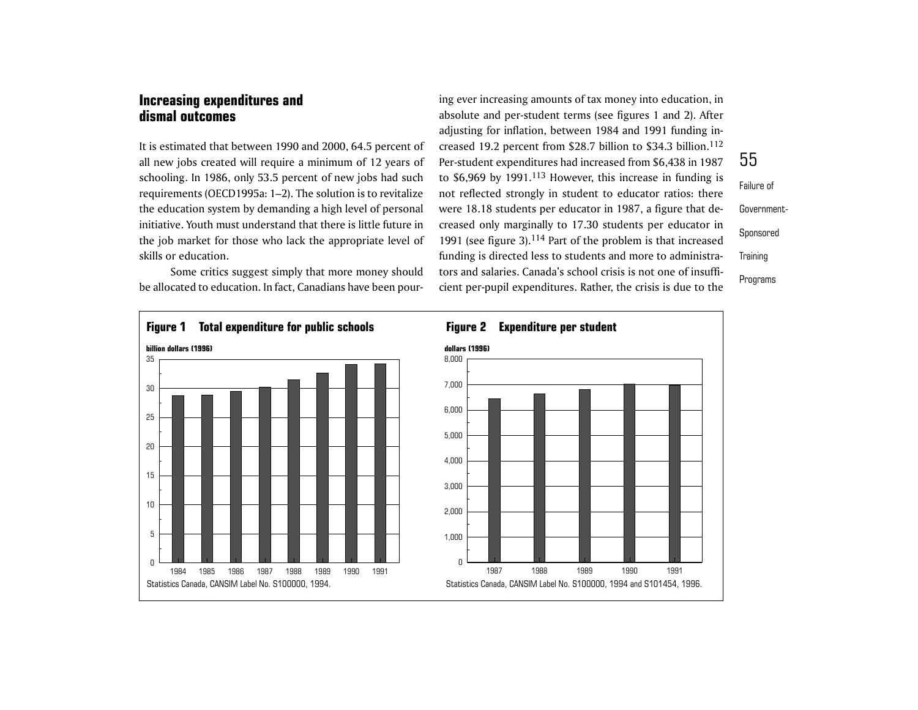# **Increasing expenditures and dismal outcomes**

It is estimated that between 1990 and 2000, 64.5 percent of all new jobs created will require a minimum of 12 years of schooling. In 1986, only 53.5 percent of new jobs had such requirements (OECD1995a: 1–2). The solution is to revitalize the education system by demanding a high level of personal initiative. Youth must understand that there is little future inthe job market for those who lack the appropriate level of skills or education.

Some critics suggest simply that more money should be allocated to education. In fact, Canadians have been pouring ever increasing amounts of tax money into education, in absolute and per-student terms (see figures 1 and 2). After adjusting for inflation, between 1984 and 1991 funding in creased 19.2 percent from \$28.7 billion to \$34.3 billion.112 Per-student expenditures had increased from \$6,438 in 1987 to \$6,969 by 1991.<sup>113</sup> However, this increase in funding is not reflected strongly in student to educator ratios: there were 18.18 students per educator in 1987, a figure that de creased only marginally to 17.30 students per educator in 1991 (see figure 3). $114$  Part of the problem is that increased funding is directed less to students and more to administra tors and salaries. Canada's school crisis is not one of insufficient per-pupil expenditures. Rather, the crisis is due to the

55

Failure of

Government-

Sponsored

**Training** 

Programs

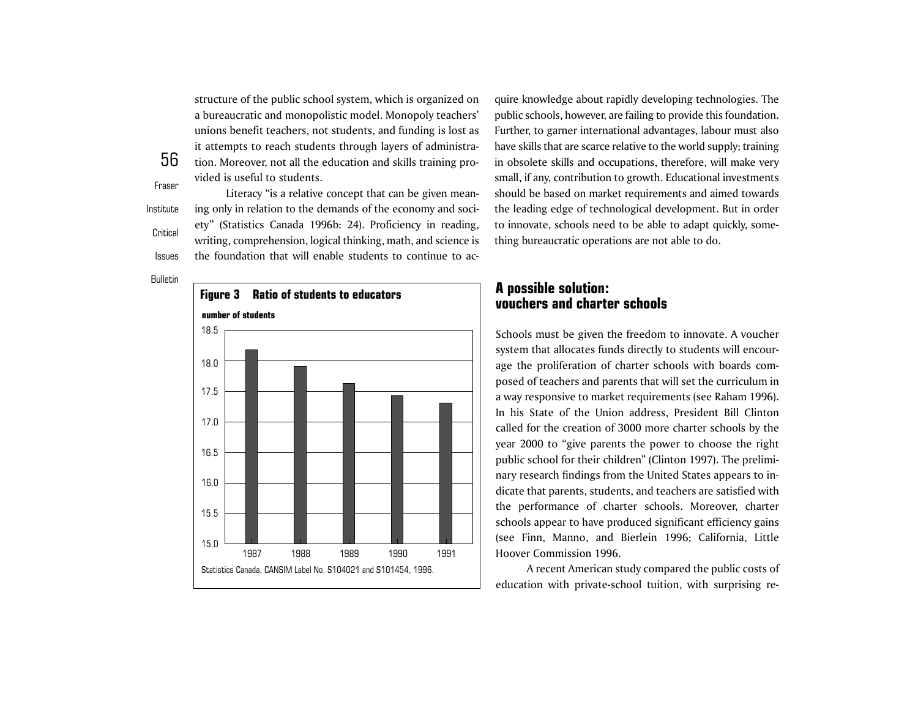structure of the public school system, which is organized on a bureaucratic and monopolistic model. Monopoly teachers' unions benefit teachers, not students, and funding is lost as it attempts to reach students through layers of administration. Moreover, not all the education and skills training provided is useful to students.

InstituteCriticalIssues

56

Fraser

Literacy "is a relative concept that can be given meaning only in relation to the demands of the economy and society" (Statistics Canada 1996b: 24). Proficiency in reading, writing, comprehension, logical thinking, math, and science is the foundation that will enable students to continue to ac-

Bulletin



quire knowledge about rapidly developing technologies. The public schools, however, are failing to provide this foundation. Further, to garner international advantages, labour must also have skills that are scarce relative to the world supply; training in obsolete skills and occupations, therefore, will make very small, if any, contribution to growth. Educational investments should be based on market requirements and aimed towards the leading edge of technological development. But in order to innovate, schools need to be able to adapt quickly, some thing bureaucratic operations are not able to do.

# **A possible solution: vouchers and charter schools**

Schools must be given the freedom to innovate. A voucher system that allocates funds directly to students will encourage the proliferation of charter schools with boards composed of teachers and parents that will set the curriculum in a way responsive to market requirements (see Raham 1996). In his State of the Union address, President Bill Clinton called for the creation of 3000 more charter schools by the year 2000 to "give parents the power to choose the right public school for their children" (Clinton 1997). The preliminary research findings from the United States appears to indicate that parents, students, and teachers are satisfied with the performance of charter schools. Moreover, charter schools appear to have produced significant efficiency gains (see Finn, Manno, and Bierlein 1996; California, Little Hoover Commission 1996.

A recent American study compared the public costs of education with private-school tuition, with surprising re-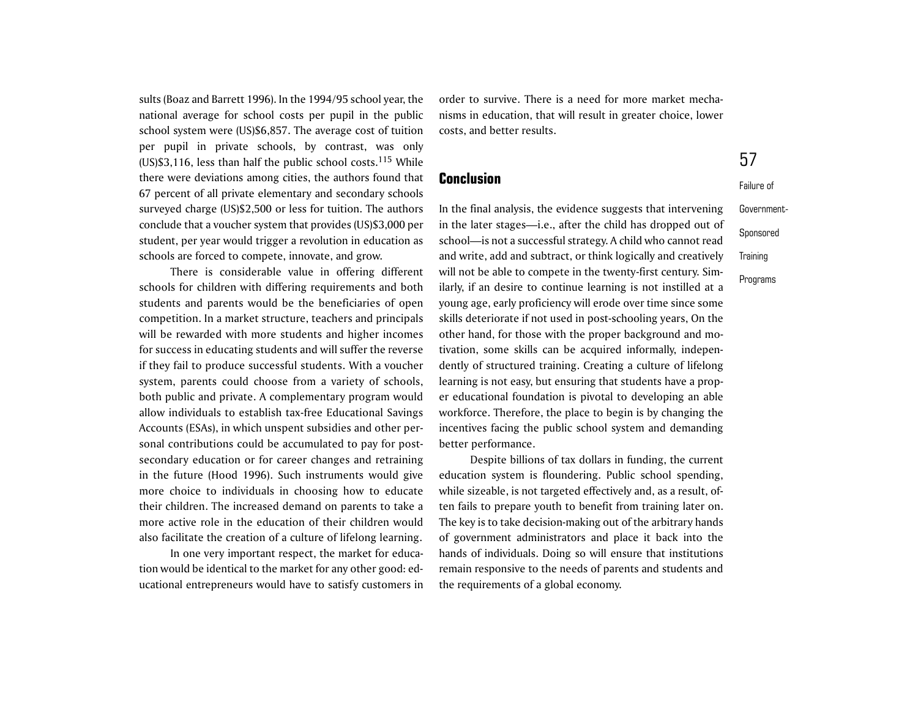sults (Boaz and Barrett 1996). In the 1994/95 school year, the national average for school costs per pupil in the public school system were (US)\$6,857. The average cost of tuition per pupil in private schools, by contrast, was only  $(US)$ \$3,116, less than half the public school costs.<sup>115</sup> While there were deviations among cities, the authors found that 67 percent of all private elementary and secondary schools surveyed charge (US)\$2,500 or less for tuition. The authors conclude that a voucher system that provides (US)\$3,000 per student, per year would trigger a revolution in education as schools are forced to compete, innovate, and grow.

There is considerable value in offering different schools for children with differing requirements and both students and parents would be the beneficiaries of open competition. In a market structure, teachers and principals will be rewarded with more students and higher incomes for success in educating students and will suffer the reverse if they fail to produce successful students. With a voucher system, parents could choose from a variety of schools, both public and private. A complementary program would allow individuals to establish tax-free Educational Savings Accounts (ESAs), in which unspent subsidies and other personal contributions could be accumulated to pay for postsecondary education or for career changes and retraining in the future (Hood 1996). Such instruments would give more choice to individuals in choosing how to educate their children. The increased demand on parents to take a more active role in the education of their children wouldalso facilitate the creation of a culture of lifelong learning.

In one very important respect, the market for education would be identical to the market for any other good: educational entrepreneurs would have to satisfy customers in

order to survive. There is a need for more market mechanisms in education, that will result in greater choice, lower costs, and better results.

# **Conclusion**

In the final analysis, the evidence suggests that intervening in the later stages—i.e., after the child has dropped out of school—is not a successful strategy. A child who cannot read and write, add and subtract, or think logically and creatively will not be able to compete in the twenty-first century. Similarly, if an desire to continue learning is not instilled at a young age, early proficiency will erode over time since some skills deteriorate if not used in post-schooling years, On the other hand, for those with the proper background and motivation, some skills can be acquired informally, independently of structured training. Creating a culture of lifelong learning is not easy, but ensuring that students have a proper educational foundation is pivotal to developing an able workforce. Therefore, the place to begin is by changing the incentives facing the public school system and demanding better performance.

Despite billions of tax dollars in funding, the current education system is floundering. Public school spending, while sizeable, is not targeted effectively and, as a result, often fails to prepare youth to benefit from training later on. The key is to take decision-making out of the arbitrary hands of government administrators and place it back into the hands of individuals. Doing so will ensure that institutions remain responsive to the needs of parents and students and the requirements of a global economy.

# 57

Failure of Government-Sponsored **Training** Programs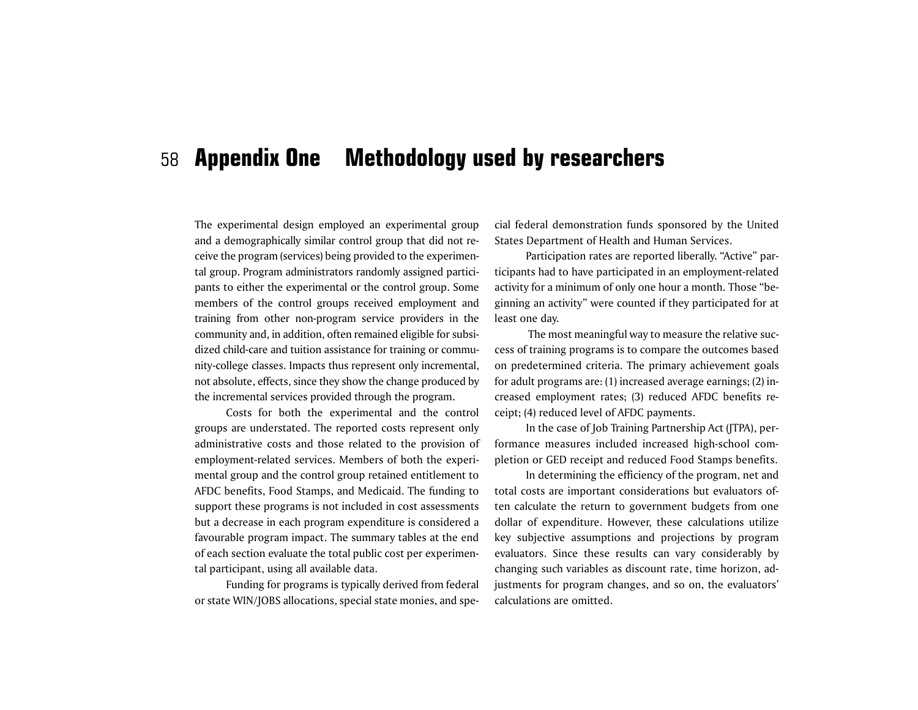#### 58**Appendix One Methodology used by researchers**

The experimental design employed an experimental group and a demographically similar control group that did not receive the program (services) being provided to the experimental group. Program administrators randomly assigned participants to either the experimental or the control group. Some members of the control groups received employment and training from other non-program service providers in the community and, in addition, often remained eligible for subsidized child-care and tuition assistance for training or community-college classes. Impacts thus represent only incremental, not absolute, effects, since they show the change produced by the incremental services provided through the program.

Costs for both the experimental and the control groups are understated. The reported costs represent only administrative costs and those related to the provision of employment-related services. Members of both the experimental group and the control group retained entitlement to AFDC benefits, Food Stamps, and Medicaid. The funding to support these programs is not included in cost assessments but a decrease in each program expenditure is considered a favourable program impact. The summary tables at the end of each section evaluate the total public cost per experimental participant, using all available data.

Funding for programs is typically derived from federal or state WIN/JOBS allocations, special state monies, and special federal demonstration funds sponsored by the United States Department of Health and Human Services.

Participation rates are reported liberally. "Active" par ticipants had to have participated in an employment-related activity for a minimum of only one hour a month. Those "be ginning an activity" were counted if they participated for at least one day. The most meaningful way to measure the relative suc-

cess of training programs is to compare the outcomes based on predetermined criteria. The primary achievement goals for adult programs are: (1) increased average earnings; (2) in creased employment rates; (3) reduced AFDC benefits re ceipt; (4) reduced level of AFDC payments.

In the case of Job Training Partnership Act (JTPA), per formance measures included increased high-school com pletion or GED receipt and reduced Food Stamps benefits.

In determining the efficiency of the program, net and total costs are important considerations but evaluators of ten calculate the return to government budgets from one dollar of expenditure. However, these calculations utilize key subjective assumptions and projections by program evaluators. Since these results can vary considerably by changing such variables as discount rate, time horizon, ad justments for program changes, and so on, the evaluators' calculations are omitted.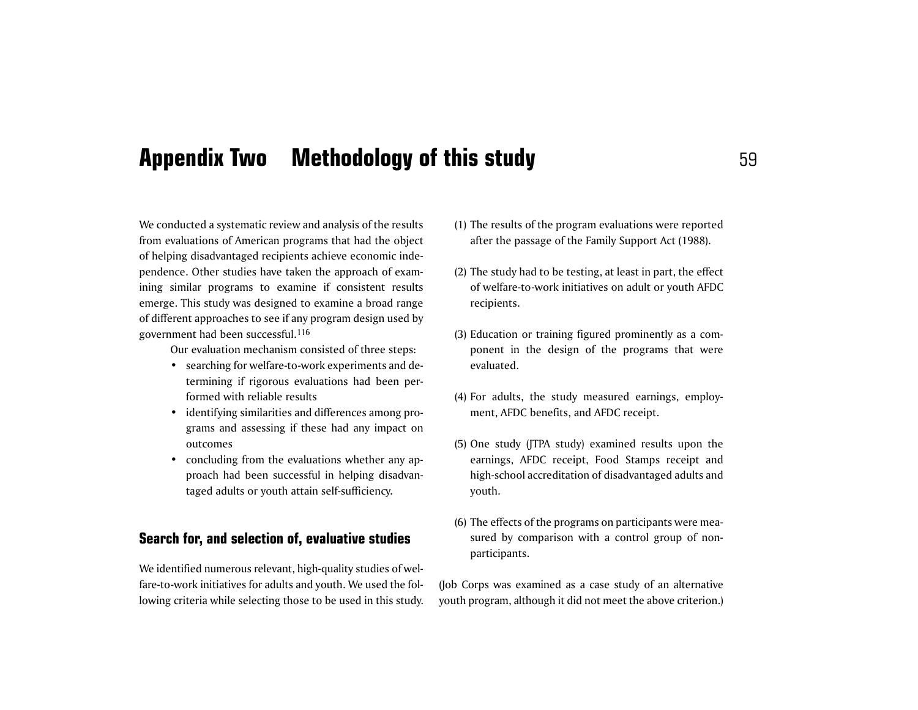# **Appendix Two Methodology of this study** <sup>59</sup>

We conducted a systematic review and analysis of the results from evaluations of American programs that had the object of helping disadvantaged recipients achieve economic independence. Other studies have taken the approach of examining similar programs to examine if consistent results emerge. This study was designed to examine a broad range of different approaches to see if any program design used by government had been successful.116

Our evaluation mechanism consisted of three steps:

- searching for welfare-to-work experiments and determining if rigorous evaluations had been performed with reliable results
- identifying similarities and differences among programs and assessing if these had any impact on outcomes
- concluding from the evaluations whether any approach had been successful in helping disadvantaged adults or youth attain self-sufficiency.

### **Search for, and selection of, evaluative studies**

We identified numerous relevant, high-quality studies of welfare-to-work initiatives for adults and youth. We used the following criteria while selecting those to be used in this study.

- (1) The results of the program evaluations were reported after the passage of the Family Support Act (1988).
- (2) The study had to be testing, at least in part, the effect of welfare-to-work initiatives on adult or youth AFDC recipients.
- (3) Education or training figured prominently as a component in the design of the programs that were evaluated.
- (4) For adults, the study measured earnings, employment, AFDC benefits, and AFDC receipt.
- (5) One study (JTPA study) examined results upon the earnings, AFDC receipt, Food Stamps receipt and high-school accreditation of disadvantaged adults and youth.
- (6) The effects of the programs on participants were measured by comparison with a control group of nonparticipants.

(Job Corps was examined as a case study of an alternative youth program, although it did not meet the above criterion.)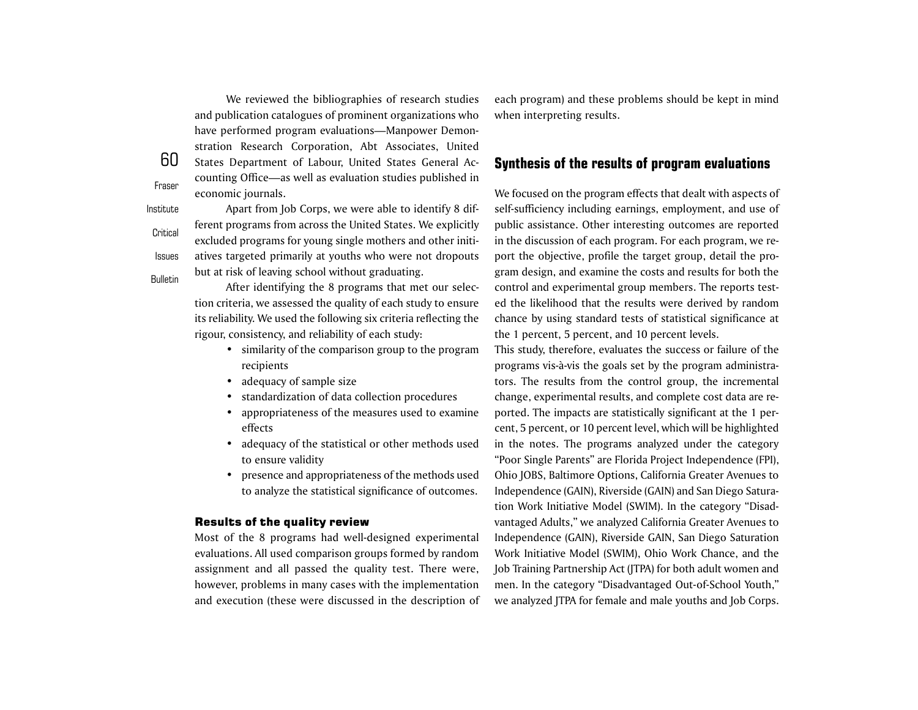We reviewed the bibliographies of research studies and publication catalogues of prominent organizations who have performed program evaluations—Manpower Demonstration Research Corporation, Abt Associates, United States Department of Labour, United States General Accounting Office—as well as evaluation studies published in economic journals.

Apart from Job Corps, we were able to identify 8 different programs from across the United States. We explicitly excluded programs for young single mothers and other initiatives targeted primarily at youths who were not dropouts but at risk of leaving school without graduating.

After identifying the 8 programs that met our selection criteria, we assessed the quality of each study to ensure its reliability. We used the following six criteria reflecting the rigour, consistency, and reliability of each study:

- similarity of the comparison group to the program recipients
- adequacy of sample size
- standardization of data collection procedures
- appropriateness of the measures used to examine effects
- adequacy of the statistical or other methods used to ensure validity
- presence and appropriateness of the methods used to analyze the statistical significance of outcomes.

#### Results of the quality review

Most of the 8 programs had well-designed experimental evaluations. All used comparison groups formed by random assignment and all passed the quality test. There were, however, problems in many cases with the implementation and execution (these were discussed in the description of each program) and these problems should be kept in mind when interpreting results.

# **Synthesis of the results of program evaluations**

We focused on the program effects that dealt with aspects of self-sufficiency including earnings, employment, and use of public assistance. Other interesting outcomes are reported in the discussion of each program. For each program, we report the objective, profile the target group, detail the program design, and examine the costs and results for both the control and experimental group members. The reports tested the likelihood that the results were derived by random chance by using standard tests of statistical significance at the 1 percent, 5 percent, and 10 percent levels.

This study, therefore, evaluates the success or failure of the programs vis-à-vis the goals set by the program administrators. The results from the control group, the incremental change, experimental results, and complete cost data are reported. The impacts are statistically significant at the 1 percent, 5 percent, or 10 percent level, which will be highlighted in the notes. The programs analyzed under the category "Poor Single Parents" are Florida Project Independence (FPI), Ohio JOBS, Baltimore Options, California Greater Avenues to Independence (GAIN), Riverside (GAIN) and San Diego Saturation Work Initiative Model (SWIM). In the category "Disadvantaged Adults," we analyzed California Greater Avenues to Independence (GAIN), Riverside GAIN, San Diego Saturation Work Initiative Model (SWIM), Ohio Work Chance, and the Job Training Partnership Act (JTPA) for both adult women and men. In the category "Disadvantaged Out-of-School Youth," we analyzed JTPA for female and male youths and Job Corps.

CriticalIssues

**Bulletin** 

60

Fraser

Institute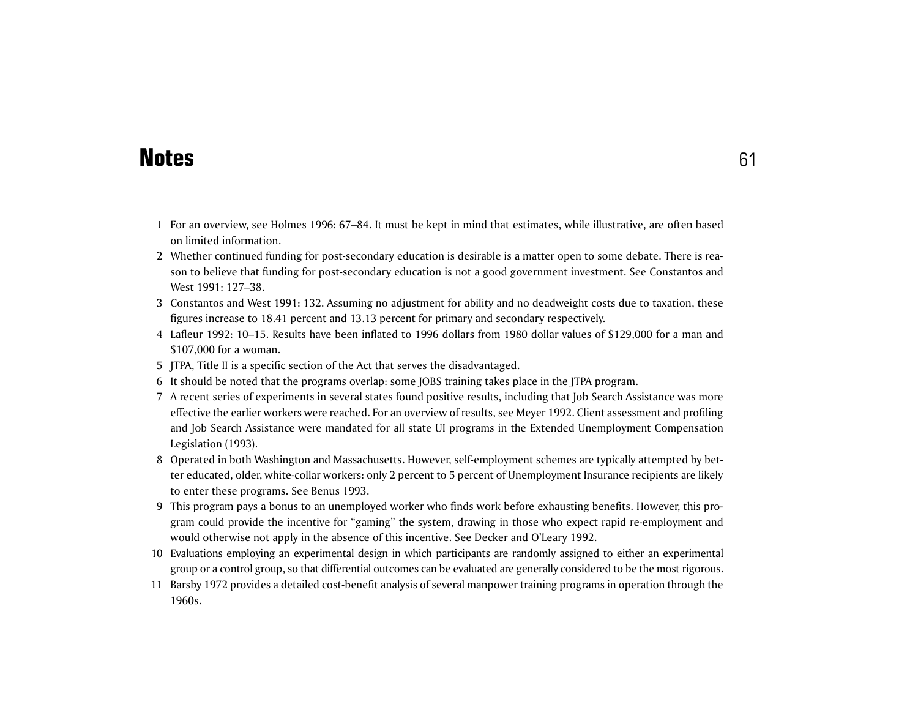# **Notes**

- 1 For an overview, see Holmes 1996: 67–84. It must be kept in mind that estimates, while illustrative, are often based on limited information.
- 2 Whether continued funding for post-secondary education is desirable is a matter open to some debate. There is reason to believe that funding for post-secondary education is not a good government investment. See Constantos and West 1991: 127–38.
- 3 Constantos and West 1991: 132. Assuming no adjustment for ability and no deadweight costs due to taxation, these figures increase to 18.41 percent and 13.13 percent for primary and secondary respectively.
- 4 Lafleur 1992: 10–15. Results have been inflated to 1996 dollars from 1980 dollar values of \$129,000 for a man and \$107,000 for a woman.
- 5 JTPA, Title II is a specific section of the Act that serves the disadvantaged.
- 6 It should be noted that the programs overlap: some JOBS training takes place in the JTPA program.
- 7 A recent series of experiments in several states found positive results, including that Job Search Assistance was more effective the earlier workers were reached. For an overview of results, see Meyer 1992. Client assessment and profiling and Job Search Assistance were mandated for all state UI programs in the Extended Unemployment Compensation Legislation (1993).
- 8 Operated in both Washington and Massachusetts. However, self-employment schemes are typically attempted by better educated, older, white-collar workers: only 2 percent to 5 percent of Unemployment Insurance recipients are likely to enter these programs. See Benus 1993.
- 9 This program pays a bonus to an unemployed worker who finds work before exhausting benefits. However, this program could provide the incentive for "gaming" the system, drawing in those who expect rapid re-employment and would otherwise not apply in the absence of this incentive. See Decker and O'Leary 1992.
- 10 Evaluations employing an experimental design in which participants are randomly assigned to either an experimental group or a control group, so that differential outcomes can be evaluated are generally considered to be the most rigorous.
- 11 Barsby 1972 provides a detailed cost-benefit analysis of several manpower training programs in operation through the 1960s.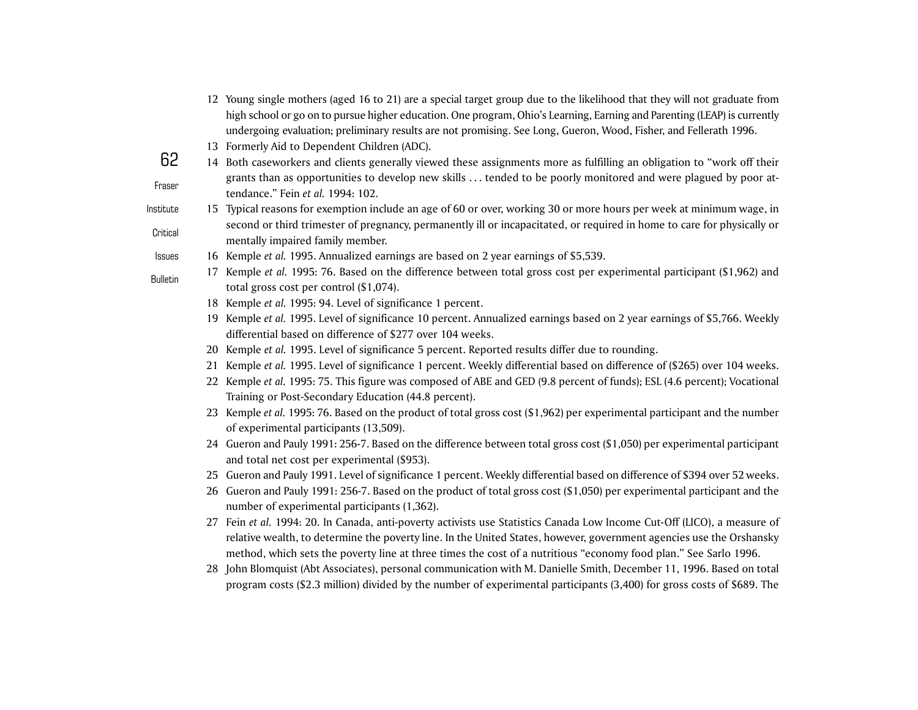- 12 Young single mothers (aged 16 to 21) are a special target group due to the likelihood that they will not graduate from high school or go on to pursue higher education. One program, Ohio's Learning, Earning and Parenting (LEAP) is currently undergoing evaluation; preliminary results are not promising. See Long, Gueron, Wood, Fisher, and Fellerath 1996.
- 13 Formerly Aid to Dependent Children (ADC).

**Bulletin** 

- 62Fraser14 Both caseworkers and clients generally viewed these assignments more as fulfilling an obligation to "work off their grants than as opportunities to develop new skills . . . tended to be poorly monitored and were plagued by poor attendance." Fein *et al.* 1994: 102.
- InstituteCritical15 Typical reasons for exemption include an age of 60 or over, working 30 or more hours per week at minimum wage, in second or third trimester of pregnancy, permanently ill or incapacitated, or required in home to care for physically or mentally impaired family member.
- Issues16 Kemple *et al.* 1995. Annualized earnings are based on 2 year earnings of \$5,539.
	- 17 Kemple *et al.* 1995: 76. Based on the difference between total gross cost per experimental participant (\$1,962) and total gross cost per control (\$1,074).
	- 18 Kemple *et al.* 1995: 94. Level of significance 1 percent.
	- 19 Kemple *et al.* 1995. Level of significance 10 percent. Annualized earnings based on 2 year earnings of \$5,766. Weekly differential based on difference of \$277 over 104 weeks.
	- 20 Kemple *et al.* 1995. Level of significance 5 percent. Reported results differ due to rounding.
	- 21 Kemple *et al.* 1995. Level of significance 1 percent. Weekly differential based on difference of (\$265) over 104 weeks.
	- 22 Kemple *et al.* 1995: 75. This figure was composed of ABE and GED (9.8 percent of funds); ESL (4.6 percent); Vocational Training or Post-Secondary Education (44.8 percent).
	- 23 Kemple *et al.* 1995: 76. Based on the product of total gross cost (\$1,962) per experimental participant and the number of experimental participants (13,509).
	- 24 Gueron and Pauly 1991: 256-7. Based on the difference between total gross cost (\$1,050) per experimental participant and total net cost per experimental (\$953).
	- 25 Gueron and Pauly 1991. Level of significance 1 percent. Weekly differential based on difference of \$394 over 52 weeks.
	- 26 Gueron and Pauly 1991: 256-7. Based on the product of total gross cost (\$1,050) per experimental participant and the number of experimental participants (1,362).
	- 27 Fein *et al.* 1994: 20. In Canada, anti-poverty activists use Statistics Canada Low Income Cut-Off (LICO), a measure of relative wealth, to determine the poverty line. In the United States, however, government agencies use the Orshansky method, which sets the poverty line at three times the cost of a nutritious "economy food plan." See Sarlo 1996.
	- 28 John Blomquist (Abt Associates), personal communication with M. Danielle Smith, December 11, 1996. Based on total program costs (\$2.3 million) divided by the number of experimental participants (3,400) for gross costs of \$689. The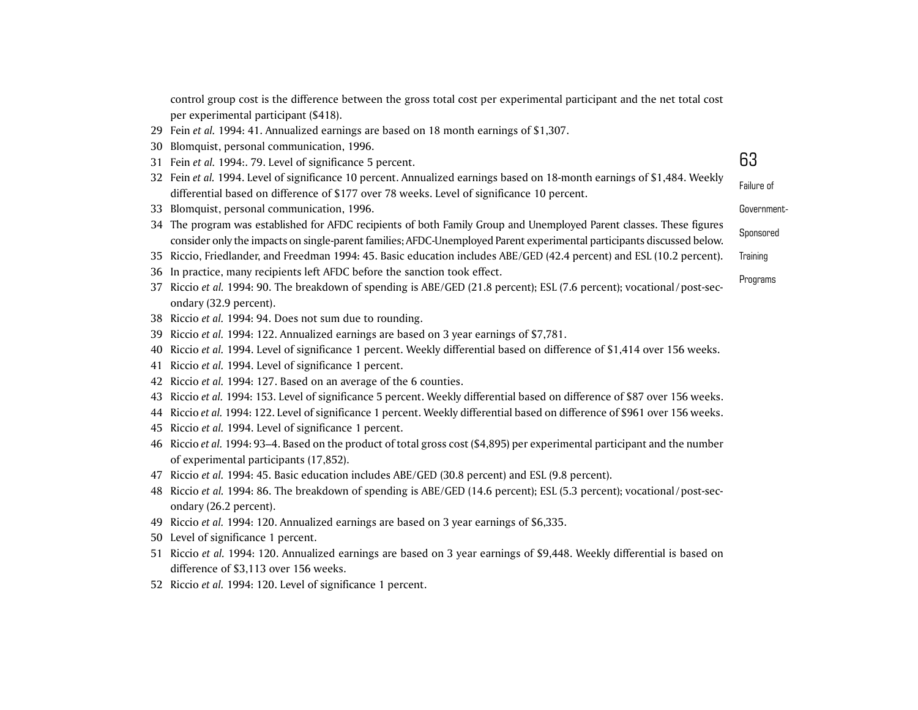control group cost is the difference between the gross total cost per experimental participant and the net total cost per experimental participant (\$418).

- Fein *et al.* 1994: 41. Annualized earnings are based on 18 month earnings of \$1,307.
- Blomquist, personal communication, 1996.
- Fein *et al.* 1994:. 79. Level of significance 5 percent.
- Failure of Fein *et al.* 1994. Level of significance 10 percent. Annualized earnings based on 18-month earnings of \$1,484. Weekly differential based on difference of \$177 over 78 weeks. Level of significance 10 percent.
- Blomquist, personal communication, 1996.
- The program was established for AFDC recipients of both Family Group and Unemployed Parent classes. These figures consider only the impacts on single-parent families; AFDC-Unemployed Parent experimental participants discussed below.
- Riccio, Friedlander, and Freedman 1994: 45. Basic education includes ABE/GED (42.4 percent) and ESL (10.2 percent).
- In practice, many recipients left AFDC before the sanction took effect.
- Riccio *et al.* 1994: 90. The breakdown of spending is ABE/GED (21.8 percent); ESL (7.6 percent); vocational / post-secondary (32.9 percent).
- Riccio *et al.* 1994: 94. Does not sum due to rounding.
- Riccio *et al.* 1994: 122. Annualized earnings are based on 3 year earnings of \$7,781.
- Riccio *et al.* 1994. Level of significance 1 percent. Weekly differential based on difference of \$1,414 over 156 weeks.
- Riccio *et al.* 1994. Level of significance 1 percent.
- Riccio *et al.* 1994: 127. Based on an average of the 6 counties.
- Riccio *et al.* 1994: 153. Level of significance 5 percent. Weekly differential based on difference of \$87 over 156 weeks.
- Riccio *et al.* 1994: 122. Level of significance 1 percent. Weekly differential based on difference of \$961 over 156 weeks.
- Riccio *et al.* 1994. Level of significance 1 percent.
- Riccio *et al.* 1994: 93–4. Based on the product of total gross cost (\$4,895) per experimental participant and the number of experimental participants (17,852).
- Riccio *et al.* 1994: 45. Basic education includes ABE/GED (30.8 percent) and ESL (9.8 percent).
- Riccio *et al.* 1994: 86. The breakdown of spending is ABE/GED (14.6 percent); ESL (5.3 percent); vocational / post-secondary (26.2 percent).
- Riccio *et al.* 1994: 120. Annualized earnings are based on 3 year earnings of \$6,335.
- Level of significance 1 percent.
- Riccio *et al.* 1994: 120. Annualized earnings are based on 3 year earnings of \$9,448. Weekly differential is based on difference of \$3,113 over 156 weeks.
- Riccio *et al.* 1994: 120. Level of significance 1 percent.

Government-

Sponsored

**Training** 

Programs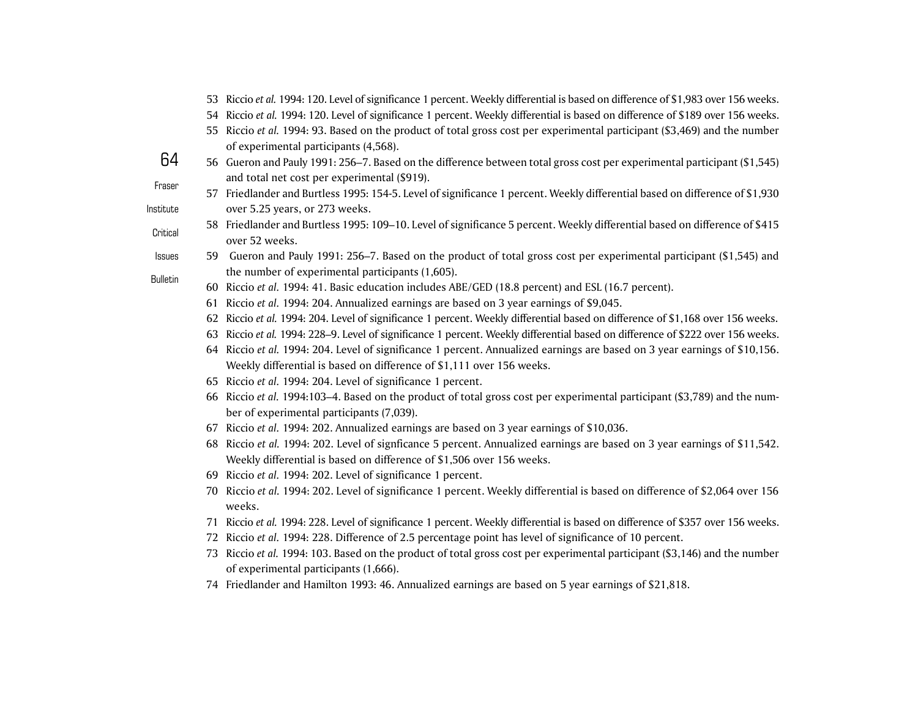- Riccio *et al.* 1994: 120. Level of significance 1 percent. Weekly differential is based on difference of \$1,983 over 156 weeks.
- Riccio *et al.* 1994: 120. Level of significance 1 percent. Weekly differential is based on difference of \$189 over 156 weeks.
- Riccio *et al.* 1994: 93. Based on the product of total gross cost per experimental participant (\$3,469) and the number of experimental participants (4,568).
- Fraser Gueron and Pauly 1991: 256–7. Based on the difference between total gross cost per experimental participant (\$1,545) and total net cost per experimental (\$919).
	- Friedlander and Burtless 1995: 154-5. Level of significance 1 percent. Weekly differential based on difference of \$1,930 over 5.25 years, or 273 weeks.
- Critical Friedlander and Burtless 1995: 109–10. Level of significance 5 percent. Weekly differential based on difference of \$415 over 52 weeks.
- Issues Gueron and Pauly 1991: 256–7. Based on the product of total gross cost per experimental participant (\$1,545) and the number of experimental participants (1,605).
	- Riccio *et al.* 1994: 41. Basic education includes ABE/GED (18.8 percent) and ESL (16.7 percent).
	- Riccio *et al.* 1994: 204. Annualized earnings are based on 3 year earnings of \$9,045.
	- Riccio *et al.* 1994: 204. Level of significance 1 percent. Weekly differential based on difference of \$1,168 over 156 weeks.
	- Riccio *et al.* 1994: 228–9. Level of significance 1 percent. Weekly differential based on difference of \$222 over 156 weeks.
	- Riccio *et al.* 1994: 204. Level of significance 1 percent. Annualized earnings are based on 3 year earnings of \$10,156. Weekly differential is based on difference of \$1,111 over 156 weeks.
	- Riccio *et al.* 1994: 204. Level of significance 1 percent.
	- Riccio *et al.* 1994:103–4. Based on the product of total gross cost per experimental participant (\$3,789) and the number of experimental participants (7,039).
	- Riccio *et al.* 1994: 202. Annualized earnings are based on 3 year earnings of \$10,036.
	- Riccio *et al.* 1994: 202. Level of signficance 5 percent. Annualized earnings are based on 3 year earnings of \$11,542. Weekly differential is based on difference of \$1,506 over 156 weeks.
	- Riccio *et al.* 1994: 202. Level of significance 1 percent.
	- Riccio *et al.* 1994: 202. Level of significance 1 percent. Weekly differential is based on difference of \$2,064 over 156 weeks.
	- Riccio *et al.* 1994: 228. Level of significance 1 percent. Weekly differential is based on difference of \$357 over 156 weeks.
	- Riccio *et al.* 1994: 228. Difference of 2.5 percentage point has level of significance of 10 percent.
	- Riccio *et al.* 1994: 103. Based on the product of total gross cost per experimental participant (\$3,146) and the number of experimental participants (1,666).
	- Friedlander and Hamilton 1993: 46. Annualized earnings are based on 5 year earnings of \$21,818.

**Bulletin** 

Institute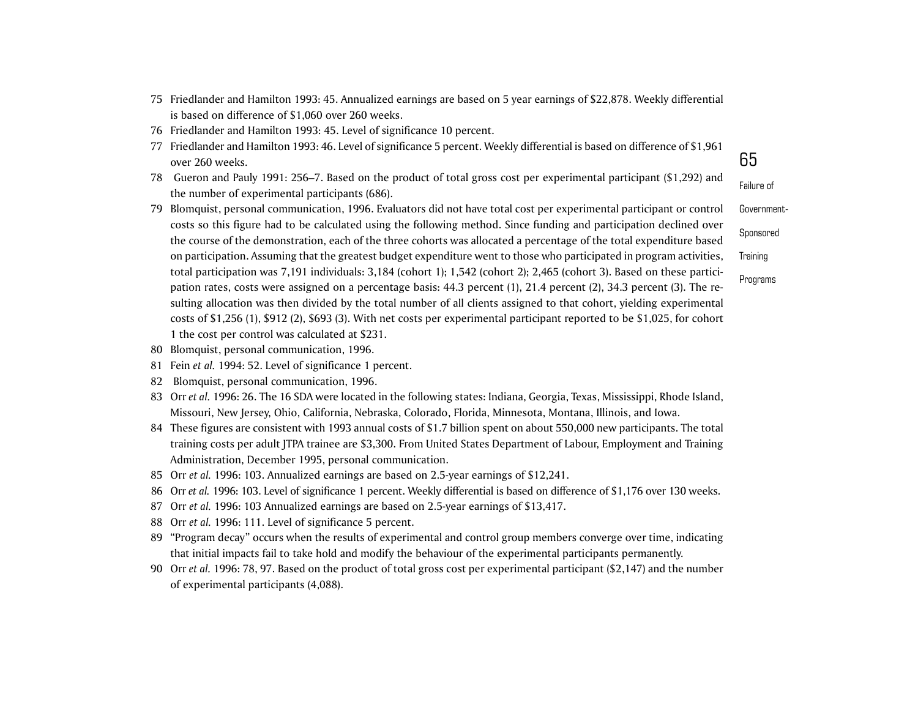- 75 Friedlander and Hamilton 1993: 45. Annualized earnings are based on 5 year earnings of \$22,878. Weekly differential is based on difference of \$1,060 over 260 weeks.
- 76 Friedlander and Hamilton 1993: 45. Level of significance 10 percent.
- 77 Friedlander and Hamilton 1993: 46. Level of significance 5 percent. Weekly differential is based on difference of \$1,961 over 260 weeks.
- 78 Gueron and Pauly 1991: 256–7. Based on the product of total gross cost per experimental participant (\$1,292) and the number of experimental participants (686).
- 79 Blomquist, personal communication, 1996. Evaluators did not have total cost per experimental participant or control costs so this figure had to be calculated using the following method. Since funding and participation declined over the course of the demonstration, each of the three cohorts was allocated a percentage of the total expenditure based on participation. Assuming that the greatest budget expenditure went to those who participated in program activities, total participation was 7,191 individuals: 3,184 (cohort 1); 1,542 (cohort 2); 2,465 (cohort 3). Based on these participation rates, costs were assigned on a percentage basis: 44.3 percent (1), 21.4 percent (2), 34.3 percent (3). The resulting allocation was then divided by the total number of all clients assigned to that cohort, yielding experimental costs of \$1,256 (1), \$912 (2), \$693 (3). With net costs per experimental participant reported to be \$1,025, for cohort 1 the cost per control was calculated at \$231.
- 80 Blomquist, personal communication, 1996.
- 81 Fein *et al.* 1994: 52. Level of significance 1 percent.
- 82 Blomquist, personal communication, 1996.
- 83 Orr *et al.* 1996: 26. The 16 SDA were located in the following states: Indiana, Georgia, Texas, Mississippi, Rhode Island, Missouri, New Jersey, Ohio, California, Nebraska, Colorado, Florida, Minnesota, Montana, Illinois, and Iowa.
- 84 These figures are consistent with 1993 annual costs of \$1.7 billion spent on about 550,000 new participants. The total training costs per adult JTPA trainee are \$3,300. From United States Department of Labour, Employment and Training Administration, December 1995, personal communication.
- 85 Orr *et al.* 1996: 103. Annualized earnings are based on 2.5-year earnings of \$12,241.
- 86 Orr *et al.* 1996: 103. Level of significance 1 percent. Weekly differential is based on difference of \$1,176 over 130 weeks.
- 87 Orr *et al.* 1996: 103 Annualized earnings are based on 2.5-year earnings of \$13,417.
- 88 Orr *et al.* 1996: 111. Level of significance 5 percent.
- 89 "Program decay" occurs when the results of experimental and control group members converge over time, indicating that initial impacts fail to take hold and modify the behaviour of the experimental participants permanently.
- 90 Orr *et al.* 1996: 78, 97. Based on the product of total gross cost per experimental participant (\$2,147) and the number of experimental participants (4,088).

65

Failure of Government-Sponsored **Training** Programs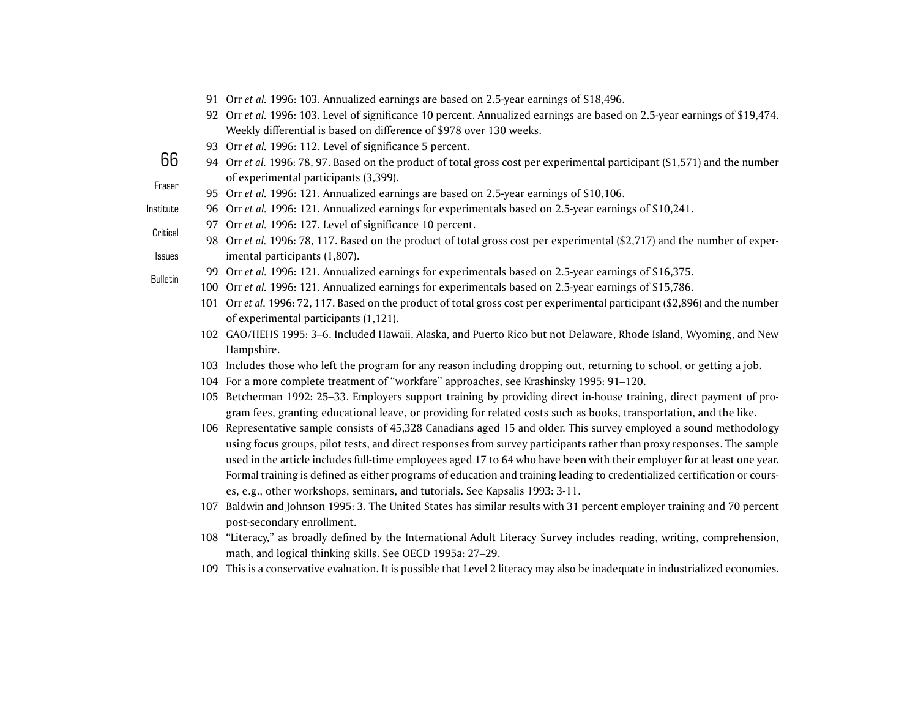- 91 Orr *et al.* 1996: 103. Annualized earnings are based on 2.5-year earnings of \$18,496.
- 92 Orr *et al.* 1996: 103. Level of significance 10 percent. Annualized earnings are based on 2.5-year earnings of \$19,474. Weekly differential is based on difference of \$978 over 130 weeks.
- 93 Orr *et al.* 1996: 112. Level of significance 5 percent.
- 94 Orr *et al.* 1996: 78, 97. Based on the product of total gross cost per experimental participant (\$1,571) and the number of experimental participants (3,399).
	- 95 Orr *et al.* 1996: 121. Annualized earnings are based on 2.5-year earnings of \$10,106.
- Institute96 Orr *et al.* 1996: 121. Annualized earnings for experimentals based on 2.5-year earnings of \$10,241.
	- 97 Orr *et al.* 1996: 127. Level of significance 10 percent.
	- 98 Orr *et al.* 1996: 78, 117. Based on the product of total gross cost per experimental (\$2,717) and the number of experimental participants (1,807).
		- 99 Orr *et al.* 1996: 121. Annualized earnings for experimentals based on 2.5-year earnings of \$16,375.
		- 100 Orr *et al.* 1996: 121. Annualized earnings for experimentals based on 2.5-year earnings of \$15,786.
		- 101 Orr *et al.* 1996: 72, 117. Based on the product of total gross cost per experimental participant (\$2,896) and the number of experimental participants (1,121).
		- 102 GAO/HEHS 1995: 3–6. Included Hawaii, Alaska, and Puerto Rico but not Delaware, Rhode Island, Wyoming, and New Hampshire.
		- 103 Includes those who left the program for any reason including dropping out, returning to school, or getting a job.
		- 104 For a more complete treatment of "workfare" approaches, see Krashinsky 1995: 91–120.
		- 105 Betcherman 1992: 25–33. Employers support training by providing direct in-house training, direct payment of program fees, granting educational leave, or providing for related costs such as books, transportation, and the like.
		- 106 Representative sample consists of 45,328 Canadians aged 15 and older. This survey employed a sound methodology using focus groups, pilot tests, and direct responses from survey participants rather than proxy responses. The sample used in the article includes full-time employees aged 17 to 64 who have been with their employer for at least one year. Formal training is defined as either programs of education and training leading to credentialized certification or courses, e.g., other workshops, seminars, and tutorials. See Kapsalis 1993: 3-11.
		- 107 Baldwin and Johnson 1995: 3. The United States has similar results with 31 percent employer training and 70 percent post-secondary enrollment.
		- 108 "Literacy," as broadly defined by the International Adult Literacy Survey includes reading, writing, comprehension, math, and logical thinking skills. See OECD 1995a: 27–29.
		- 109 This is a conservative evaluation. It is possible that Level 2 literacy may also be inadequate in industrialized economies.

66Fraser

Issues**Bulletin** 

Critical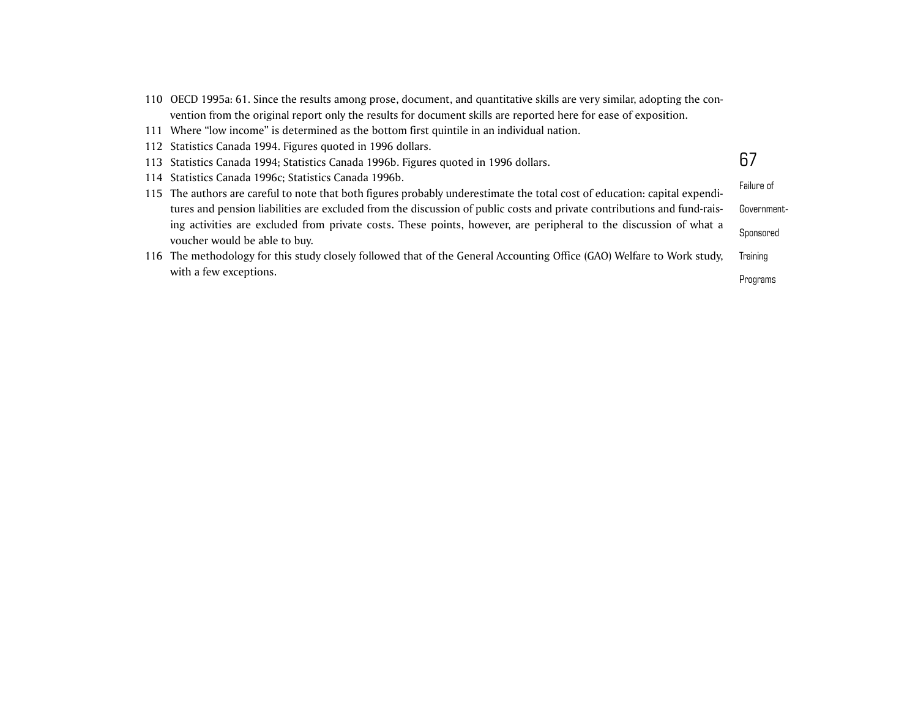- 110 OECD 1995a: 61. Since the results among prose, document, and quantitative skills are very similar, adopting the convention from the original report only the results for document skills are reported here for ease of exposition.
- 111 Where "low income" is determined as the bottom first quintile in an individual nation.
- 112 Statistics Canada 1994. Figures quoted in 1996 dollars.
- 113 Statistics Canada 1994; Statistics Canada 1996b. Figures quoted in 1996 dollars.
- 114 Statistics Canada 1996c; Statistics Canada 1996b.
- 115 The authors are careful to note that both figures probably underestimate the total cost of education: capital expenditures and pension liabilities are excluded from the discussion of public costs and private contributions and fund-raising activities are excluded from private costs. These points, however, are peripheral to the discussion of what a voucher would be able to buy.
- **Training** 116 The methodology for this study closely followed that of the General Accounting Office (GAO) Welfare to Work study, with a few exceptions.

67Failure of Government-

Sponsored

Programs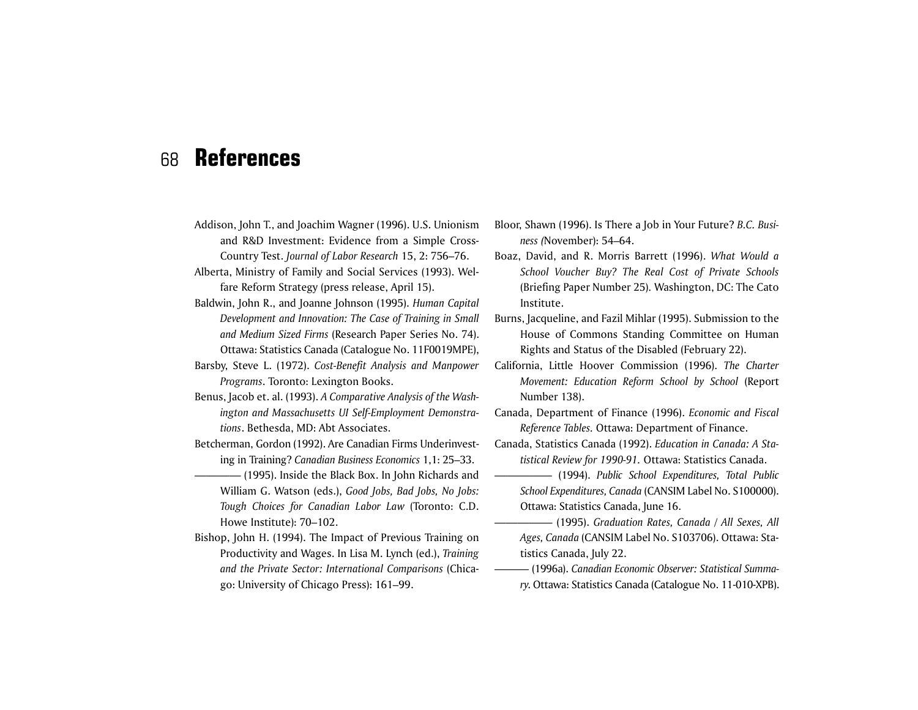#### 68**References**

- Addison, John T., and Joachim Wagner (1996). U.S. Unionism and R&D Investment: Evidence from a Simple Cross-Country Test. *Journal of Labor Research* 15, 2: 756–76.
- Alberta, Ministry of Family and Social Services (1993). Welfare Reform Strategy (press release, April 15).
- Baldwin, John R., and Joanne Johnson (1995). *Human Capital Development and Innovation: The Case of Training in Small and Medium Sized Firms* (Research Paper Series No. 74). Ottawa: Statistics Canada (Catalogue No. 11F0019MPE),
- Barsby, Steve L. (1972). *Cost-Benefit Analysis and Manpower Programs*. Toronto: Lexington Books.
- Benus, Jacob et. al. (1993). *A Comparative Analysis of the Washington and Massachusetts UI Self-Employment Demonstrations*. Bethesda, MD: Abt Associates.
- Betcherman, Gordon (1992). Are Canadian Firms Underinvesting in Training? *Canadian Business Economics* 1,1: 25–33.
- $-$  (1995). Inside the Black Box. In John Richards and William G. Watson (eds.), *Good Jobs, Bad Jobs, No Jobs: Tough Choices for Canadian Labor Law* (Toronto: C.D. Howe Institute): 70–102.
- Bishop, John H. (1994). The Impact of Previous Training on Productivity and Wages. In Lisa M. Lynch (ed.), *Training and the Private Sector: International Comparisons* (Chicago: University of Chicago Press): 161–99.
- Bloor, Shawn (1996). Is There a Job in Your Future? *B.C. Business (*November): 54–64.
- Boaz, David, and R. Morris Barrett (1996). *What Would a School Voucher Buy? The Real Cost of Private Schools* (Briefing Paper Number 25)*.* Washington, DC: The Cato Institute.
- Burns, Jacqueline, and Fazil Mihlar (1995). Submission to the House of Commons Standing Committee on Human Rights and Status of the Disabled (February 22).
- California, Little Hoover Commission (1996). *The Charter Movement: Education Reform School by School* (Report Number 138).
- Canada, Department of Finance (1996). *Economic and Fiscal Reference Tables.* Ottawa: Department of Finance.
- Canada, Statistics Canada (1992). *Education in Canada: A Statistical Review for 1990-91.* Ottawa: Statistics Canada.
	- ————— (1994). *Public School Expenditures, Total Public School Expenditures, Canada* (CANSIM Label No. S100000). Ottawa: Statistics Canada, June 16.
	- ————— (1995). *Graduation Rates, Canada / All Sexes, All Ages, Canada* (CANSIM Label No. S103706). Ottawa: Statistics Canada, July 22.
	- ——— (1996a). *Canadian Economic Observer: Statistical Summary*. Ottawa: Statistics Canada (Catalogue No. 11-010-XPB).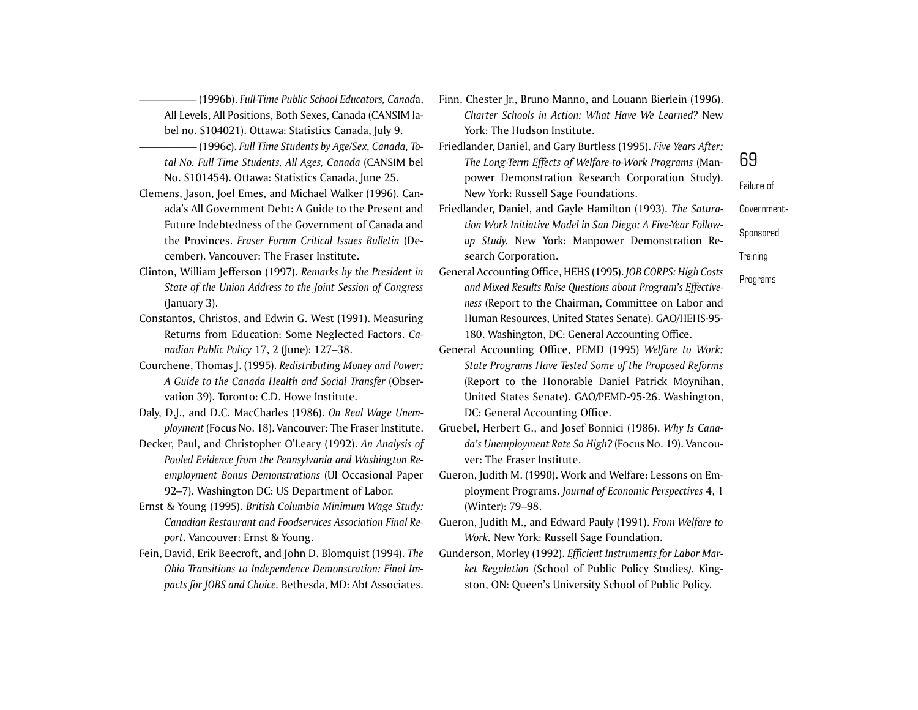————— (1996b). *Full-Time Public School Educators, Canad*a, All Levels, All Positions, Both Sexes, Canada (CANSIM label no. S104021). Ottawa: Statistics Canada, July 9.

- $-$  (1996c). Full Time Students by Age/Sex, Canada, To*tal No. Full Time Students, All Ages, Canada* (CANSIM bel No. S101454). Ottawa: Statistics Canada, June 25.
- Clemens, Jason, Joel Emes, and Michael Walker (1996). Canada's All Government Debt: A Guide to the Present andFuture Indebtedness of the Government of Canada andthe Provinces. *Fraser Forum Critical Issues Bulletin* (December). Vancouver: The Fraser Institute.
- Clinton, William Jefferson (1997). *Remarks by the President in State of the Union Address to the Joint Session of Congress* (January 3).
- Constantos, Christos, and Edwin G. West (1991). Measuring Returns from Education: Some Neglected Factors. *Canadian Public Policy* 17, 2 (June): 127–38.
- Courchene, Thomas J. (1995). *Redistributing Money and Power: A Guide to the Canada Health and Social Transfer* (Observation 39). Toronto: C.D. Howe Institute.
- Daly, D.J., and D.C. MacCharles (1986). *On Real Wage Unemployment* (Focus No. 18). Vancouver: The Fraser Institute.
- Decker, Paul, and Christopher O'Leary (1992). *An Analysis of Pooled Evidence from the Pennsylvania and Washington Reemployment Bonus Demonstrations* (UI Occasional Paper 92–7). Washington DC: US Department of Labor.
- Ernst & Young (1995). *British Columbia Minimum Wage Study: Canadian Restaurant and Foodservices Association Final Report*. Vancouver: Ernst & Young.
- Fein, David, Erik Beecroft, and John D. Blomquist (1994). *The Ohio Transitions to Independence Demonstration: Final Impacts for JOBS and Choice.* Bethesda, MD: Abt Associates.
- Finn, Chester Jr., Bruno Manno, and Louann Bierlein (1996). *Charter Schools in Action: What Have We Learned?* NewYork: The Hudson Institute.
- Friedlander, Daniel, and Gary Burtless (1995). *Five Years After: The Long-Term Effects of Welfare-to-Work Programs* (Manpower Demonstration Research Corporation Study). New York: Russell Sage Foundations.
- Friedlander, Daniel, and Gayle Hamilton (1993). *The Saturation Work Initiative Model in San Diego: A Five-Year Followup Study.* New York: Manpower Demonstration Research Corporation.
- General Accounting Office, HEHS (1995). *JOB CORPS: High Costs and Mixed Results Raise Questions about Program's Effectiveness* (Report to the Chairman, Committee on Labor and Human Resources, United States Senate). GAO/HEHS-95- 180. Washington, DC: General Accounting Office.
- General Accounting Office, PEMD (1995) *Welfare to Work: State Programs Have Tested Some of the Proposed Reforms* (Report to the Honorable Daniel Patrick Moynihan, United States Senate). GAO/PEMD-95-26. Washington, DC: General Accounting Office.
- Gruebel, Herbert G., and Josef Bonnici (1986). *Why Is Canada's Unemployment Rate So High?* (Focus No. 19). Vancouver: The Fraser Institute.
- Gueron, Judith M. (1990). Work and Welfare: Lessons on Employment Programs. *Journal of Economic Perspectives* 4, 1 (Winter): 79–98.
- Gueron, Judith M., and Edward Pauly (1991). *From Welfare to Work.* New York: Russell Sage Foundation.
- Gunderson, Morley (1992). *Efficient Instruments for Labor Market Regulation* (School of Public Policy Studies*).* Kingston, ON: Queen's University School of Public Policy.

**Training** Programs

69

Failure of

Government-

Sponsored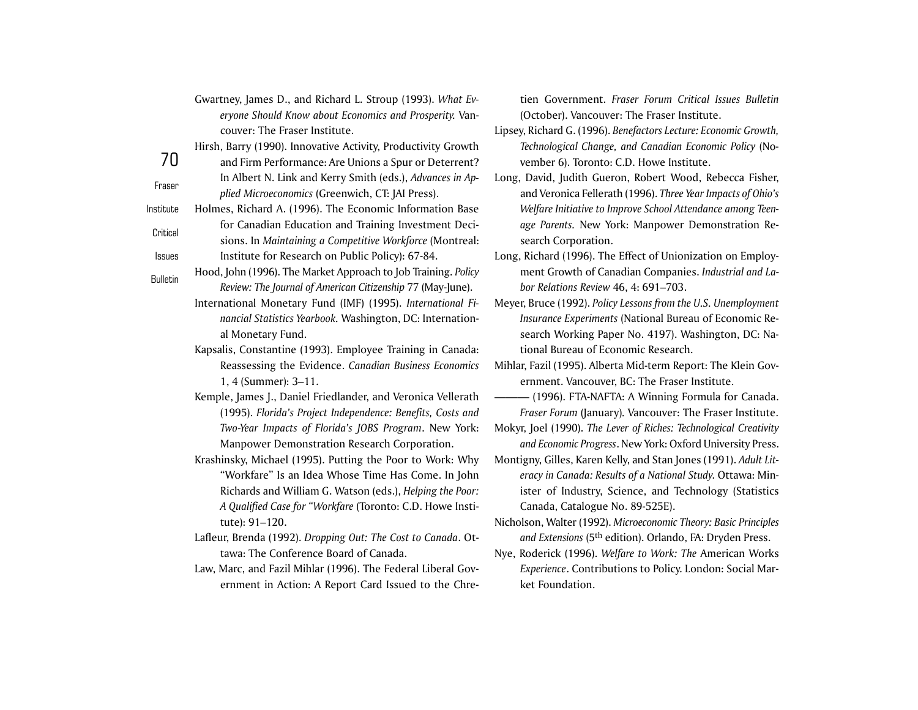Gwartney, James D., and Richard L. Stroup (1993). *What Everyone Should Know about Economics and Prosperity.* Vancouver: The Fraser Institute.

- 70FraserHirsh, Barry (1990). Innovative Activity, Productivity Growth and Firm Performance: Are Unions a Spur or Deterrent? In Albert N. Link and Kerry Smith (eds.), *Advances in Applied Microeconomics* (Greenwich, CT: JAI Press).
- InstituteCriticalIssuesHolmes, Richard A. (1996). The Economic Information Base for Canadian Education and Training Investment Decisions. In *Maintaining a Competitive Workforce* (Montreal: Institute for Research on Public Policy): 67-84.
- **Bulletin** Hood, John (1996). The Market Approach to Job Training. *Policy Review: The Journal of American Citizenship* 77 (May-June).
	- International Monetary Fund (IMF) (1995). *International Financial Statistics Yearbook.* Washington, DC: International Monetary Fund.
	- Kapsalis, Constantine (1993). Employee Training in Canada: Reassessing the Evidence. *Canadian Business Economics* 1, 4 (Summer): 3–11.
	- Kemple, James J., Daniel Friedlander, and Veronica Vellerath (1995). *Florida's Project Independence: Benefits, Costs and Two-Year Impacts of Florida's JOBS Program*. New York: Manpower Demonstration Research Corporation.
	- Krashinsky, Michael (1995). Putting the Poor to Work: Why "Workfare" Is an Idea Whose Time Has Come. In John Richards and William G. Watson (eds.), *Helping the Poor: A Qualified Case for "Workfare* (Toronto: C.D. Howe Institute): 91–120.
	- Lafleur, Brenda (1992). *Dropping Out: The Cost to Canada*. Ottawa: The Conference Board of Canada.
	- Law, Marc, and Fazil Mihlar (1996). The Federal Liberal Government in Action: A Report Card Issued to the Chre-

tien Government. *Fraser Forum Critical Issues Bulletin*(October). Vancouver: The Fraser Institute.

- Lipsey, Richard G. (1996). *Benefactors Lecture: Economic Growth, Technological Change, and Canadian Economic Policy* (No vember 6). Toronto: C.D. Howe Institute.
- Long, David, Judith Gueron, Robert Wood, Rebecca Fisher, and Veronica Fellerath (1996). *Three Year Impacts of Ohio's Welfare Initiative to Improve School Attendance among Teen age Parents.* New York: Manpower Demonstration Re search Corporation.
- Long, Richard (1996). The Effect of Unionization on Employ ment Growth of Canadian Companies. *Industrial and La bor Relations Review* 46, 4: 691–703.
- Meyer, Bruce (1992). *Policy Lessons from the U.S. Unemployment Insurance Experiments* (National Bureau of Economic Re search Working Paper No. 4197). Washington, DC: Na tional Bureau of Economic Research.
- Mihlar, Fazil (1995). Alberta Mid-term Report: The Klein Gov ernment. Vancouver, BC: The Fraser Institute.
- ——— (1996). FTA-NAFTA: A Winning Formula for Canada. *Fraser Forum* (January)*.* Vancouver: The Fraser Institute.
- Mokyr, Joel (1990). *The Lever of Riches: Technological Creativity and Economic Progress*. New York: Oxford University Press.
- Montigny, Gilles, Karen Kelly, and Stan Jones (1991). *Adult Lit eracy in Canada: Results of a National Study*. Ottawa: Min ister of Industry, Science, and Technology (Statistics Canada, Catalogue No. 89-525E).
- Nicholson, Walter (1992). *Microeconomic Theory: Basic Principles and Extensions* (5th edition). Orlando, FA: Dryden Press.
- Nye, Roderick (1996). *Welfare to Work: The* American Works *Experience*. Contributions to Policy. London: Social Mar ket Foundation.